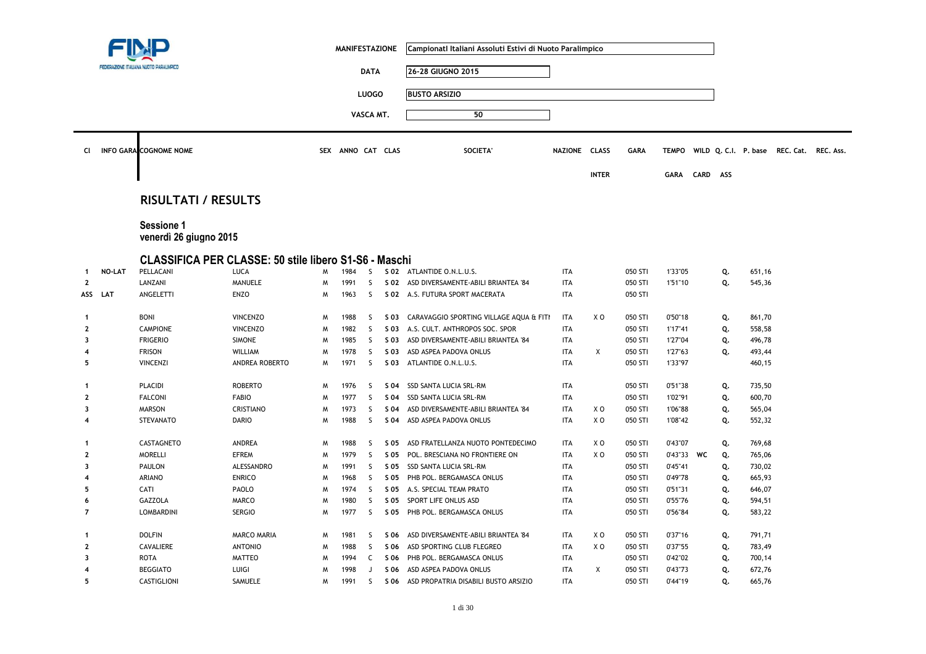|                         |        |                                                              |                    |   | <b>MANIFESTAZIONE</b> |              |      | Campionati Italiani Assoluti Estivi di Nuoto Paralimpico |               |                |             |              |             |     |                      |           |           |
|-------------------------|--------|--------------------------------------------------------------|--------------------|---|-----------------------|--------------|------|----------------------------------------------------------|---------------|----------------|-------------|--------------|-------------|-----|----------------------|-----------|-----------|
|                         |        | FEDERAZIONE ITALIANA NUOTO PARALIMPICO                       |                    |   |                       | <b>DATA</b>  |      | 26-28 GIUGNO 2015                                        |               |                |             |              |             |     |                      |           |           |
|                         |        |                                                              |                    |   |                       | <b>LUOGO</b> |      | <b>BUSTO ARSIZIO</b>                                     |               |                |             |              |             |     |                      |           |           |
|                         |        |                                                              |                    |   |                       |              |      |                                                          |               |                |             |              |             |     |                      |           |           |
|                         |        |                                                              |                    |   |                       | VASCA MT.    |      | 50                                                       |               |                |             |              |             |     |                      |           |           |
| <b>CI</b>               |        | <b>INFO GARA COGNOME NOME</b>                                |                    |   | SEX ANNO CAT CLAS     |              |      | SOCIETA'                                                 | NAZIONE CLASS |                | <b>GARA</b> | <b>TEMPO</b> |             |     | WILD Q. C.I. P. base | REC. Cat. | REC. Ass. |
|                         |        |                                                              |                    |   |                       |              |      |                                                          |               | <b>INTER</b>   |             | <b>GARA</b>  | <b>CARD</b> | ASS |                      |           |           |
|                         |        | <b>RISULTATI / RESULTS</b>                                   |                    |   |                       |              |      |                                                          |               |                |             |              |             |     |                      |           |           |
|                         |        | Sessione 1<br>venerdì 26 giugno 2015                         |                    |   |                       |              |      |                                                          |               |                |             |              |             |     |                      |           |           |
|                         |        | <b>CLASSIFICA PER CLASSE: 50 stile libero S1-S6 - Maschi</b> |                    |   |                       |              |      |                                                          |               |                |             |              |             |     |                      |           |           |
| -1                      | NO-LAT | PELLACANI                                                    | <b>LUCA</b>        | M | 1984                  | <sub>S</sub> |      | S 02 ATLANTIDE O.N.L.U.S.                                | <b>ITA</b>    |                | 050 STI     | 1'33"05      |             | Q.  | 651,16               |           |           |
| $\mathbf{2}$            |        | LANZANI                                                      | MANUELE            | M | 1991                  | S            |      | S 02 ASD DIVERSAMENTE-ABILI BRIANTEA '84                 | <b>ITA</b>    |                | 050 STI     | 1'51"10      |             | Q.  | 545,36               |           |           |
| ASS                     | LAT    | ANGELETTI                                                    | <b>ENZO</b>        | M | 1963                  | S            |      | S 02 A.S. FUTURA SPORT MACERATA                          | <b>ITA</b>    |                | 050 STI     |              |             |     |                      |           |           |
| $\mathbf{1}$            |        | <b>BONI</b>                                                  | <b>VINCENZO</b>    | M | 1988                  | S            | S 03 | CARAVAGGIO SPORTING VILLAGE AQUA & FITI                  | <b>ITA</b>    | X O            | 050 STI     | 0'50"18      |             | Q.  | 861,70               |           |           |
| $\mathbf{2}$            |        | <b>CAMPIONE</b>                                              | <b>VINCENZO</b>    | M | 1982                  | S            | S 03 | A.S. CULT. ANTHROPOS SOC. SPOR                           | <b>ITA</b>    |                | 050 STI     | 1'17"41      |             | Q.  | 558,58               |           |           |
| 3                       |        | <b>FRIGERIO</b>                                              | <b>SIMONE</b>      | M | 1985                  | <sub>S</sub> | S 03 | ASD DIVERSAMENTE-ABILI BRIANTEA '84                      | <b>ITA</b>    |                | 050 STI     | 1'27"04      |             | Q.  | 496,78               |           |           |
| 4                       |        | <b>FRISON</b>                                                | WILLIAM            | M | 1978                  | S            | S 03 | ASD ASPEA PADOVA ONLUS                                   | <b>ITA</b>    | X              | 050 STI     | 1'27"63      |             | Q.  | 493,44               |           |           |
| 5                       |        | <b>VINCENZI</b>                                              | ANDREA ROBERTO     | M | 1971                  | <sub>S</sub> | S 03 | ATLANTIDE O.N.L.U.S.                                     | <b>ITA</b>    |                | 050 STI     | 1'33"97      |             |     | 460,15               |           |           |
| 1                       |        | <b>PLACIDI</b>                                               | <b>ROBERTO</b>     | M | 1976                  | <sub>S</sub> | S 04 | SSD SANTA LUCIA SRL-RM                                   | <b>ITA</b>    |                | 050 STI     | 0'51"38      |             | Q.  | 735,50               |           |           |
| $\mathbf{2}$            |        | <b>FALCONI</b>                                               | <b>FABIO</b>       | M | 1977                  | S            | S 04 | SSD SANTA LUCIA SRL-RM                                   | <b>ITA</b>    |                | 050 STI     | 1'02"91      |             | Q.  | 600,70               |           |           |
| 3                       |        | <b>MARSON</b>                                                | CRISTIANO          | M | 1973                  | S            | S 04 | ASD DIVERSAMENTE-ABILI BRIANTEA '84                      | <b>ITA</b>    | XO             | 050 STI     | 1'06"88      |             | Q.  | 565,04               |           |           |
| 4                       |        | <b>STEVANATO</b>                                             | <b>DARIO</b>       | M | 1988                  | S            | S 04 | ASD ASPEA PADOVA ONLUS                                   | <b>ITA</b>    | XO             | 050 STI     | 1'08"42      |             | Q.  | 552,32               |           |           |
| $\mathbf{1}$            |        | CASTAGNETO                                                   | ANDREA             | M | 1988                  | S            | S 05 | ASD FRATELLANZA NUOTO PONTEDECIMO                        | <b>ITA</b>    | XO             | 050 STI     | 0'43"07      |             | Q.  | 769,68               |           |           |
| $\mathbf{2}$            |        | <b>MORELLI</b>                                               | <b>EFREM</b>       | W | 1979                  | S            | S 05 | POL. BRESCIANA NO FRONTIERE ON                           | <b>ITA</b>    | X <sub>0</sub> | 050 STI     | 0'43"33      | WC          | Q.  | 765,06               |           |           |
| $\overline{\mathbf{3}}$ |        | <b>PAULON</b>                                                | ALESSANDRO         | M | 1991                  | <sub>S</sub> | S 05 | SSD SANTA LUCIA SRL-RM                                   | <b>ITA</b>    |                | 050 STI     | 0'45"41      |             | Q.  | 730,02               |           |           |
| 4                       |        | ARIANO                                                       | <b>ENRICO</b>      | M | 1968                  | S            | S 05 | PHB POL. BERGAMASCA ONLUS                                | <b>ITA</b>    |                | 050 STI     | 0'49"78      |             | Q.  | 665,93               |           |           |
| 5                       |        | CATI                                                         | PAOLO              | M | 1974                  | <sub>S</sub> |      | S 05 A.S. SPECIAL TEAM PRATO                             | <b>ITA</b>    |                | 050 STI     | 0'51"31      |             | Q.  | 646,07               |           |           |
| 6                       |        | GAZZOLA                                                      | MARCO              | M | 1980                  | S            |      | S 05 SPORT LIFE ONLUS ASD                                | <b>ITA</b>    |                | 050 STI     | 0'55"76      |             | Q.  | 594,51               |           |           |
| $\overline{7}$          |        | LOMBARDINI                                                   | <b>SERGIO</b>      | M | 1977                  | S            |      | S 05 PHB POL. BERGAMASCA ONLUS                           | <b>ITA</b>    |                | 050 STI     | 0'56"84      |             | Q.  | 583,22               |           |           |
| 1                       |        | <b>DOLFIN</b>                                                | <b>MARCO MARIA</b> | M | 1981                  | S            | S 06 | ASD DIVERSAMENTE-ABILI BRIANTEA '84                      | <b>ITA</b>    | X <sub>0</sub> | 050 STI     | 0'37"16      |             | Q.  | 791,71               |           |           |
| $\mathbf{2}$            |        | CAVALIERE                                                    | <b>ANTONIO</b>     | M | 1988                  | S            | S 06 | ASD SPORTING CLUB FLEGREO                                | <b>ITA</b>    | X <sub>0</sub> | 050 STI     | 0'37"55      |             | Q.  | 783,49               |           |           |
| 3                       |        | <b>ROTA</b>                                                  | <b>MATTEO</b>      | M | 1994                  | C            | S 06 | PHB POL. BERGAMASCA ONLUS                                | <b>ITA</b>    |                | 050 STI     | 0'42"02      |             | Q.  | 700,14               |           |           |
| 4                       |        | <b>BEGGIATO</b>                                              | LUIGI              | M | 1998                  | J            | S 06 | ASD ASPEA PADOVA ONLUS                                   | <b>ITA</b>    | X              | 050 STI     | 0'43"73      |             | Q.  | 672,76               |           |           |
| 5                       |        | CASTIGLIONI                                                  | SAMUELE            | M | 1991                  | S            | S 06 | ASD PROPATRIA DISABILI BUSTO ARSIZIO                     | <b>ITA</b>    |                | 050 STI     | 0'44"19      |             | Q.  | 665,76               |           |           |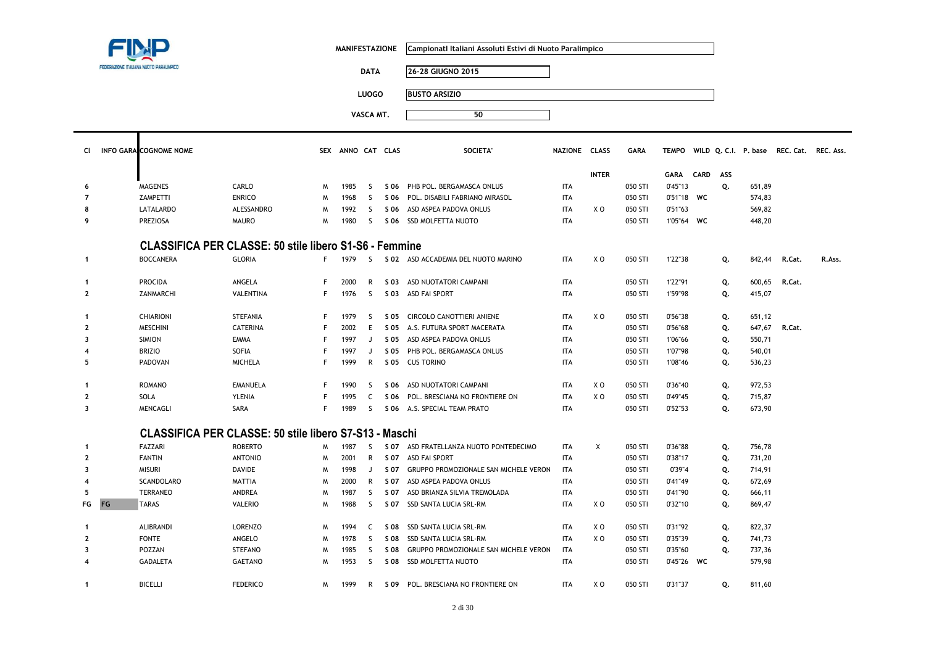| FEDERAZIONE ITALIANA NUOTO PARALIMPICO |
|----------------------------------------|

 $\blacksquare$ 

| MANIFESTAZIONE   Campionatl Italiani Assoluti Estivi di Nuoto Paralimpico |
|---------------------------------------------------------------------------|
|                                                                           |

**DATA 26-28 GIUGNO 2015**

**LUOGO BUSTO ARSIZIO**

| CI.            | <b>INFO GARA COGNOME NOME</b>                                 |                   |    | SEX ANNO CAT CLAS |              |      | <b>SOCIETA</b>                         | NAZIONE CLASS |                | <b>GARA</b> | <b>TEMPO</b> |             |     |        | WILD Q. C.I. P. base REC. Cat. REC. Ass. |        |
|----------------|---------------------------------------------------------------|-------------------|----|-------------------|--------------|------|----------------------------------------|---------------|----------------|-------------|--------------|-------------|-----|--------|------------------------------------------|--------|
|                |                                                               |                   |    |                   |              |      |                                        |               | <b>INTER</b>   |             | GARA         | <b>CARD</b> | ASS |        |                                          |        |
| 6              | <b>MAGENES</b>                                                | CARLO             | M  | 1985              | <sub>S</sub> | S 06 | PHB POL. BERGAMASCA ONLUS              | <b>ITA</b>    |                | 050 STI     | 0'45"13      |             | Q.  | 651,89 |                                          |        |
| $\overline{7}$ | ZAMPETTI                                                      | <b>ENRICO</b>     | M  | 1968              | S.           | S 06 | POL. DISABILI FABRIANO MIRASOL         | <b>ITA</b>    |                | 050 STI     | 0'51"18 WC   |             |     | 574,83 |                                          |        |
| 8              | LATALARDO                                                     | <b>ALESSANDRO</b> | M  | 1992              | S.           | S 06 | ASD ASPEA PADOVA ONLUS                 | <b>ITA</b>    | X O            | 050 STI     | 0'51"63      |             |     | 569,82 |                                          |        |
| 9              | <b>PREZIOSA</b>                                               | <b>MAURO</b>      | M  | 1980              | -S           |      | S 06 SSD MOLFETTA NUOTO                | <b>ITA</b>    |                | 050 STI     | 1'05"64 WC   |             |     | 448,20 |                                          |        |
|                | <b>CLASSIFICA PER CLASSE: 50 stile libero S1-S6 - Femmine</b> |                   |    |                   |              |      |                                        |               |                |             |              |             |     |        |                                          |        |
| $\mathbf{1}$   | <b>BOCCANERA</b>                                              | <b>GLORIA</b>     |    | F 1979            | -S           |      | S 02 ASD ACCADEMIA DEL NUOTO MARINO    | <b>ITA</b>    | X O            | 050 STI     | 1'22"38      |             | Q.  | 842,44 | R.Cat.                                   | R.Ass. |
| $\mathbf{1}$   | <b>PROCIDA</b>                                                | ANGELA            | F. | 2000              | R            |      | S 03 ASD NUOTATORI CAMPANI             | <b>ITA</b>    |                | 050 STI     | 1'22"91      |             | Q.  | 600,65 | R.Cat.                                   |        |
| $\overline{2}$ | ZANMARCHI                                                     | VALENTINA         | F  | 1976              | S.           |      | S 03 ASD FAI SPORT                     | <b>ITA</b>    |                | 050 STI     | 1'59"98      |             | Q.  | 415,07 |                                          |        |
| $\mathbf{1}$   | <b>CHIARIONI</b>                                              | <b>STEFANIA</b>   | F  | 1979              | S            | S 05 | CIRCOLO CANOTTIERI ANIENE              | <b>ITA</b>    | X <sub>0</sub> | 050 STI     | 0'56"38      |             | Q.  | 651,12 |                                          |        |
| $\mathbf{2}$   | <b>MESCHINI</b>                                               | <b>CATERINA</b>   | F  | 2002              | E            | S 05 | A.S. FUTURA SPORT MACERATA             | <b>ITA</b>    |                | 050 STI     | 0'56"68      |             | Q.  | 647,67 | R.Cat.                                   |        |
| 3              | <b>SIMION</b>                                                 | <b>EMMA</b>       |    | 1997              | J            | S 05 | ASD ASPEA PADOVA ONLUS                 | <b>ITA</b>    |                | 050 STI     | 1'06"66      |             | Q.  | 550,71 |                                          |        |
| 4              | <b>BRIZIO</b>                                                 | <b>SOFIA</b>      |    | 1997              | J            | S 05 | PHB POL. BERGAMASCA ONLUS              | <b>ITA</b>    |                | 050 STI     | 1'07"98      |             | Q.  | 540,01 |                                          |        |
| 5              | <b>PADOVAN</b>                                                | <b>MICHELA</b>    | F  | 1999              | R            |      | S 05 CUS TORINO                        | <b>ITA</b>    |                | 050 STI     | 1'08"46      |             | Q.  | 536,23 |                                          |        |
| $\mathbf{1}$   | <b>ROMANO</b>                                                 | <b>EMANUELA</b>   |    | 1990              | S.           | S 06 | ASD NUOTATORI CAMPANI                  | <b>ITA</b>    | X O            | 050 STI     | 0'36"40      |             | Q.  | 972,53 |                                          |        |
| $\overline{2}$ | SOLA                                                          | <b>YLENIA</b>     |    | 1995              | C.           |      | S 06 POL. BRESCIANA NO FRONTIERE ON    | <b>ITA</b>    | X O            | 050 STI     | 0'49"45      |             | Q.  | 715,87 |                                          |        |
| 3              | MENCAGLI                                                      | <b>SARA</b>       | F  | 1989              | S.           |      | S 06 A.S. SPECIAL TEAM PRATO           | <b>ITA</b>    |                | 050 STI     | 0'52"53      |             | Q.  | 673,90 |                                          |        |
|                | <b>CLASSIFICA PER CLASSE: 50 stile libero S7-S13 - Maschi</b> |                   |    |                   |              |      |                                        |               |                |             |              |             |     |        |                                          |        |
| $\mathbf{1}$   | FAZZARI                                                       | <b>ROBERTO</b>    | M  | 1987              | S.           |      | S 07 ASD FRATELLANZA NUOTO PONTEDECIMO | <b>ITA</b>    | X              | 050 STI     | 0'36"88      |             | Q.  | 756,78 |                                          |        |
| $\overline{2}$ | <b>FANTIN</b>                                                 | <b>ANTONIO</b>    | M  | 2001              | R            | S 07 | ASD FAI SPORT                          | <b>ITA</b>    |                | 050 STI     | 0'38"17      |             | Q.  | 731,20 |                                          |        |
| 3              | <b>MISURI</b>                                                 | <b>DAVIDE</b>     | M  | 1998              | J            | S 07 | GRUPPO PROMOZIONALE SAN MICHELE VERON  | <b>ITA</b>    |                | 050 STI     | 0'39"4       |             | Q.  | 714,91 |                                          |        |
| 4              | <b>SCANDOLARO</b>                                             | <b>MATTIA</b>     | M  | 2000              | R            | S 07 | ASD ASPEA PADOVA ONLUS                 | <b>ITA</b>    |                | 050 STI     | 0'41"49      |             | Q.  | 672,69 |                                          |        |
| 5              | <b>TERRANEO</b>                                               | ANDREA            | M  | 1987              | S            | S 07 | ASD BRIANZA SILVIA TREMOLADA           | <b>ITA</b>    |                | 050 STI     | 0'41"90      |             | Q.  | 666,11 |                                          |        |
| FG             | FG<br><b>TARAS</b>                                            | <b>VALERIO</b>    | M  | 1988              | S.           |      | S 07 SSD SANTA LUCIA SRL-RM            | <b>ITA</b>    | X O            | 050 STI     | 0'32"10      |             | Q.  | 869,47 |                                          |        |
| $\mathbf{1}$   | <b>ALIBRANDI</b>                                              | <b>LORENZO</b>    | M  | 1994              | C            | S 08 | SSD SANTA LUCIA SRL-RM                 | <b>ITA</b>    | X O            | 050 STI     | 0'31"92      |             | Q.  | 822,37 |                                          |        |
| $\overline{2}$ | <b>FONTE</b>                                                  | ANGELO            | M  | 1978              | -S           | S 08 | SSD SANTA LUCIA SRL-RM                 | <b>ITA</b>    | X O            | 050 STI     | 0'35"39      |             | Q.  | 741,73 |                                          |        |
| 3              | POZZAN                                                        | <b>STEFANO</b>    | M  | 1985              | S.           | S 08 | GRUPPO PROMOZIONALE SAN MICHELE VERON  | ITA           |                | 050 STI     | 0'35"60      |             | Q.  | 737,36 |                                          |        |
| 4              | <b>GADALETA</b>                                               | <b>GAETANO</b>    | M  | 1953              | S.           |      | S 08 SSD MOLFETTA NUOTO                | <b>ITA</b>    |                | 050 STI     | 0'45"26 WC   |             |     | 579,98 |                                          |        |
| $\mathbf{1}$   | <b>BICELLI</b>                                                | <b>FEDERICO</b>   | M  | 1999              | R            |      | S 09 POL. BRESCIANA NO FRONTIERE ON    | <b>ITA</b>    | X O            | 050 STI     | 0'31"37      |             | Q.  | 811,60 |                                          |        |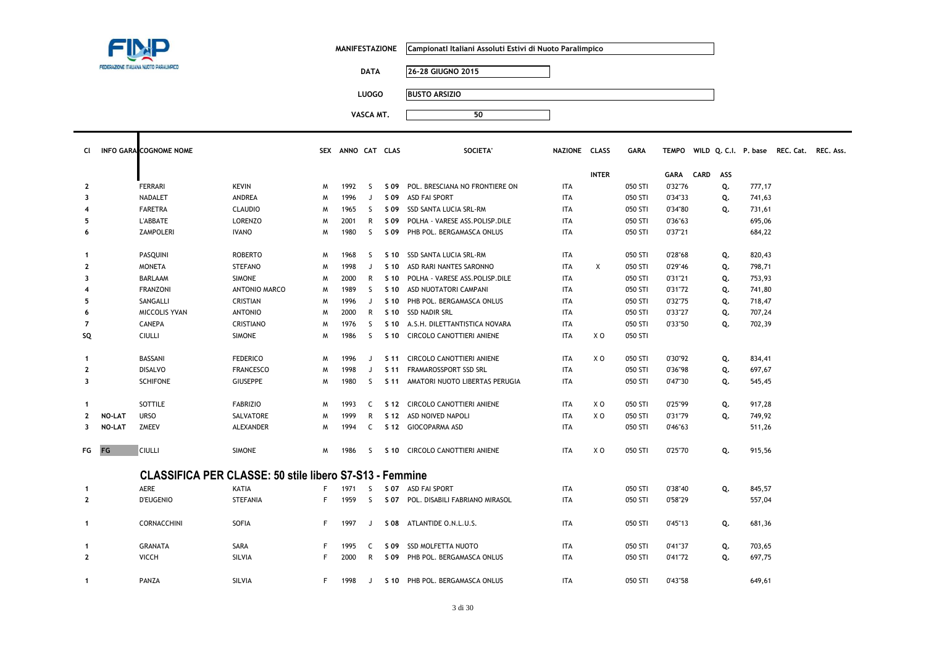

 $\mathbf{I}$ 

**MANIFESTAZIONE CampionatI Italiani Assoluti Estivi di Nuoto Paralimpico**

**DATA 26-28 GIUGNO 2015**

**LUOGO BUSTO ARSIZIO**

| <b>CI</b>               |               | <b>INFO GARA COGNOME NOME</b> |                                                                |    | SEX ANNO CAT CLAS |    |      | <b>SOCIETA'</b>                     | NAZIONE CLASS |              | <b>GARA</b> |           |     |        | TEMPO WILD Q.C.I. P. base REC. Cat. REC. Ass. |  |
|-------------------------|---------------|-------------------------------|----------------------------------------------------------------|----|-------------------|----|------|-------------------------------------|---------------|--------------|-------------|-----------|-----|--------|-----------------------------------------------|--|
|                         |               |                               |                                                                |    |                   |    |      |                                     |               |              |             |           |     |        |                                               |  |
|                         |               |                               |                                                                |    |                   |    |      |                                     |               | <b>INTER</b> |             | GARA CARD | ASS |        |                                               |  |
| $\mathbf{2}$            |               | FERRARI                       | <b>KEVIN</b>                                                   | M  | 1992              | S. |      | S 09 POL. BRESCIANA NO FRONTIERE ON | <b>ITA</b>    |              | 050 STI     | 0'32"76   | Q.  | 777,17 |                                               |  |
| 3                       |               | NADALET                       | ANDREA                                                         | M  | 1996              |    | S 09 | ASD FAI SPORT                       | <b>ITA</b>    |              | 050 STI     | 0'34"33   | Q.  | 741,63 |                                               |  |
| $\overline{4}$          |               | <b>FARETRA</b>                | <b>CLAUDIO</b>                                                 | M  | 1965              | S. | S 09 | SSD SANTA LUCIA SRL-RM              | <b>ITA</b>    |              | 050 STI     | 0'34"80   | Q.  | 731,61 |                                               |  |
| 5                       |               | <b>L'ABBATE</b>               | <b>LORENZO</b>                                                 | M  | 2001              | R  | S 09 | POLHA - VARESE ASS.POLISP.DILE      | <b>ITA</b>    |              | 050 STI     | 0'36"63   |     | 695,06 |                                               |  |
| 6                       |               | <b>ZAMPOLERI</b>              | <b>IVANO</b>                                                   | M  | 1980              | -S | S 09 | PHB POL. BERGAMASCA ONLUS           | <b>ITA</b>    |              | 050 STI     | 0'37"21   |     | 684,22 |                                               |  |
| $\mathbf{1}$            |               | PASQUINI                      | <b>ROBERTO</b>                                                 | W  | 1968              | -S | S 10 | SSD SANTA LUCIA SRL-RM              | <b>ITA</b>    |              | 050 STI     | 0'28"68   | Q.  | 820,43 |                                               |  |
| $\mathbf{2}$            |               | <b>MONETA</b>                 | <b>STEFANO</b>                                                 | M  | 1998              | J  | S 10 | ASD RARI NANTES SARONNO             | <b>ITA</b>    | X            | 050 STI     | 0'29"46   | Q.  | 798,71 |                                               |  |
| 3                       |               | <b>BARLAAM</b>                | <b>SIMONE</b>                                                  | M  | 2000              | R  | S 10 | POLHA - VARESE ASS.POLISP.DILE      | <b>ITA</b>    |              | 050 STI     | 0'31"21   | Q.  | 753,93 |                                               |  |
| 4                       |               | <b>FRANZONI</b>               | <b>ANTONIO MARCO</b>                                           | M  | 1989              | -S | S 10 | ASD NUOTATORI CAMPANI               | <b>ITA</b>    |              | 050 STI     | 0'31"72   | Q.  | 741,80 |                                               |  |
| 5                       |               | SANGALLI                      | <b>CRISTIAN</b>                                                | M  | 1996              | J  | S 10 | PHB POL. BERGAMASCA ONLUS           | <b>ITA</b>    |              | 050 STI     | 0'32"75   | Q.  | 718,47 |                                               |  |
| 6                       |               | <b>MICCOLIS YVAN</b>          | <b>ANTONIO</b>                                                 | M  | 2000              | R  |      | S 10 SSD NADIR SRL                  | <b>ITA</b>    |              | 050 STI     | 0'33"27   | Q.  | 707,24 |                                               |  |
| 7                       |               | CANEPA                        | CRISTIANO                                                      | M  | 1976              | S. |      | S 10 A.S.H. DILETTANTISTICA NOVARA  | <b>ITA</b>    |              | 050 STI     | 0'33"50   | Q.  | 702,39 |                                               |  |
| SQ                      |               | <b>CIULLI</b>                 | <b>SIMONE</b>                                                  | W  | 1986              | -S |      | S 10 CIRCOLO CANOTTIERI ANIENE      | <b>ITA</b>    | X O          | 050 STI     |           |     |        |                                               |  |
| $\mathbf{1}$            |               | BASSANI                       | <b>FEDERICO</b>                                                | W  | 1996              | J  |      | S 11 CIRCOLO CANOTTIERI ANIENE      | <b>ITA</b>    | X O          | 050 STI     | 0'30"92   | Q.  | 834,41 |                                               |  |
| $\mathbf{2}$            |               | <b>DISALVO</b>                | <b>FRANCESCO</b>                                               | M  | 1998              | J  |      | S 11 FRAMAROSSPORT SSD SRL          | <b>ITA</b>    |              | 050 STI     | 0'36"98   | Q.  | 697,67 |                                               |  |
| 3                       |               | <b>SCHIFONE</b>               | <b>GIUSEPPE</b>                                                | M  | 1980              | S. |      | S 11 AMATORI NUOTO LIBERTAS PERUGIA | <b>ITA</b>    |              | 050 STI     | 0'47"30   | Q.  | 545,45 |                                               |  |
| $\mathbf{1}$            |               | SOTTILE                       | <b>FABRIZIO</b>                                                | M  | 1993              | C  |      | S 12 CIRCOLO CANOTTIERI ANIENE      | <b>ITA</b>    | X O          | 050 STI     | 0'25"99   | Q.  | 917,28 |                                               |  |
| $\mathbf{2}$            | <b>NO-LAT</b> | <b>URSO</b>                   | SALVATORE                                                      | M  | 1999              | R  |      | S 12 ASD NOIVED NAPOLI              | <b>ITA</b>    | X O          | 050 STI     | 0'31"79   | Q.  | 749,92 |                                               |  |
| $\overline{\mathbf{3}}$ | NO-LAT        | <b>ZMEEV</b>                  | ALEXANDER                                                      | W  | 1994              | C  |      | S 12 GIOCOPARMA ASD                 | <b>ITA</b>    |              | 050 STI     | 0'46"63   |     | 511,26 |                                               |  |
| FG FG                   |               | <b>CIULLI</b>                 | <b>SIMONE</b>                                                  | M  | 1986              | -S |      | S 10 CIRCOLO CANOTTIERI ANIENE      | <b>ITA</b>    | X O          | 050 STI     | 0'25"70   | Q.  | 915,56 |                                               |  |
|                         |               |                               | <b>CLASSIFICA PER CLASSE: 50 stile libero S7-S13 - Femmine</b> |    |                   |    |      |                                     |               |              |             |           |     |        |                                               |  |
| $\mathbf{1}$            |               | AERE                          | KATIA                                                          |    | 1971              | -S |      | S 07 ASD FAI SPORT                  | <b>ITA</b>    |              | 050 STI     | 0'38"40   | Q.  | 845,57 |                                               |  |
| $\mathbf{2}$            |               | <b>D'EUGENIO</b>              | <b>STEFANIA</b>                                                |    | 1959              | -S |      | S 07 POL. DISABILI FABRIANO MIRASOL | <b>ITA</b>    |              | 050 STI     | 0'58"29   |     | 557,04 |                                               |  |
| $\mathbf{1}$            |               | CORNACCHINI                   | SOFIA                                                          | F. | 1997              | J  |      | S 08 ATLANTIDE O.N.L.U.S.           | <b>ITA</b>    |              | 050 STI     | 0'45"13   | Q.  | 681,36 |                                               |  |
| $\mathbf{1}$            |               | <b>GRANATA</b>                | SARA                                                           |    | 1995              | C  | S 09 | SSD MOLFETTA NUOTO                  | <b>ITA</b>    |              | 050 STI     | 0'41"37   | Q.  | 703,65 |                                               |  |
| $\mathbf{2}$            |               | <b>VICCH</b>                  | SILVIA                                                         | F. | 2000              | R. |      | S 09 PHB POL. BERGAMASCA ONLUS      | <b>ITA</b>    |              | 050 STI     | 0'41"72   | Q.  | 697,75 |                                               |  |
| $\mathbf{1}$            |               | PANZA                         | SILVIA                                                         | F. | 1998              | J  |      | S 10 PHB POL. BERGAMASCA ONLUS      | <b>ITA</b>    |              | 050 STI     | 0'43"58   |     | 649,61 |                                               |  |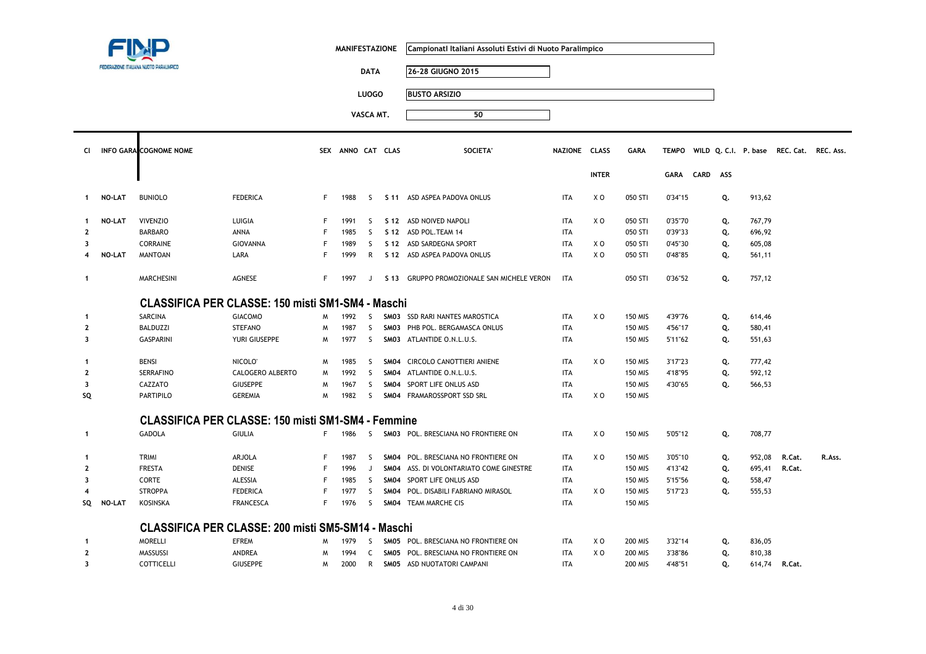|                         |               |                                                           |                     |    | <b>MANIFESTAZIONE</b> |              |                  | Campionatl Italiani Assoluti Estivi di Nuoto Paralimpico |               |                |                |              |          |    |                      |                     |        |
|-------------------------|---------------|-----------------------------------------------------------|---------------------|----|-----------------------|--------------|------------------|----------------------------------------------------------|---------------|----------------|----------------|--------------|----------|----|----------------------|---------------------|--------|
|                         |               |                                                           |                     |    |                       | <b>DATA</b>  |                  | 26-28 GIUGNO 2015                                        |               |                |                |              |          |    |                      |                     |        |
|                         |               |                                                           |                     |    |                       | <b>LUOGO</b> |                  | <b>BUSTO ARSIZIO</b>                                     |               |                |                |              |          |    |                      |                     |        |
|                         |               |                                                           |                     |    |                       |              |                  |                                                          |               |                |                |              |          |    |                      |                     |        |
|                         |               |                                                           |                     |    |                       | VASCA MT.    |                  | 50                                                       |               |                |                |              |          |    |                      |                     |        |
| CI                      |               | INFO GARA COGNOME NOME                                    |                     |    | SEX ANNO CAT CLAS     |              |                  | <b>SOCIETA</b>                                           | NAZIONE CLASS |                | <b>GARA</b>    | <b>TEMPO</b> |          |    | WILD Q. C.I. P. base | REC. Cat. REC. Ass. |        |
|                         |               |                                                           |                     |    |                       |              |                  |                                                          |               | <b>INTER</b>   |                | <b>GARA</b>  | CARD ASS |    |                      |                     |        |
| $\mathbf{1}$            | <b>NO-LAT</b> | <b>BUNIOLO</b>                                            | <b>FEDERICA</b>     | F. | 1988                  | -S           |                  | S 11 ASD ASPEA PADOVA ONLUS                              | <b>ITA</b>    | X O            | 050 STI        | 0'34"15      |          | Q. | 913,62               |                     |        |
| $\mathbf{1}$            | <b>NO-LAT</b> | <b>VIVENZIO</b>                                           | LUIGIA              | F  | 1991                  | -S           |                  | S 12 ASD NOIVED NAPOLI                                   | <b>ITA</b>    | X <sub>0</sub> | 050 STI        | 0'35"70      |          | Q. | 767,79               |                     |        |
| $\mathbf{2}$            |               | <b>BARBARO</b>                                            | ANNA                | F  | 1985                  | S            |                  | S 12 ASD POL. TEAM 14                                    | <b>ITA</b>    |                | 050 STI        | 0'39"33      |          | Q. | 696,92               |                     |        |
| 3                       |               | <b>CORRAINE</b>                                           | GIOVANNA            | F  | 1989                  | S            |                  | S 12 ASD SARDEGNA SPORT                                  | <b>ITA</b>    | X O            | 050 STI        | 0'45"30      |          | Q. | 605,08               |                     |        |
| $\overline{\mathbf{4}}$ | <b>NO-LAT</b> | <b>MANTOAN</b>                                            | LARA                | F. | 1999                  | R            |                  | S 12 ASD ASPEA PADOVA ONLUS                              | <b>ITA</b>    | X O            | 050 STI        | 0'48"85      |          | Q. | 561,11               |                     |        |
| $\mathbf{1}$            |               | <b>MARCHESINI</b>                                         | AGNESE              | F. | 1997                  | J            |                  | S 13 GRUPPO PROMOZIONALE SAN MICHELE VERON               | <b>ITA</b>    |                | 050 STI        | 0'36"52      |          | Q. | 757,12               |                     |        |
|                         |               | CLASSIFICA PER CLASSE: 150 misti SM1-SM4 - Maschi         |                     |    |                       |              |                  |                                                          |               |                |                |              |          |    |                      |                     |        |
| $\mathbf{1}$            |               | <b>SARCINA</b>                                            | <b>GIACOMO</b>      | M  | 1992                  | <sub>S</sub> |                  | SM03 SSD RARI NANTES MAROSTICA                           | <b>ITA</b>    | X <sub>0</sub> | <b>150 MIS</b> | 4'39"76      |          | Q. | 614,46               |                     |        |
| $\mathbf{2}$            |               | <b>BALDUZZI</b>                                           | <b>STEFANO</b>      | W  | 1987                  | S            |                  | SM03 PHB POL. BERGAMASCA ONLUS                           | <b>ITA</b>    |                | 150 MIS        | 4'56"17      |          | Q. | 580,41               |                     |        |
| 3                       |               | <b>GASPARINI</b>                                          | YURI GIUSEPPE       | M  | 1977                  | <sub>S</sub> |                  | SM03 ATLANTIDE O.N.L.U.S.                                | <b>ITA</b>    |                | 150 MIS        | 5'11"62      |          | Q. | 551,63               |                     |        |
| $\mathbf{1}$            |               | <b>BENSI</b>                                              | NICOLO <sup>®</sup> | M  | 1985                  | S.           |                  | SM04 CIRCOLO CANOTTIERI ANIENE                           | <b>ITA</b>    | X <sub>0</sub> | <b>150 MIS</b> | 3'17"23      |          | Q. | 777,42               |                     |        |
| $\overline{2}$          |               | <b>SERRAFINO</b>                                          | CALOGERO ALBERTO    | M  | 1992                  | <sub>S</sub> | SMO <sub>4</sub> | ATLANTIDE O.N.L.U.S.                                     | <b>ITA</b>    |                | <b>150 MIS</b> | 4'18"95      |          | Q. | 592,12               |                     |        |
| 3                       |               | CAZZATO                                                   | <b>GIUSEPPE</b>     | M  | 1967                  | S.           | SM04             | SPORT LIFE ONLUS ASD                                     | ITA           |                | 150 MIS        | 4'30"65      |          | Q. | 566,53               |                     |        |
| SQ                      |               | <b>PARTIPILO</b>                                          | <b>GEREMIA</b>      | W  | 1982                  | -S           |                  | SM04 FRAMAROSSPORT SSD SRL                               | <b>ITA</b>    | X O            | <b>150 MIS</b> |              |          |    |                      |                     |        |
|                         |               | <b>CLASSIFICA PER CLASSE: 150 misti SM1-SM4 - Femmine</b> |                     |    |                       |              |                  |                                                          |               |                |                |              |          |    |                      |                     |        |
| $\mathbf{1}$            |               | <b>GADOLA</b>                                             | <b>GIULIA</b>       | F. | 1986                  | S.           |                  | SM03 POL. BRESCIANA NO FRONTIERE ON                      | <b>ITA</b>    | X <sub>0</sub> | <b>150 MIS</b> | 5'05"12      |          | Q. | 708,77               |                     |        |
| -1                      |               | TRIMI                                                     | <b>ARJOLA</b>       | F  | 1987                  | S            |                  | SM04 POL. BRESCIANA NO FRONTIERE ON                      | <b>ITA</b>    | X O            | <b>150 MIS</b> | 3'05"10      |          | Q. | 952,08               | R.Cat.              | R.Ass. |
| $\mathbf{2}$            |               | <b>FRESTA</b>                                             | <b>DENISE</b>       | F  | 1996                  | J            | SM04             | ASS. DI VOLONTARIATO COME GINESTRE                       | <b>ITA</b>    |                | 150 MIS        | 4'13"42      |          | Q. | 695,41               | R.Cat.              |        |
| $\overline{\mathbf{3}}$ |               | CORTE                                                     | ALESSIA             | F  | 1985                  | <sub>S</sub> | SMO <sub>4</sub> | SPORT LIFE ONLUS ASD                                     | <b>ITA</b>    |                | 150 MIS        | 5'15"56      |          | Q. | 558,47               |                     |        |
|                         |               | <b>STROPPA</b>                                            | <b>FEDERICA</b>     | F  | 1977                  | S            | SM04             | POL. DISABILI FABRIANO MIRASOL                           | <b>ITA</b>    | X O            | <b>150 MIS</b> | 5'17"23      |          | Q. | 555,53               |                     |        |
| SQ                      | <b>NO-LAT</b> | <b>KOSINSKA</b>                                           | <b>FRANCESCA</b>    | F. | 1976                  | <sub>S</sub> |                  | SM04 TEAM MARCHE CIS                                     | <b>ITA</b>    |                | <b>150 MIS</b> |              |          |    |                      |                     |        |
|                         |               | CLASSIFICA PER CLASSE: 200 misti SM5-SM14 - Maschi        |                     |    |                       |              |                  |                                                          |               |                |                |              |          |    |                      |                     |        |
| -1                      |               | <b>MORELLI</b>                                            | <b>EFREM</b>        | M  | 1979                  | S            |                  | SM05 POL. BRESCIANA NO FRONTIERE ON                      | <b>ITA</b>    | XO             | 200 MIS        | 3'32"14      |          | Q. | 836,05               |                     |        |
| $\mathbf{2}$            |               | MASSUSSI                                                  | ANDREA              | M  | 1994                  | C            |                  | SM05 POL. BRESCIANA NO FRONTIERE ON                      | <b>ITA</b>    | X O            | 200 MIS        | 3'38"86      |          | Q. | 810,38               |                     |        |
| 3                       |               | COTTICELLI                                                | <b>GIUSEPPE</b>     | W  | 2000                  | R            |                  | SM05 ASD NUOTATORI CAMPANI                               | <b>ITA</b>    |                | <b>200 MIS</b> | 4'48"51      |          | Q. | 614,74               | R.Cat.              |        |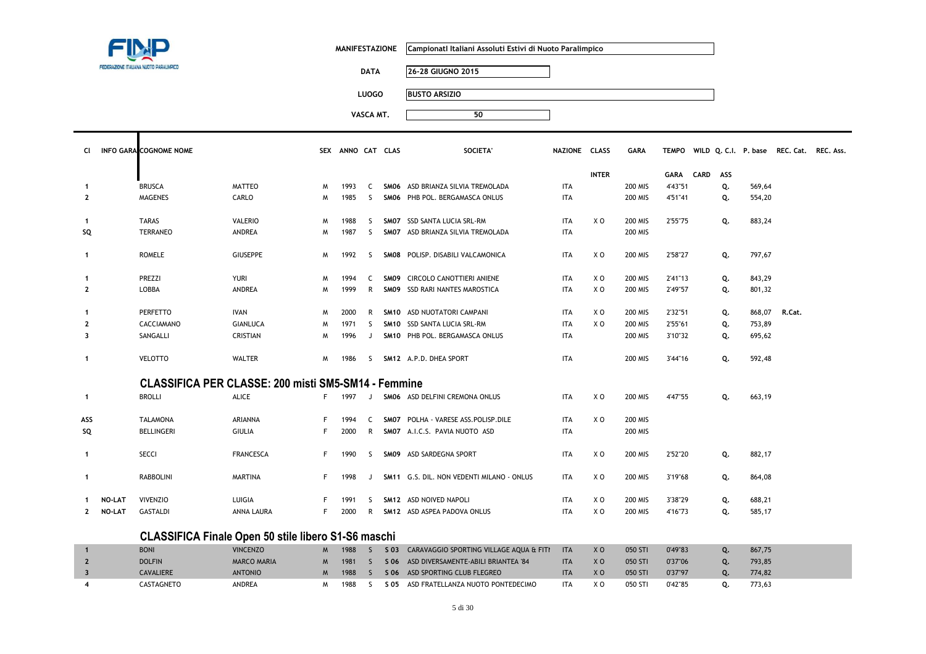

**MANIFESTAZIONE CampionatI Italiani Assoluti Estivi di Nuoto Paralimpico**

**DATA 26-28 GIUGNO 2015**

**LUOGO BUSTO ARSIZIO**

| <b>CI</b>    |               | <b>INFO GARA COGNOME NOME</b>                              |                  |    | SEX ANNO CAT CLAS |                |      | <b>SOCIETA</b>                                        | NAZIONE CLASS |                | <b>GARA</b>    |           | TEMPO WILD Q. C.I. P. base |        | <b>REC. Cat.</b> | REC. Ass. |
|--------------|---------------|------------------------------------------------------------|------------------|----|-------------------|----------------|------|-------------------------------------------------------|---------------|----------------|----------------|-----------|----------------------------|--------|------------------|-----------|
|              |               |                                                            |                  |    |                   |                |      |                                                       |               | <b>INTER</b>   |                | GARA CARD | ASS                        |        |                  |           |
| -1           |               | <b>BRUSCA</b>                                              | <b>MATTEO</b>    | M  | 1993              | <sup>-</sup> C |      | SMO6 ASD BRIANZA SILVIA TREMOLADA                     | ITA           |                | <b>200 MIS</b> | 4'43"51   | Q.                         | 569,64 |                  |           |
| $\mathbf{2}$ |               | <b>MAGENES</b>                                             | CARLO            | M  | 1985              | S.             |      | SMO6 PHB POL. BERGAMASCA ONLUS                        | <b>ITA</b>    |                | <b>200 MIS</b> | 4'51"41   | Q.                         | 554,20 |                  |           |
|              |               |                                                            |                  |    |                   |                |      |                                                       |               |                |                |           |                            |        |                  |           |
| -1           |               | <b>TARAS</b>                                               | VALERIO          | M  | 1988              | -S             |      | SMO7 SSD SANTA LUCIA SRL-RM                           | ITA           | X <sub>0</sub> | <b>200 MIS</b> | 2'55"75   | Q.                         | 883,24 |                  |           |
| SQ           |               | <b>TERRANEO</b>                                            | <b>ANDREA</b>    | M  | 1987              | S.             |      | SM07 ASD BRIANZA SILVIA TREMOLADA                     | <b>ITA</b>    |                | <b>200 MIS</b> |           |                            |        |                  |           |
|              |               |                                                            |                  |    |                   |                |      |                                                       |               |                |                |           |                            |        |                  |           |
| $\mathbf{1}$ |               | <b>ROMELE</b>                                              | <b>GIUSEPPE</b>  | M  | 1992              | -S             |      | SM08 POLISP. DISABILI VALCAMONICA                     | <b>ITA</b>    | X O            | <b>200 MIS</b> | 2'58"27   | Q.                         | 797,67 |                  |           |
| -1           |               | PREZZI                                                     | <b>YURI</b>      | M  | 1994              | C.             |      | SM09 CIRCOLO CANOTTIERI ANIENE                        | <b>ITA</b>    | X O            | 200 MIS        | 2'41"13   | Q.                         | 843,29 |                  |           |
| $\mathbf{2}$ |               | LOBBA                                                      | ANDREA           | M  | 1999              | R              |      | SMO9 SSD RARI NANTES MAROSTICA                        | <b>ITA</b>    | XO             | <b>200 MIS</b> | 2'49"57   | Q.                         | 801,32 |                  |           |
|              |               |                                                            |                  |    |                   |                |      |                                                       |               |                |                |           |                            |        |                  |           |
| 1            |               | <b>PERFETTO</b>                                            | <b>IVAN</b>      | M  | 2000              | R              | SM10 | ASD NUOTATORI CAMPANI                                 | <b>ITA</b>    | X O            | <b>200 MIS</b> | 2'32"51   | Q.                         | 868,07 | R.Cat.           |           |
| $\mathbf{2}$ |               | CACCIAMANO                                                 | <b>GIANLUCA</b>  | M  | 1971              | -S             |      | SM10 SSD SANTA LUCIA SRL-RM                           | <b>ITA</b>    | X O            | <b>200 MIS</b> | 2'55"61   | Q.                         | 753,89 |                  |           |
| 3            |               | SANGALLI                                                   | <b>CRISTIAN</b>  | M  | 1996              | J              |      | SM10 PHB POL. BERGAMASCA ONLUS                        | <b>ITA</b>    |                | <b>200 MIS</b> | 3'10"32   | Q.                         | 695,62 |                  |           |
|              |               |                                                            |                  |    |                   |                |      |                                                       |               |                |                |           |                            |        |                  |           |
| $\mathbf{1}$ |               | <b>VELOTTO</b>                                             | <b>WALTER</b>    | M  | 1986              | S.             |      | SM12 A.P.D. DHEA SPORT                                | <b>ITA</b>    |                | <b>200 MIS</b> | 3'44"16   | Q.                         | 592,48 |                  |           |
|              |               |                                                            |                  |    |                   |                |      |                                                       |               |                |                |           |                            |        |                  |           |
|              |               | <b>CLASSIFICA PER CLASSE: 200 misti SM5-SM14 - Femmine</b> |                  |    |                   |                |      |                                                       |               |                |                |           |                            |        |                  |           |
| $\mathbf{1}$ |               | <b>BROLLI</b>                                              | <b>ALICE</b>     | F  | 1997              | J              |      | SMO6 ASD DELFINI CREMONA ONLUS                        | <b>ITA</b>    | X <sub>0</sub> | <b>200 MIS</b> | 4'47"55   | Q.                         | 663,19 |                  |           |
|              |               |                                                            |                  |    |                   |                |      |                                                       |               |                |                |           |                            |        |                  |           |
| ASS          |               | <b>TALAMONA</b>                                            | ARIANNA          | F  | 1994              | C.             | SMO7 | POLHA - VARESE ASS.POLISP.DILE                        | <b>ITA</b>    | X <sub>0</sub> | 200 MIS        |           |                            |        |                  |           |
| SQ           |               | <b>BELLINGERI</b>                                          | <b>GIULIA</b>    | F. | 2000              | R              |      | SM07 A.I.C.S. PAVIA NUOTO ASD                         | <b>ITA</b>    |                | <b>200 MIS</b> |           |                            |        |                  |           |
| $\mathbf{1}$ |               | <b>SECCI</b>                                               | <b>FRANCESCA</b> | F  | 1990              | -S             |      | SM09 ASD SARDEGNA SPORT                               | <b>ITA</b>    | X O            | <b>200 MIS</b> | 2'52"20   | Q.                         | 882,17 |                  |           |
|              |               |                                                            |                  |    |                   |                |      |                                                       |               |                |                |           |                            |        |                  |           |
| $\mathbf{1}$ |               | <b>RABBOLINI</b>                                           | <b>MARTINA</b>   | F  | 1998              | J              |      | SM11 G.S. DIL. NON VEDENTI MILANO - ONLUS             | <b>ITA</b>    | X <sub>0</sub> | <b>200 MIS</b> | 3'19"68   | Q.                         | 864,08 |                  |           |
|              |               |                                                            |                  |    |                   |                |      |                                                       |               |                |                |           |                            |        |                  |           |
| -1           | <b>NO-LAT</b> | <b>VIVENZIO</b>                                            | LUIGIA           |    | 1991              | S.             |      | SM12 ASD NOIVED NAPOLI                                | <b>ITA</b>    | X O            | <b>200 MIS</b> | 3'38"29   | Q.                         | 688,21 |                  |           |
| $\mathbf{2}$ | NO-LAT        | <b>GASTALDI</b>                                            | ANNA LAURA       |    | 2000              | R              |      | SM12 ASD ASPEA PADOVA ONLUS                           | <b>ITA</b>    | X O            | <b>200 MIS</b> | 4'16"73   | Q.                         | 585,17 |                  |           |
|              |               |                                                            |                  |    |                   |                |      |                                                       |               |                |                |           |                            |        |                  |           |
|              |               | CLASSIFICA Finale Open 50 stile libero S1-S6 maschi        |                  |    |                   |                |      |                                                       |               |                |                |           |                            |        |                  |           |
| $\mathbf{1}$ |               | <b>BONI</b>                                                | <b>VINCENZO</b>  |    |                   |                |      | M 1988 S S 03 CARAVAGGIO SPORTING VILLAGE AQUA & FITI | <b>ITA</b>    | X <sub>0</sub> | 050 STI        | 0'49"83   | Q.                         | 867,75 |                  |           |

|  | <b>DOLFIN</b>    | <b>MARCO MARIA</b> | 1981 |      | S 06 ASD DIVERSAMENTE-ABILI BRIANTEA '84 | <b>ITA</b> | X <sub>0</sub> | 050 STI | 0'37"06 | 793,85 |
|--|------------------|--------------------|------|------|------------------------------------------|------------|----------------|---------|---------|--------|
|  | <b>CAVALIERE</b> | <b>ANTONIO</b>     | 1988 |      | S 06 ASD SPORTING CLUB FLEGREO           | ITA        | X <sub>O</sub> | 050 STI | 0'37"97 | 774.82 |
|  | CASTAGNETO       | ANDREA             | 1988 | S 05 | ASD FRATELLANZA NUOTO PONTEDECIMO        | <b>ITA</b> | X O            | 050 STI | 0'42"85 | 773,63 |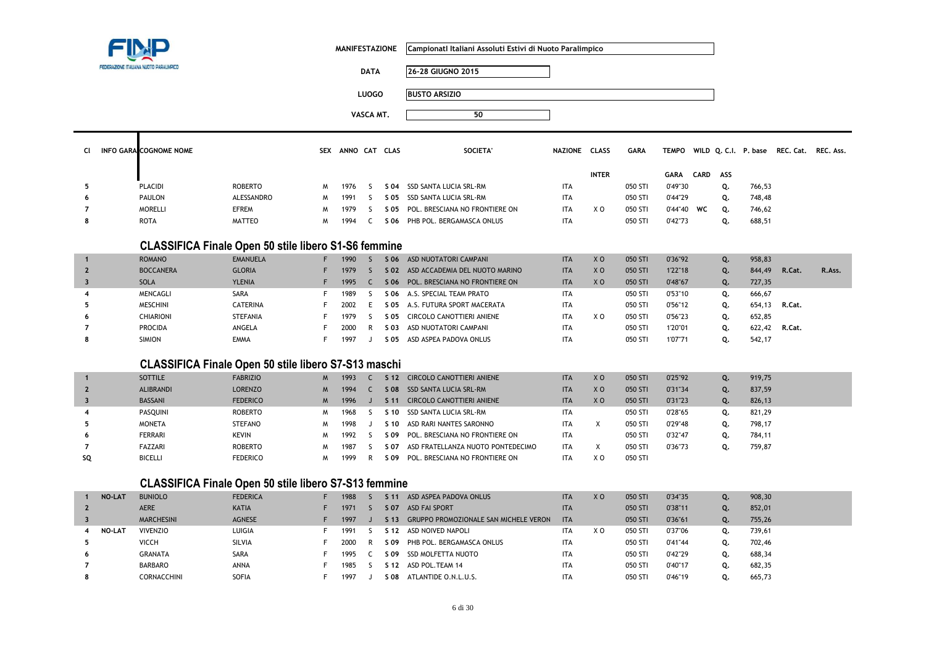

**MANIFESTAZIONE CampionatI Italiani Assoluti Estivi di Nuoto Paralimpico**

**DATA 26-28 GIUGNO 2015**

**LUOGO BUSTO ARSIZIO**

**VASCA MT. <sup>50</sup>**

|   | CI INFO GARA COGNOME NOME |                |   | SEX ANNO CAT | <b>CLAS</b> | SOCIETA'                       | NAZIONE    | <b>CLASS</b> | GARA    | <b>TEMPO</b> |          |    | WILD Q. C.I. P. base | REC. Cat. | REC. Ass. |
|---|---------------------------|----------------|---|--------------|-------------|--------------------------------|------------|--------------|---------|--------------|----------|----|----------------------|-----------|-----------|
|   |                           |                |   |              |             |                                |            | <b>INTER</b> |         | <b>GARA</b>  | CARD ASS |    |                      |           |           |
|   | PLACIDI                   | <b>ROBERTO</b> |   | 1976         | S 04        | SSD SANTA LUCIA SRL-RM         | <b>ITA</b> |              | 050 STI | 0'49"30      |          |    | 766,53               |           |           |
| 6 | PAULON                    | ALESSANDRO     | M | 1991         | S 05        | SSD SANTA LUCIA SRL-RM         | <b>ITA</b> |              | 050 STI | 0'44"29      |          |    | 748,48               |           |           |
|   | <b>MORELLI</b>            | <b>EFREM</b>   |   | 1979         | S 05        | POL. BRESCIANA NO FRONTIERE ON | <b>ITA</b> | X O          | 050 STI | 0'44"40      | WC       | 0. | 746,62               |           |           |
| 8 | <b>ROTA</b>               | <b>MATTEO</b>  |   | 1994         |             | S 06 PHB POL. BERGAMASCA ONLUS | <b>ITA</b> |              | 050 STI | 0'42"73      |          |    | 688,51               |           |           |

# **CLASSIFICA Finale Open 50 stile libero S1-S6 femmine**

|   | <b>ROMANO</b>    | <b>EMANUELA</b> | 1990 | S 06 | ASD NUOTATORI CAMPANI          | <b>ITA</b> | X <sub>0</sub> | 050 STI | 0'36"92 | Q. | 958,83 |        |        |
|---|------------------|-----------------|------|------|--------------------------------|------------|----------------|---------|---------|----|--------|--------|--------|
|   | <b>BOCCANERA</b> | <b>GLORIA</b>   | 1979 | S 02 | ASD ACCADEMIA DEL NUOTO MARINO | <b>ITA</b> | X <sub>0</sub> | 050 STI | 1'22"18 | Q. | 844,49 | R.Cat. | R.Ass. |
|   | SOLA             | <b>YLENIA</b>   | 1995 | S 06 | POL. BRESCIANA NO FRONTIERE ON | <b>ITA</b> | X <sub>0</sub> | 050 STI | 0'48"67 | Q. | 727,35 |        |        |
|   | MENCAGLI         | <b>SARA</b>     | 1989 |      | S 06 A.S. SPECIAL TEAM PRATO   | <b>ITA</b> |                | 050 STI | 0'53"10 | Q. | 666,67 |        |        |
|   | <b>MESCHINI</b>  | <b>CATERINA</b> | 2002 | S 05 | A.S. FUTURA SPORT MACERATA     | <b>ITA</b> |                | 050 STI | 0'56"12 | Q. | 654,13 | R.Cat. |        |
| b | <b>CHIARIONI</b> | <b>STEFANIA</b> | 1979 | S 05 | CIRCOLO CANOTTIERI ANIENE      | <b>ITA</b> | X O            | 050 STI | 0'56"23 | Q. | 652,85 |        |        |
|   | <b>PROCIDA</b>   | ANGELA          | 2000 | S 03 | ASD NUOTATORI CAMPANI          | <b>ITA</b> |                | 050 STI | 1'20"01 | Q. | 622,42 | R.Cat. |        |
|   | <b>SIMION</b>    | EMMA            | 1997 | S 05 | ASD ASPEA PADOVA ONLUS         | <b>ITA</b> |                | 050 STI | 1'07"71 | Q. | 542,17 |        |        |

# **CLASSIFICA Finale Open 50 stile libero S7-S13 maschi**

|    | <b>SOTTILE</b>   | <b>FABRIZIO</b> | M           | 1993 |                 | S 12 CIRCOLO CANOTTIERI ANIENE    | <b>ITA</b> | X <sub>O</sub> | 050 STI | 0'25"92 | Q. | 919,75 |
|----|------------------|-----------------|-------------|------|-----------------|-----------------------------------|------------|----------------|---------|---------|----|--------|
|    | <b>ALIBRANDI</b> | <b>LORENZO</b>  | $M_{\odot}$ | 1994 |                 | S 08 SSD SANTA LUCIA SRL-RM       | <b>ITA</b> | X <sub>O</sub> | 050 STI | 0'31"34 | Q. | 837,59 |
|    | <b>BASSANI</b>   | <b>FEDERICO</b> | $M_{\odot}$ | 1996 | S <sub>11</sub> | CIRCOLO CANOTTIERI ANIENE         | <b>ITA</b> | X <sub>0</sub> | 050 STI | 0'31"23 | Q. | 826,13 |
|    | <b>PASOUINI</b>  | <b>ROBERTO</b>  | M           | 1968 | ነ 10            | SSD SANTA LUCIA SRL-RM            | <b>ITA</b> |                | 050 STI | 0'28"65 | Q. | 821,29 |
|    | <b>MONETA</b>    | <b>STEFANO</b>  | M           | 1998 | S 10            | ASD RARI NANTES SARONNO           | <b>ITA</b> |                | 050 STI | 0'29"48 | Q. | 798,17 |
| 6  | FERRARI          | KEVIN           | M           | 1992 | S 09            | POL. BRESCIANA NO FRONTIERE ON    | <b>ITA</b> |                | 050 STI | 0'32"47 | Q. | 784,11 |
|    | FAZZARI          | <b>ROBERTO</b>  | M           | 1987 | S 07            | ASD FRATELLANZA NUOTO PONTEDECIMO | <b>ITA</b> |                | 050 STI | 0'36"73 | ο. | 759,87 |
| SQ | <b>BICELLI</b>   | <b>FEDERICO</b> | M           | 1999 | S 09            | POL. BRESCIANA NO FRONTIERE ON    | <b>ITA</b> | X O            | 050 STI |         |    |        |

# **CLASSIFICA Finale Open 50 stile libero S7-S13 femmine**

| <b>NO-LAT</b> | <b>BUNIOLO</b>    | <b>FEDERICA</b> | 1988 | S 11            | ASD ASPEA PADOVA ONLUS                       | <b>ITA</b> | X <sub>0</sub> | 050 STI | 0'34"35 | Ο. | 908,30 |
|---------------|-------------------|-----------------|------|-----------------|----------------------------------------------|------------|----------------|---------|---------|----|--------|
|               | <b>AERE</b>       | <b>KATIA</b>    | 1971 | S 07            | <b>ASD FAI SPORT</b>                         | <b>ITA</b> |                | 050 STI | 0'38"11 |    | 852,01 |
|               | <b>MARCHESINI</b> | <b>AGNESE</b>   | 1997 | S <sub>13</sub> | <b>GRUPPO PROMOZIONALE SAN MICHELE VERON</b> | <b>ITA</b> |                | 050 STI | 0'36"61 | Ο. | 755,26 |
| <b>NO-LAT</b> | <b>VIVENZIO</b>   | LUIGIA          | 1991 | S <sub>12</sub> | ASD NOIVED NAPOLI                            | <b>ITA</b> | X O            | 050 STI | 0'37"06 |    | 739,61 |
|               | <b>VICCH</b>      | <b>SILVIA</b>   | 2000 | S 09            | PHB POL. BERGAMASCA ONLUS                    | <b>ITA</b> |                | 050 STI | 0'41"44 |    | 702,46 |
|               | <b>GRANATA</b>    | <b>SARA</b>     | 1995 | S 09            | SSD MOLFETTA NUOTO                           | <b>ITA</b> |                | 050 STI | 0'42"29 |    | 688,34 |
|               | <b>BARBARO</b>    | <b>ANNA</b>     | 1985 | S <sub>12</sub> | ASD POL.TEAM 14                              | <b>ITA</b> |                | 050 STI | 0'40"17 |    | 682,35 |
|               | CORNACCHINI       | SOFIA           | 1997 | S 08.           | ATLANTIDE O.N.L.U.S.                         | <b>ITA</b> |                | 050 STI | 0'46"19 |    | 665,73 |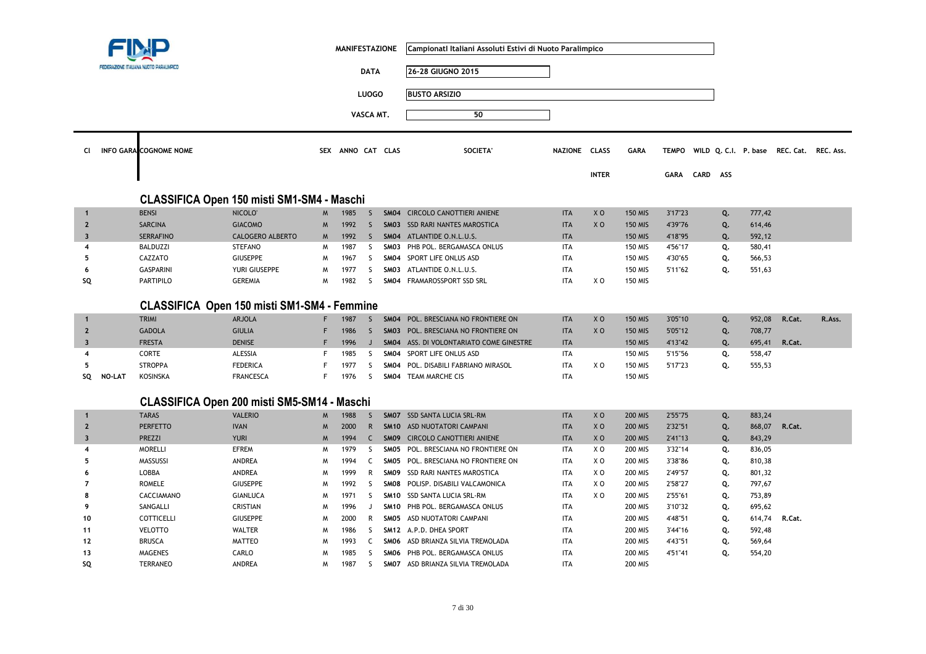|                         |               | FEDERAZIONE ITALIANA NUOTO PARALIMPICO      |                     |          | <b>MANIFESTAZIONE</b> | <b>DATA</b>  |                  | Campionatl Italiani Assoluti Estivi di Nuoto Paralimpico<br>26-28 GIUGNO 2015 |               |                |                |              |      |     |        |                                          |        |
|-------------------------|---------------|---------------------------------------------|---------------------|----------|-----------------------|--------------|------------------|-------------------------------------------------------------------------------|---------------|----------------|----------------|--------------|------|-----|--------|------------------------------------------|--------|
|                         |               |                                             |                     |          |                       |              |                  |                                                                               |               |                |                |              |      |     |        |                                          |        |
|                         |               |                                             |                     |          |                       | <b>LUOGO</b> |                  | <b>BUSTO ARSIZIO</b>                                                          |               |                |                |              |      |     |        |                                          |        |
|                         |               |                                             |                     |          | VASCA MT.             |              |                  | 50                                                                            |               |                |                |              |      |     |        |                                          |        |
|                         |               |                                             |                     |          |                       |              |                  |                                                                               |               |                |                |              |      |     |        |                                          |        |
| CI                      |               | <b>INFO GARA COGNOME NOME</b>               |                     |          | SEX ANNO CAT CLAS     |              |                  | <b>SOCIETA</b>                                                                | NAZIONE CLASS |                | <b>GARA</b>    | <b>TEMPO</b> |      |     |        | WILD Q. C.I. P. base REC. Cat. REC. Ass. |        |
|                         |               |                                             |                     |          |                       |              |                  |                                                                               |               |                |                |              |      |     |        |                                          |        |
|                         |               |                                             |                     |          |                       |              |                  |                                                                               |               | <b>INTER</b>   |                | GARA         | CARD | ASS |        |                                          |        |
|                         |               |                                             |                     |          |                       |              |                  |                                                                               |               |                |                |              |      |     |        |                                          |        |
|                         |               | CLASSIFICA Open 150 misti SM1-SM4 - Maschi  |                     |          |                       |              |                  |                                                                               |               |                |                |              |      |     |        |                                          |        |
| $\mathbf{1}$            |               | <b>BENSI</b>                                | NICOLO <sup>®</sup> | W        | 1985                  | S.           | <b>SM04</b>      | <b>CIRCOLO CANOTTIERI ANIENE</b>                                              | <b>ITA</b>    | X <sub>0</sub> | <b>150 MIS</b> | 3'17"23      |      | Q.  | 777,42 |                                          |        |
| $\overline{2}$          |               | <b>SARCINA</b>                              | <b>GIACOMO</b>      | <b>M</b> | 1992                  | <sub>S</sub> | SM03             | SSD RARI NANTES MAROSTICA                                                     | <b>ITA</b>    | X <sub>0</sub> | <b>150 MIS</b> | 4'39"76      |      | Q.  | 614,46 |                                          |        |
| $\overline{\mathbf{3}}$ |               | <b>SERRAFINO</b>                            | CALOGERO ALBERTO    | W        | 1992                  | S            |                  | SM04 ATLANTIDE O.N.L.U.S.                                                     | <b>ITA</b>    |                | <b>150 MIS</b> | 4'18"95      |      | Q.  | 592,12 |                                          |        |
| $\overline{4}$          |               | <b>BALDUZZI</b>                             | <b>STEFANO</b>      | W        | 1987                  | S            | SM03             | PHB POL. BERGAMASCA ONLUS                                                     | <b>ITA</b>    |                | 150 MIS        | 4'56"17      |      | Q.  | 580,41 |                                          |        |
| 5                       |               | CAZZATO                                     | <b>GIUSEPPE</b>     | W        | 1967                  | S            | SM04             | SPORT LIFE ONLUS ASD                                                          | ITA           |                | 150 MIS        | 4'30"65      |      | Q.  | 566,53 |                                          |        |
| 6                       |               | <b>GASPARINI</b>                            | YURI GIUSEPPE       | м        | 1977                  | S            | SMO3             | ATLANTIDE O.N.L.U.S.                                                          | <b>ITA</b>    |                | <b>150 MIS</b> | 5'11"62      |      | Q.  | 551,63 |                                          |        |
| SQ                      |               | <b>PARTIPILO</b>                            | <b>GEREMIA</b>      | W        | 1982                  | -S           |                  | SM04 FRAMAROSSPORT SSD SRL                                                    | <b>ITA</b>    | X O            | <b>150 MIS</b> |              |      |     |        |                                          |        |
|                         |               |                                             |                     |          |                       |              |                  |                                                                               |               |                |                |              |      |     |        |                                          |        |
|                         |               | CLASSIFICA Open 150 misti SM1-SM4 - Femmine |                     |          |                       |              |                  |                                                                               |               |                |                |              |      |     |        |                                          |        |
| $\mathbf{1}$            |               | <b>TRIMI</b>                                | <b>ARJOLA</b>       | F        | 1987                  | <sub>S</sub> |                  | SM04 POL. BRESCIANA NO FRONTIERE ON                                           | <b>ITA</b>    | X <sub>0</sub> | <b>150 MIS</b> | 3'05"10      |      | Q.  | 952,08 | R.Cat.                                   | R.Ass. |
| $\overline{2}$          |               | <b>GADOLA</b>                               | <b>GIULIA</b>       | F        | 1986                  | <sub>S</sub> |                  | <b>SM03 POL. BRESCIANA NO FRONTIERE ON</b>                                    | <b>ITA</b>    | X <sub>0</sub> | <b>150 MIS</b> | 5'05"12      |      | Q.  | 708,77 |                                          |        |
| $\overline{\mathbf{3}}$ |               | <b>FRESTA</b>                               | <b>DENISE</b>       | F        | 1996                  | $\mathsf J$  |                  | SM04 ASS. DI VOLONTARIATO COME GINESTRE                                       | <b>ITA</b>    |                | <b>150 MIS</b> | 4'13"42      |      | Q.  | 695,41 | R.Cat.                                   |        |
| $\overline{4}$          |               | CORTE                                       | ALESSIA             | F        | 1985                  | S            | SM04             | SPORT LIFE ONLUS ASD                                                          | <b>ITA</b>    |                | <b>150 MIS</b> | 5'15"56      |      | Q.  | 558,47 |                                          |        |
| 5                       |               | <b>STROPPA</b>                              | <b>FEDERICA</b>     | F        | 1977                  | <sub>S</sub> | <b>SM04</b>      | POL. DISABILI FABRIANO MIRASOL                                                | <b>ITA</b>    | X O            | <b>150 MIS</b> | 5'17"23      |      | Q.  | 555,53 |                                          |        |
| SQ                      | <b>NO-LAT</b> | <b>KOSINSKA</b>                             | <b>FRANCESCA</b>    | F.       | 1976                  | -S           |                  | SMO4 TEAM MARCHE CIS                                                          | ITA           |                | <b>150 MIS</b> |              |      |     |        |                                          |        |
|                         |               |                                             |                     |          |                       |              |                  |                                                                               |               |                |                |              |      |     |        |                                          |        |
|                         |               | CLASSIFICA Open 200 misti SM5-SM14 - Maschi |                     |          |                       |              |                  |                                                                               |               |                |                |              |      |     |        |                                          |        |
| $\mathbf{1}$            |               | <b>TARAS</b>                                | <b>VALERIO</b>      | W        | 1988                  | S.           | SM07             | SSD SANTA LUCIA SRL-RM                                                        | <b>ITA</b>    | X <sub>0</sub> | <b>200 MIS</b> | 2'55"75      |      | Q.  | 883,24 |                                          |        |
| $\overline{2}$          |               | <b>PERFETTO</b>                             | <b>IVAN</b>         | M        | 2000                  | $\mathsf{R}$ | <b>SM10</b>      | ASD NUOTATORI CAMPANI                                                         | <b>ITA</b>    | X <sub>0</sub> | <b>200 MIS</b> | 2'32"51      |      | Q.  | 868,07 | R.Cat.                                   |        |
| $\overline{\mathbf{3}}$ |               | PREZZI                                      | <b>YURI</b>         | W        | 1994                  | $\mathsf{C}$ | SMO9             | <b>CIRCOLO CANOTTIERI ANIENE</b>                                              | <b>ITA</b>    | X <sub>0</sub> | <b>200 MIS</b> | 2'41"13      |      | Q.  | 843,29 |                                          |        |
| 4                       |               | <b>MORELLI</b>                              | <b>EFREM</b>        | M        | 1979                  | S            | SM05             | POL. BRESCIANA NO FRONTIERE ON                                                | <b>ITA</b>    | X O            | 200 MIS        | 3'32"14      |      | Q.  | 836,05 |                                          |        |
| 5                       |               | MASSUSSI                                    | <b>ANDREA</b>       | W        | 1994                  | C            | SMO <sub>5</sub> | POL. BRESCIANA NO FRONTIERE ON                                                | <b>ITA</b>    | X O            | <b>200 MIS</b> | 3'38"86      |      | Q.  | 810,38 |                                          |        |
| 6                       |               | LOBBA                                       | ANDREA              | W        | 1999                  | R            | SMO9             | SSD RARI NANTES MAROSTICA                                                     | <b>ITA</b>    | X O            | 200 MIS        | 2'49"57      |      | Q.  | 801,32 |                                          |        |
| 7                       |               | <b>ROMELE</b>                               | <b>GIUSEPPE</b>     | M        | 1992                  | S            | SM08             | POLISP. DISABILI VALCAMONICA                                                  | <b>ITA</b>    | X <sub>0</sub> | <b>200 MIS</b> | 2'58"27      |      | Q.  | 797,67 |                                          |        |
| 8                       |               | CACCIAMANO                                  | <b>GIANLUCA</b>     | W        | 1971                  | S            | <b>SM10</b>      | SSD SANTA LUCIA SRL-RM                                                        | <b>ITA</b>    | X <sub>0</sub> | <b>200 MIS</b> | 2'55"61      |      | Q.  | 753,89 |                                          |        |
| 9                       |               | SANGALLI                                    | <b>CRISTIAN</b>     | W        | 1996                  | J            |                  | SM10 PHB POL. BERGAMASCA ONLUS                                                | ITA           |                | 200 MIS        | 3'10"32      |      | Q.  | 695,62 |                                          |        |
| 10                      |               | COTTICELLI                                  | <b>GIUSEPPE</b>     | M        | 2000                  | R            | SMO <sub>5</sub> | ASD NUOTATORI CAMPANI                                                         | <b>ITA</b>    |                | 200 MIS        | 4'48"51      |      | Q.  | 614,74 | R.Cat.                                   |        |
| 11                      |               | <b>VELOTTO</b>                              | <b>WALTER</b>       | M        | 1986                  | S            |                  | SM12 A.P.D. DHEA SPORT                                                        | ITA           |                | <b>200 MIS</b> | 3'44"16      |      | Q.  | 592,48 |                                          |        |
| 12                      |               | <b>BRUSCA</b>                               | <b>MATTEO</b>       | W        | 1993                  | C            |                  | SMO6 ASD BRIANZA SILVIA TREMOLADA                                             | <b>ITA</b>    |                | <b>200 MIS</b> | 4'43"51      |      | Q.  | 569,64 |                                          |        |
| 13                      |               | <b>MAGENES</b>                              | CARLO               | м        | 1985                  | S            | SMO6             | PHB POL. BERGAMASCA ONLUS                                                     | <b>ITA</b>    |                | <b>200 MIS</b> | 4'51"41      |      | Q.  | 554,20 |                                          |        |
| SQ                      |               | <b>TERRANEO</b>                             | ANDREA              | M        | 1987                  | S            |                  | SMO7 ASD BRIANZA SILVIA TREMOLADA                                             | <b>ITA</b>    |                | <b>200 MIS</b> |              |      |     |        |                                          |        |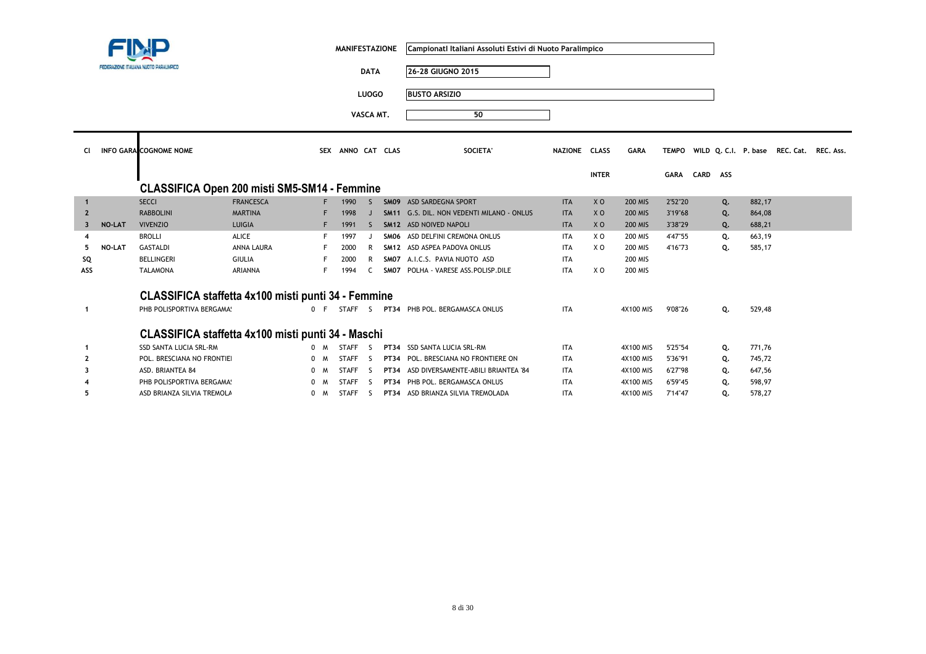|                         |        |                                                     |                  |     | <b>MANIFESTAZIONE</b> |              | Campionati Italiani Assoluti Estivi di Nuoto Paralimpico |               |                |                  |              |          |    |        |                                          |  |
|-------------------------|--------|-----------------------------------------------------|------------------|-----|-----------------------|--------------|----------------------------------------------------------|---------------|----------------|------------------|--------------|----------|----|--------|------------------------------------------|--|
|                         |        | FEDERAZIONE ITALIANA NUOTO PARALIMPICO              |                  |     |                       | <b>DATA</b>  | 26-28 GIUGNO 2015                                        |               |                |                  |              |          |    |        |                                          |  |
|                         |        |                                                     |                  |     |                       | <b>LUOGO</b> | <b>BUSTO ARSIZIO</b>                                     |               |                |                  |              |          |    |        |                                          |  |
|                         |        |                                                     |                  |     |                       | VASCA MT.    | 50                                                       |               |                |                  |              |          |    |        |                                          |  |
| <b>CI</b>               |        | <b>INFO GARA COGNOME NOME</b>                       |                  |     | SEX ANNO CAT CLAS     |              | SOCIETA'                                                 | NAZIONE CLASS |                | <b>GARA</b>      | <b>TEMPO</b> |          |    |        | WILD Q. C.I. P. base REC. Cat. REC. Ass. |  |
|                         |        |                                                     |                  |     |                       |              |                                                          |               | <b>INTER</b>   |                  | GARA         | CARD ASS |    |        |                                          |  |
|                         |        | <b>CLASSIFICA Open 200 misti SM5-SM14 - Femmine</b> |                  |     |                       |              |                                                          |               |                |                  |              |          |    |        |                                          |  |
| $\mathbf{1}$            |        | <b>SECCI</b>                                        | <b>FRANCESCA</b> |     | 1990                  | <sub>S</sub> | SM09 ASD SARDEGNA SPORT                                  | <b>ITA</b>    | X <sub>O</sub> | <b>200 MIS</b>   | 2'52"20      |          | Q. | 882,17 |                                          |  |
| $\overline{2}$          |        | <b>RABBOLINI</b>                                    | <b>MARTINA</b>   |     | 1998                  |              | SM11 G.S. DIL. NON VEDENTI MILANO - ONLUS                | <b>ITA</b>    | X <sub>O</sub> | <b>200 MIS</b>   | 3'19"68      |          | Q. | 864,08 |                                          |  |
| $\overline{\mathbf{3}}$ | NO-LAT | <b>VIVENZIO</b>                                     | LUIGIA           | F.  | 1991                  | -S           | SM12 ASD NOIVED NAPOLI                                   | <b>ITA</b>    | X <sub>0</sub> | <b>200 MIS</b>   | 3'38"29      |          | Q. | 688,21 |                                          |  |
|                         |        | <b>BROLLI</b>                                       | ALICE            |     | 1997                  |              | SMO6 ASD DELFINI CREMONA ONLUS                           | <b>ITA</b>    | X <sub>0</sub> | <b>200 MIS</b>   | 4'47"55      |          | Q. | 663,19 |                                          |  |
| 5                       | NO-LAT | <b>GASTALDI</b>                                     | ANNA LAURA       |     | 2000                  | R            | SM12 ASD ASPEA PADOVA ONLUS                              | <b>ITA</b>    | X O            | <b>200 MIS</b>   | 4'16"73      |          | Q. | 585,17 |                                          |  |
| SQ                      |        | <b>BELLINGERI</b>                                   | <b>GIULIA</b>    |     | 2000                  | R            | SM07 A.I.C.S. PAVIA NUOTO ASD                            | <b>ITA</b>    |                | 200 MIS          |              |          |    |        |                                          |  |
| ASS                     |        | <b>TALAMONA</b>                                     | <b>ARIANNA</b>   |     | 1994                  | C            | SM07 POLHA - VARESE ASS.POLISP.DILE                      | <b>ITA</b>    | X O            | <b>200 MIS</b>   |              |          |    |        |                                          |  |
|                         |        | CLASSIFICA staffetta 4x100 misti punti 34 - Femmine |                  |     |                       |              |                                                          |               |                |                  |              |          |    |        |                                          |  |
| -1                      |        | PHB POLISPORTIVA BERGAMA!                           |                  |     |                       |              | 0 F STAFF S PT34 PHB POL. BERGAMASCA ONLUS               | <b>ITA</b>    |                | <b>4X100 MIS</b> | 9'08"26      |          | Q. | 529,48 |                                          |  |
|                         |        | CLASSIFICA staffetta 4x100 misti punti 34 - Maschi  |                  |     |                       |              |                                                          |               |                |                  |              |          |    |        |                                          |  |
| -1                      |        | SSD SANTA LUCIA SRL-RM                              |                  | 0 M | STAFF <sub>S</sub>    |              | PT34 SSD SANTA LUCIA SRL-RM                              | <b>ITA</b>    |                | 4X100 MIS        | 5'25"54      |          | Q. | 771,76 |                                          |  |
|                         |        | POL. BRESCIANA NO FRONTIEI                          |                  | 0 M | <b>STAFF</b>          | S.           | PT34 POL. BRESCIANA NO FRONTIERE ON                      | <b>ITA</b>    |                | 4X100 MIS        | 5'36"91      |          | Q. | 745,72 |                                          |  |
|                         |        | ASD. BRIANTEA 84                                    |                  | 0 M | <b>STAFF</b>          | S.           | PT34 ASD DIVERSAMENTE-ABILI BRIANTEA '84                 | <b>ITA</b>    |                | 4X100 MIS        | 6'27"98      |          | Q. | 647,56 |                                          |  |
|                         |        | PHB POLISPORTIVA BERGAMA!                           |                  | 0 M | <b>STAFF</b>          | - S          | PT34 PHB POL. BERGAMASCA ONLUS                           | <b>ITA</b>    |                | 4X100 MIS        | 6'59"45      |          | Q. | 598,97 |                                          |  |
| 5                       |        | ASD BRIANZA SILVIA TREMOLA                          |                  | 0 M | <b>STAFF</b>          | <b>S</b>     | PT34 ASD BRIANZA SILVIA TREMOLADA                        | <b>ITA</b>    |                | 4X100 MIS        | 7'14"47      |          | Q. | 578,27 |                                          |  |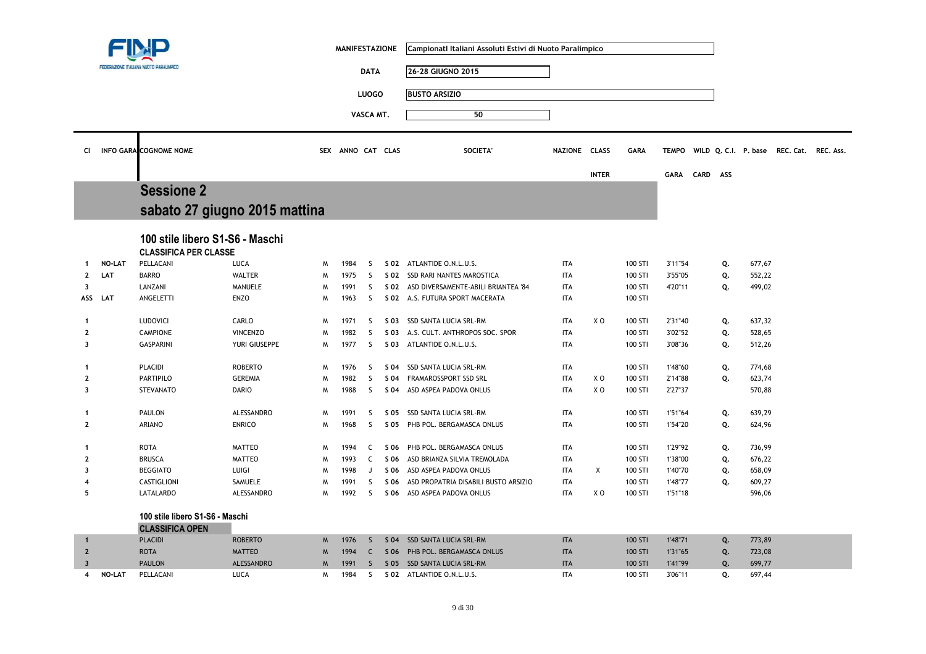|                         |                                   |                                 |                               |          | <b>MANIFESTAZIONE</b> |              |                 | Campionati Italiani Assoluti Estivi di Nuoto Paralimpico |               |                |                |              |          |    |                                          |  |
|-------------------------|-----------------------------------|---------------------------------|-------------------------------|----------|-----------------------|--------------|-----------------|----------------------------------------------------------|---------------|----------------|----------------|--------------|----------|----|------------------------------------------|--|
|                         | EDERAZIONE ITALIANA NUOTO PARALIN |                                 |                               |          |                       | <b>DATA</b>  |                 | 26-28 GIUGNO 2015                                        |               |                |                |              |          |    |                                          |  |
|                         |                                   |                                 |                               |          |                       |              |                 |                                                          |               |                |                |              |          |    |                                          |  |
|                         |                                   |                                 |                               |          |                       | <b>LUOGO</b> |                 | <b>BUSTO ARSIZIO</b>                                     |               |                |                |              |          |    |                                          |  |
|                         |                                   |                                 |                               |          |                       | VASCA MT.    |                 | 50                                                       |               |                |                |              |          |    |                                          |  |
|                         |                                   |                                 |                               |          |                       |              |                 |                                                          |               |                |                |              |          |    |                                          |  |
| CI.                     |                                   | <b>INFO GARA COGNOME NOME</b>   |                               |          | SEX ANNO CAT CLAS     |              |                 | SOCIETA'                                                 | NAZIONE CLASS |                | <b>GARA</b>    | <b>TEMPO</b> |          |    | WILD Q. C.I. P. base REC. Cat. REC. Ass. |  |
|                         |                                   |                                 |                               |          |                       |              |                 |                                                          |               |                |                |              |          |    |                                          |  |
|                         |                                   |                                 |                               |          |                       |              |                 |                                                          |               | <b>INTER</b>   |                | GARA         | CARD ASS |    |                                          |  |
|                         |                                   | <b>Sessione 2</b>               |                               |          |                       |              |                 |                                                          |               |                |                |              |          |    |                                          |  |
|                         |                                   |                                 | sabato 27 giugno 2015 mattina |          |                       |              |                 |                                                          |               |                |                |              |          |    |                                          |  |
|                         |                                   |                                 |                               |          |                       |              |                 |                                                          |               |                |                |              |          |    |                                          |  |
|                         |                                   | 100 stile libero S1-S6 - Maschi |                               |          |                       |              |                 |                                                          |               |                |                |              |          |    |                                          |  |
|                         |                                   | <b>CLASSIFICA PER CLASSE</b>    |                               |          |                       |              |                 |                                                          |               |                |                |              |          |    |                                          |  |
| -1                      | NO-LAT                            | PELLACANI                       | <b>LUCA</b>                   | W        | 1984                  | S            | S 02            | ATLANTIDE O.N.L.U.S.                                     | <b>ITA</b>    |                | 100 STI        | 3'11"54      |          | Q. | 677,67                                   |  |
| $\overline{2}$          | LAT                               | <b>BARRO</b>                    | <b>WALTER</b>                 | M        | 1975                  | <sub>S</sub> | S 02            | SSD RARI NANTES MAROSTICA                                | <b>ITA</b>    |                | 100 STI        | 3'55"05      |          | Q. | 552,22                                   |  |
| 3                       |                                   | LANZANI                         | <b>MANUELE</b>                | M        | 1991                  | S.           | S 02            | ASD DIVERSAMENTE-ABILI BRIANTEA '84                      | <b>ITA</b>    |                | 100 STI        | 4'20"11      |          | Q. | 499,02                                   |  |
| ASS                     | LAT                               | ANGELETTI                       | <b>ENZO</b>                   | W        | 1963                  | S            |                 | S 02 A.S. FUTURA SPORT MACERATA                          | <b>ITA</b>    |                | 100 STI        |              |          |    |                                          |  |
| $\mathbf{1}$            |                                   | LUDOVICI                        | CARLO                         | M        | 1971                  | S            | S 03            | SSD SANTA LUCIA SRL-RM                                   | <b>ITA</b>    | X O            | 100 STI        | 2'31"40      |          | Q. | 637,32                                   |  |
| $\mathbf{2}$            |                                   | <b>CAMPIONE</b>                 | <b>VINCENZO</b>               | W        | 1982                  | S            | S 03            | A.S. CULT. ANTHROPOS SOC. SPOR                           | <b>ITA</b>    |                | 100 STI        | 3'02"52      |          | Q. | 528,65                                   |  |
| $\overline{\mathbf{3}}$ |                                   | <b>GASPARINI</b>                | YURI GIUSEPPE                 | W        | 1977                  | S            | S 03            | ATLANTIDE O.N.L.U.S.                                     | <b>ITA</b>    |                | 100 STI        | 3'08"36      |          | Q. | 512,26                                   |  |
| $\mathbf{1}$            |                                   | PLACIDI                         | <b>ROBERTO</b>                | W        | 1976                  | S            | S 04            | SSD SANTA LUCIA SRL-RM                                   | <b>ITA</b>    |                | 100 STI        | 1'48"60      |          | Q. | 774,68                                   |  |
| $\mathbf{2}$            |                                   | PARTIPILO                       | <b>GEREMIA</b>                | M        | 1982                  | S.           | S 04            | FRAMAROSSPORT SSD SRL                                    | <b>ITA</b>    | X O            | 100 STI        | 2'14"88      |          | Q. | 623,74                                   |  |
| $\overline{\mathbf{3}}$ |                                   | <b>STEVANATO</b>                | <b>DARIO</b>                  | W        | 1988                  | S            | S 04            | ASD ASPEA PADOVA ONLUS                                   | <b>ITA</b>    | X <sub>0</sub> | 100 STI        | 2'27"37      |          |    | 570,88                                   |  |
|                         |                                   |                                 |                               |          |                       |              |                 |                                                          |               |                |                |              |          |    |                                          |  |
| -1                      |                                   | PAULON                          | ALESSANDRO                    | W        | 1991                  | S            | S 05            | SSD SANTA LUCIA SRL-RM                                   | <b>ITA</b>    |                | 100 STI        | 1'51"64      |          | Q. | 639,29                                   |  |
| $\overline{2}$          |                                   | ARIANO                          | <b>ENRICO</b>                 | W        | 1968                  | S            | S 05            | PHB POL. BERGAMASCA ONLUS                                | <b>ITA</b>    |                | 100 STI        | 1'54"20      |          | Q. | 624,96                                   |  |
|                         |                                   |                                 |                               |          |                       |              |                 |                                                          |               |                |                |              |          |    |                                          |  |
| -1                      |                                   | <b>ROTA</b>                     | <b>MATTEO</b>                 | W        | 1994                  | C            | S 06            | PHB POL. BERGAMASCA ONLUS                                | <b>ITA</b>    |                | 100 STI        | 1'29"92      |          | Q. | 736,99                                   |  |
| $\overline{\mathbf{2}}$ |                                   | <b>BRUSCA</b>                   | <b>MATTEO</b>                 | W        | 1993                  | C            | S 06            | ASD BRIANZA SILVIA TREMOLADA                             | <b>ITA</b>    |                | 100 STI        | 1'38"00      |          | Q. | 676,22                                   |  |
| 3                       |                                   | <b>BEGGIATO</b>                 | LUIGI                         | M        | 1998                  | J            | S 06            | ASD ASPEA PADOVA ONLUS                                   | <b>ITA</b>    | X              | 100 STI        | 1'40"70      |          | Q. | 658,09                                   |  |
|                         |                                   | CASTIGLIONI                     | SAMUELE                       | W        | 1991                  | S            | S 06            | ASD PROPATRIA DISABILI BUSTO ARSIZIO                     | <b>ITA</b>    |                | 100 STI        | 1'48"77      |          | Q. | 609,27                                   |  |
| 5                       |                                   | LATALARDO                       | ALESSANDRO                    | W        | 1992                  | S            | S 06            | ASD ASPEA PADOVA ONLUS                                   | <b>ITA</b>    | X <sub>0</sub> | 100 STI        | 1'51"18      |          |    | 596,06                                   |  |
|                         |                                   | 100 stile libero S1-S6 - Maschi |                               |          |                       |              |                 |                                                          |               |                |                |              |          |    |                                          |  |
|                         |                                   | <b>CLASSIFICA OPEN</b>          |                               |          |                       |              |                 |                                                          |               |                |                |              |          |    |                                          |  |
| $\mathbf 1$             |                                   | <b>PLACIDI</b>                  | <b>ROBERTO</b>                | M        | 1976                  | <sub>S</sub> | S <sub>04</sub> | SSD SANTA LUCIA SRL-RM                                   | <b>ITA</b>    |                | <b>100 STI</b> | 1'48"71      |          | Q. | 773,89                                   |  |
| $\overline{2}$          |                                   | <b>ROTA</b>                     | <b>MATTEO</b>                 | W        | 1994                  | C            | S 06            | PHB POL. BERGAMASCA ONLUS                                | <b>ITA</b>    |                | 100 STI        | 1'31"65      |          | Q. | 723,08                                   |  |
| $\overline{\mathbf{3}}$ |                                   | <b>PAULON</b>                   | ALESSANDRO                    | <b>M</b> | 1991                  | <sub>S</sub> | S 05            | SSD SANTA LUCIA SRL-RM                                   | <b>ITA</b>    |                | 100 STI        | 1'41"99      |          | Q. | 699,77                                   |  |
| 4                       | <b>NO-LAT</b>                     | PELLACANI                       | LUCA                          | M        | 1984                  | S            |                 | S 02 ATLANTIDE O.N.L.U.S.                                | <b>ITA</b>    |                | 100 STI        | 3'06"11      |          | Q. | 697,44                                   |  |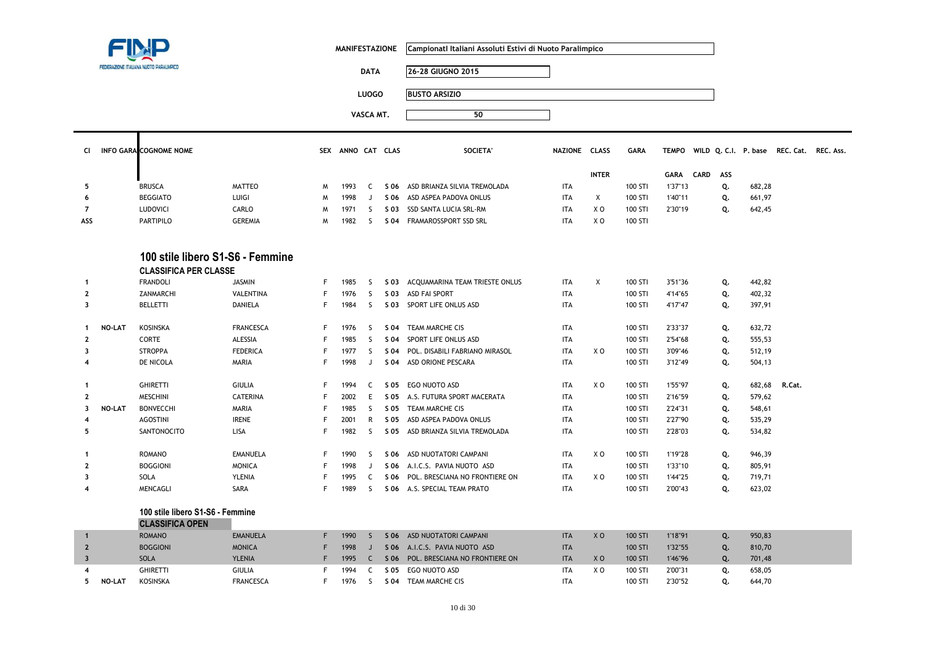|                         |               |                                                                  |                  |    | <b>MANIFESTAZIONE</b> |              |      | Campionati Italiani Assoluti Estivi di Nuoto Paralimpico |               |                |             |              |                      |        |                     |  |
|-------------------------|---------------|------------------------------------------------------------------|------------------|----|-----------------------|--------------|------|----------------------------------------------------------|---------------|----------------|-------------|--------------|----------------------|--------|---------------------|--|
|                         |               | FDFDAZIONE ITALIANA NUOTO PARALIMPICI                            |                  |    |                       | <b>DATA</b>  |      | 26-28 GIUGNO 2015                                        |               |                |             |              |                      |        |                     |  |
|                         |               |                                                                  |                  |    |                       | <b>LUOGO</b> |      | <b>BUSTO ARSIZIO</b>                                     |               |                |             |              |                      |        |                     |  |
|                         |               |                                                                  |                  |    |                       |              |      |                                                          |               |                |             |              |                      |        |                     |  |
|                         |               |                                                                  |                  |    |                       | VASCA MT.    |      | 50                                                       |               |                |             |              |                      |        |                     |  |
| CI                      |               | <b>INFO GARA COGNOME NOME</b>                                    |                  |    | SEX ANNO CAT CLAS     |              |      | <b>SOCIETA'</b>                                          | NAZIONE CLASS |                | <b>GARA</b> | <b>TEMPO</b> | WILD Q. C.I. P. base |        | REC. Cat. REC. Ass. |  |
|                         |               |                                                                  |                  |    |                       |              |      |                                                          |               | <b>INTER</b>   |             | <b>GARA</b>  | CARD<br>ASS          |        |                     |  |
| 5                       |               | <b>BRUSCA</b>                                                    | <b>MATTEO</b>    | M  | 1993                  | C            | S 06 | ASD BRIANZA SILVIA TREMOLADA                             | <b>ITA</b>    |                | 100 STI     | 1'37"13      | Q.                   | 682,28 |                     |  |
| 6                       |               | <b>BEGGIATO</b>                                                  | LUIGI            | M  | 1998                  | J            | S 06 | ASD ASPEA PADOVA ONLUS                                   | <b>ITA</b>    | X              | 100 STI     | 1'40"11      | Q.                   | 661,97 |                     |  |
| $\overline{7}$          |               | LUDOVICI                                                         | CARLO            | M  | 1971                  | <sub>S</sub> | S 03 | SSD SANTA LUCIA SRL-RM                                   | <b>ITA</b>    | X <sub>0</sub> | 100 STI     | 2'30"19      | Q.                   | 642,45 |                     |  |
| ASS                     |               | PARTIPILO                                                        | <b>GEREMIA</b>   | M  | 1982                  | S.           | S 04 | FRAMAROSSPORT SSD SRL                                    | <b>ITA</b>    | X <sub>0</sub> | 100 STI     |              |                      |        |                     |  |
|                         |               | 100 stile libero S1-S6 - Femmine<br><b>CLASSIFICA PER CLASSE</b> |                  |    |                       |              |      |                                                          |               |                |             |              |                      |        |                     |  |
| -1                      |               | <b>FRANDOLI</b>                                                  | <b>JASMIN</b>    | F  | 1985                  | S.           |      | S 03 ACQUAMARINA TEAM TRIESTE ONLUS                      | <b>ITA</b>    | X              | 100 STI     | 3'51"36      | Q.                   | 442,82 |                     |  |
| $\overline{2}$          |               | ZANMARCHI                                                        | <b>VALENTINA</b> | F  | 1976                  | <sub>S</sub> | S 03 | ASD FAI SPORT                                            | <b>ITA</b>    |                | 100 STI     | 4'14"65      | Q.                   | 402,32 |                     |  |
| 3                       |               | <b>BELLETTI</b>                                                  | DANIELA          | F  | 1984                  | S.           |      | S 03 SPORT LIFE ONLUS ASD                                | <b>ITA</b>    |                | 100 STI     | 4'17"47      | Q.                   | 397,91 |                     |  |
| $\mathbf{1}$            | <b>NO-LAT</b> | <b>KOSINSKA</b>                                                  | <b>FRANCESCA</b> | F  | 1976                  | S.           | S 04 | TEAM MARCHE CIS                                          | <b>ITA</b>    |                | 100 STI     | 2'33"37      | Q.                   | 632,72 |                     |  |
| $\overline{2}$          |               | CORTE                                                            | ALESSIA          | F  | 1985                  | <sub>S</sub> | S 04 | SPORT LIFE ONLUS ASD                                     | <b>ITA</b>    |                | 100 STI     | 2'54"68      | Q.                   | 555,53 |                     |  |
| 3                       |               | <b>STROPPA</b>                                                   | <b>FEDERICA</b>  | F  | 1977                  | S.           | S 04 | POL. DISABILI FABRIANO MIRASOL                           | <b>ITA</b>    | XO             | 100 STI     | 3'09"46      | Q.                   | 512,19 |                     |  |
| 4                       |               | DE NICOLA                                                        | MARIA            | F  | 1998                  | J            | S 04 | ASD ORIONE PESCARA                                       | <b>ITA</b>    |                | 100 STI     | 3'12"49      | Q.                   | 504,13 |                     |  |
| $\mathbf{1}$            |               | <b>GHIRETTI</b>                                                  | <b>GIULIA</b>    | F  | 1994                  | C            | S 05 | EGO NUOTO ASD                                            | <b>ITA</b>    | X <sub>0</sub> | 100 STI     | 1'55"97      | Q.                   | 682,68 | R.Cat.              |  |
| $\mathbf{2}$            |               | <b>MESCHINI</b>                                                  | <b>CATERINA</b>  | F  | 2002                  | E            | S 05 | A.S. FUTURA SPORT MACERATA                               | <b>ITA</b>    |                | 100 STI     | 2'16"59      | Q.                   | 579,62 |                     |  |
| $\overline{\mathbf{3}}$ | NO-LAT        | <b>BONVECCHI</b>                                                 | <b>MARIA</b>     | F  | 1985                  | <sub>S</sub> | S 05 | TEAM MARCHE CIS                                          | <b>ITA</b>    |                | 100 STI     | 2'24"31      | Q.                   | 548,61 |                     |  |
| 4                       |               | <b>AGOSTINI</b>                                                  | <b>IRENE</b>     | F  | 2001                  | R            | S 05 | ASD ASPEA PADOVA ONLUS                                   | <b>ITA</b>    |                | 100 STI     | 2'27"90      | Q.                   | 535,29 |                     |  |
| 5                       |               | SANTONOCITO                                                      | LISA             | F  | 1982                  | -S           |      | S 05 ASD BRIANZA SILVIA TREMOLADA                        | <b>ITA</b>    |                | 100 STI     | 2'28"03      | Q.                   | 534,82 |                     |  |
| $\mathbf{1}$            |               | <b>ROMANO</b>                                                    | <b>EMANUELA</b>  | F  | 1990                  | S            | S 06 | ASD NUOTATORI CAMPANI                                    | <b>ITA</b>    | XO             | 100 STI     | 1'19"28      | Q.                   | 946,39 |                     |  |
| $\mathbf{z}$            |               | <b>BOGGIONI</b>                                                  | <b>MONICA</b>    | F  | 1998                  | J            | S 06 | A.I.C.S. PAVIA NUOTO ASD                                 | <b>ITA</b>    |                | 100 STI     | 1'33"10      | Q.                   | 805,91 |                     |  |
| 3                       |               | SOLA                                                             | <b>YLENIA</b>    | F  | 1995                  | C            | S 06 | POL. BRESCIANA NO FRONTIERE ON                           | <b>ITA</b>    | X <sub>0</sub> | 100 STI     | 1'44"25      | Q.                   | 719,71 |                     |  |
| 4                       |               | MENCAGLI                                                         | SARA             | F  | 1989                  | S.           |      | S 06 A.S. SPECIAL TEAM PRATO                             | <b>ITA</b>    |                | 100 STI     | 2'00"43      | Q.                   | 623,02 |                     |  |
|                         |               | 100 stile libero S1-S6 - Femmine<br><b>CLASSIFICA OPEN</b>       |                  |    |                       |              |      |                                                          |               |                |             |              |                      |        |                     |  |
| $\mathbf{1}$            |               | <b>ROMANO</b>                                                    | <b>EMANUELA</b>  | F. | 1990                  | S.           |      | S 06 ASD NUOTATORI CAMPANI                               | <b>ITA</b>    | XO             | 100 STI     | 1'18"91      | Q.                   | 950,83 |                     |  |
| $\overline{2}$          |               | <b>BOGGIONI</b>                                                  | <b>MONICA</b>    | F  | 1998                  | J            |      | S 06 A.I.C.S. PAVIA NUOTO ASD                            | <b>ITA</b>    |                | 100 STI     | 1'32"55      | Q.                   | 810,70 |                     |  |
| $\overline{\mathbf{3}}$ |               | SOLA                                                             | <b>YLENIA</b>    | F  | 1995                  | $\mathsf{C}$ |      | S 06 POL. BRESCIANA NO FRONTIERE ON                      | <b>ITA</b>    | X <sub>O</sub> | 100 STI     | 1'46"96      | Q.                   | 701,48 |                     |  |
| 4                       |               | <b>GHIRETTI</b>                                                  | <b>GIULIA</b>    | F  | 1994                  | C            | S 05 | EGO NUOTO ASD                                            | <b>ITA</b>    | X <sub>0</sub> | 100 STI     | 2'00"31      | Q.                   | 658,05 |                     |  |
| 5                       | <b>NO-LAT</b> | <b>KOSINSKA</b>                                                  | <b>FRANCESCA</b> | F  | 1976                  | <sub>S</sub> |      | S 04 TEAM MARCHE CIS                                     | <b>ITA</b>    |                | 100 STI     | 2'30"52      | Q.                   | 644,70 |                     |  |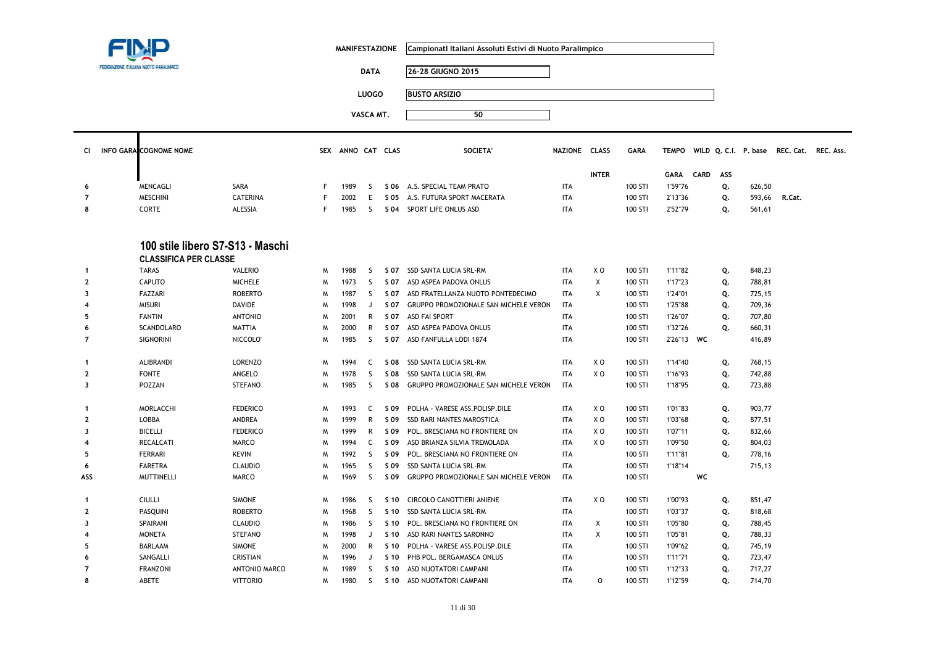|                         |                                                                  |                      |   | <b>MANIFESTAZIONE</b> |              |      | Campionati Italiani Assoluti Estivi di Nuoto Paralimpico |               |                           |             |             |             |     |        |                                                |  |
|-------------------------|------------------------------------------------------------------|----------------------|---|-----------------------|--------------|------|----------------------------------------------------------|---------------|---------------------------|-------------|-------------|-------------|-----|--------|------------------------------------------------|--|
|                         | EDERAZIONE ITALIANA NUOTO PARALIMPICO                            |                      |   |                       | <b>DATA</b>  |      | 26-28 GIUGNO 2015                                        |               |                           |             |             |             |     |        |                                                |  |
|                         |                                                                  |                      |   |                       | <b>LUOGO</b> |      | <b>BUSTO ARSIZIO</b>                                     |               |                           |             |             |             |     |        |                                                |  |
|                         |                                                                  |                      |   |                       |              |      |                                                          |               |                           |             |             |             |     |        |                                                |  |
|                         |                                                                  |                      |   |                       | VASCA MT.    |      | 50                                                       |               |                           |             |             |             |     |        |                                                |  |
| CI.                     | <b>INFO GARA COGNOME NOME</b>                                    |                      |   | SEX ANNO CAT CLAS     |              |      | <b>SOCIETA'</b>                                          | NAZIONE CLASS |                           | <b>GARA</b> |             |             |     |        | TEMPO WILD Q. C.I. P. base REC. Cat. REC. Ass. |  |
|                         |                                                                  |                      |   |                       |              |      |                                                          |               | <b>INTER</b>              |             | <b>GARA</b> | <b>CARD</b> | ASS |        |                                                |  |
| 6                       | MENCAGLI                                                         | SARA                 | F | 1989                  | <sub>S</sub> | S 06 | A.S. SPECIAL TEAM PRATO                                  | <b>ITA</b>    |                           | 100 STI     | 1'59"76     |             | Q.  | 626,50 |                                                |  |
| $\overline{7}$          | <b>MESCHINI</b>                                                  | <b>CATERINA</b>      | F | 2002                  | E            | S 05 | A.S. FUTURA SPORT MACERATA                               | <b>ITA</b>    |                           | 100 STI     | 2'13"36     |             | Q.  | 593,66 | R.Cat.                                         |  |
| 8                       | <b>CORTE</b>                                                     | ALESSIA              | F | 1985                  | <sub>S</sub> |      | S 04 SPORT LIFE ONLUS ASD                                | <b>ITA</b>    |                           | 100 STI     | 2'52"79     |             | Q.  | 561,61 |                                                |  |
|                         | 100 stile libero S7-S13 - Maschi<br><b>CLASSIFICA PER CLASSE</b> |                      |   |                       |              |      |                                                          |               |                           |             |             |             |     |        |                                                |  |
| -1                      | <b>TARAS</b>                                                     | <b>VALERIO</b>       | W | 1988                  | S            |      | S 07 SSD SANTA LUCIA SRL-RM                              | <b>ITA</b>    | X <sub>0</sub>            | 100 STI     | 1'11"82     |             | Q.  | 848,23 |                                                |  |
| $\overline{2}$          | <b>CAPUTO</b>                                                    | <b>MICHELE</b>       | W | 1973                  | <sub>S</sub> | S 07 | ASD ASPEA PADOVA ONLUS                                   | <b>ITA</b>    | $\pmb{\chi}$              | 100 STI     | 1'17"23     |             | Q.  | 788,81 |                                                |  |
| 3                       | FAZZARI                                                          | <b>ROBERTO</b>       | M | 1987                  | <sub>S</sub> | S 07 | ASD FRATELLANZA NUOTO PONTEDECIMO                        | <b>ITA</b>    | X                         | 100 STI     | 1'24"01     |             | Q.  | 725,15 |                                                |  |
|                         | <b>MISURI</b>                                                    | <b>DAVIDE</b>        | M | 1998                  | J            | S 07 | GRUPPO PROMOZIONALE SAN MICHELE VERON                    | <b>ITA</b>    |                           | 100 STI     | 1'25"88     |             | Q.  | 709,36 |                                                |  |
| 5                       | <b>FANTIN</b>                                                    | <b>ANTONIO</b>       | W | 2001                  | $\mathsf{R}$ | S 07 | <b>ASD FAI SPORT</b>                                     | <b>ITA</b>    |                           | 100 STI     | 1'26"07     |             | Q.  | 707,80 |                                                |  |
| 6                       | SCANDOLARO                                                       | <b>MATTIA</b>        | M | 2000                  | $\mathsf{R}$ | S 07 | ASD ASPEA PADOVA ONLUS                                   | <b>ITA</b>    |                           | 100 STI     | 1'32"26     |             | Q.  | 660,31 |                                                |  |
| $\overline{7}$          | <b>SIGNORINI</b>                                                 | NICCOLO <sup>®</sup> | W | 1985                  | S            | S 07 | ASD FANFULLA LODI 1874                                   | <b>ITA</b>    |                           | 100 STI     | 2'26"13 WC  |             |     | 416,89 |                                                |  |
| $\mathbf{1}$            | ALIBRANDI                                                        | LORENZO              | W | 1994                  | C            | S 08 | SSD SANTA LUCIA SRL-RM                                   | <b>ITA</b>    | X O                       | 100 STI     | 1'14"40     |             | Q.  | 768,15 |                                                |  |
| $\mathbf{2}$            | <b>FONTE</b>                                                     | ANGELO               | M | 1978                  | S            | S 08 | SSD SANTA LUCIA SRL-RM                                   | <b>ITA</b>    | X <sub>0</sub>            | 100 STI     | 1'16"93     |             | Q.  | 742,88 |                                                |  |
| $\overline{\mathbf{3}}$ | POZZAN                                                           | <b>STEFANO</b>       | W | 1985                  | S            | S 08 | GRUPPO PROMOZIONALE SAN MICHELE VERON                    | <b>ITA</b>    |                           | 100 STI     | 1'18"95     |             | Q.  | 723,88 |                                                |  |
| -1                      | MORLACCHI                                                        | <b>FEDERICO</b>      | W | 1993                  | $\mathsf{C}$ | S 09 | POLHA - VARESE ASS.POLISP.DILE                           | <b>ITA</b>    | X O                       | 100 STI     | 1'01"83     |             | Q.  | 903,77 |                                                |  |
| $\mathbf{2}$            | LOBBA                                                            | ANDREA               | W | 1999                  | R            | S 09 | SSD RARI NANTES MAROSTICA                                | <b>ITA</b>    | X O                       | 100 STI     | 1'03"68     |             | Q.  | 877,51 |                                                |  |
| 3                       | <b>BICELLI</b>                                                   | <b>FEDERICO</b>      | W | 1999                  | $\mathsf{R}$ | S 09 | POL. BRESCIANA NO FRONTIERE ON                           | <b>ITA</b>    | X O                       | 100 STI     | 1'07"11     |             | Q.  | 832,66 |                                                |  |
|                         | RECALCATI                                                        | MARCO                | W | 1994                  | C            | S 09 | ASD BRIANZA SILVIA TREMOLADA                             | <b>ITA</b>    | ΧO                        | 100 STI     | 1'09"50     |             | Q.  | 804,03 |                                                |  |
| 5                       | <b>FERRARI</b>                                                   | <b>KEVIN</b>         | M | 1992                  | S            | S 09 | POL. BRESCIANA NO FRONTIERE ON                           | <b>ITA</b>    |                           | 100 STI     | 1'11"81     |             | Q.  | 778,16 |                                                |  |
| 6                       | <b>FARETRA</b>                                                   | <b>CLAUDIO</b>       | W | 1965                  | S            | S 09 | SSD SANTA LUCIA SRL-RM                                   | <b>ITA</b>    |                           | 100 STI     | 1'18"14     |             |     | 715,13 |                                                |  |
| ASS                     | <b>MUTTINELLI</b>                                                | MARCO                | W | 1969                  | S            | S 09 | GRUPPO PROMOZIONALE SAN MICHELE VERON                    | <b>ITA</b>    |                           | 100 STI     |             | WC          |     |        |                                                |  |
| -1                      | <b>CIULLI</b>                                                    | <b>SIMONE</b>        | M | 1986                  | -S           | S 10 | CIRCOLO CANOTTIERI ANIENE                                | <b>ITA</b>    | X O                       | 100 STI     | 1'00"93     |             | Q.  | 851,47 |                                                |  |
| $\overline{2}$          | PASQUINI                                                         | <b>ROBERTO</b>       | M | 1968                  | <sub>S</sub> | S 10 | SSD SANTA LUCIA SRL-RM                                   | <b>ITA</b>    |                           | 100 STI     | 1'03"37     |             | Q.  | 818,68 |                                                |  |
| 3                       | SPAIRANI                                                         | <b>CLAUDIO</b>       | M | 1986                  | S.           | S 10 | POL. BRESCIANA NO FRONTIERE ON                           | <b>ITA</b>    | $\boldsymbol{\mathsf{X}}$ | 100 STI     | 1'05"80     |             | Q.  | 788,45 |                                                |  |
|                         | <b>MONETA</b>                                                    | <b>STEFANO</b>       | M | 1998                  | J            | S 10 | ASD RARI NANTES SARONNO                                  | <b>ITA</b>    | Χ                         | 100 STI     | 1'05"81     |             | Q.  | 788,33 |                                                |  |
| 5                       | BARLAAM                                                          | <b>SIMONE</b>        | м | 2000                  | R            | S 10 | POLHA - VARESE ASS.POLISP.DILE                           | ITA           |                           | 100 STI     | 1'09"62     |             | Q.  | 745,19 |                                                |  |
| 6                       | SANGALLI                                                         | <b>CRISTIAN</b>      | M | 1996                  | J            | S 10 | PHB POL, BERGAMASCA ONLUS                                | <b>ITA</b>    |                           | 100 STI     | 1'11"71     |             | Q.  | 723,47 |                                                |  |
| 7                       | <b>FRANZONI</b>                                                  | <b>ANTONIO MARCO</b> | M | 1989                  | S            | S 10 | ASD NUOTATORI CAMPANI                                    | <b>ITA</b>    |                           | 100 STI     | 1'12"33     |             | Q.  | 717,27 |                                                |  |
| 8                       | ABETE                                                            | <b>VITTORIO</b>      | W | 1980                  | S            | S 10 | ASD NUOTATORI CAMPANI                                    | <b>ITA</b>    | $\circ$                   | 100 STI     | 1'12"59     |             | Q.  | 714,70 |                                                |  |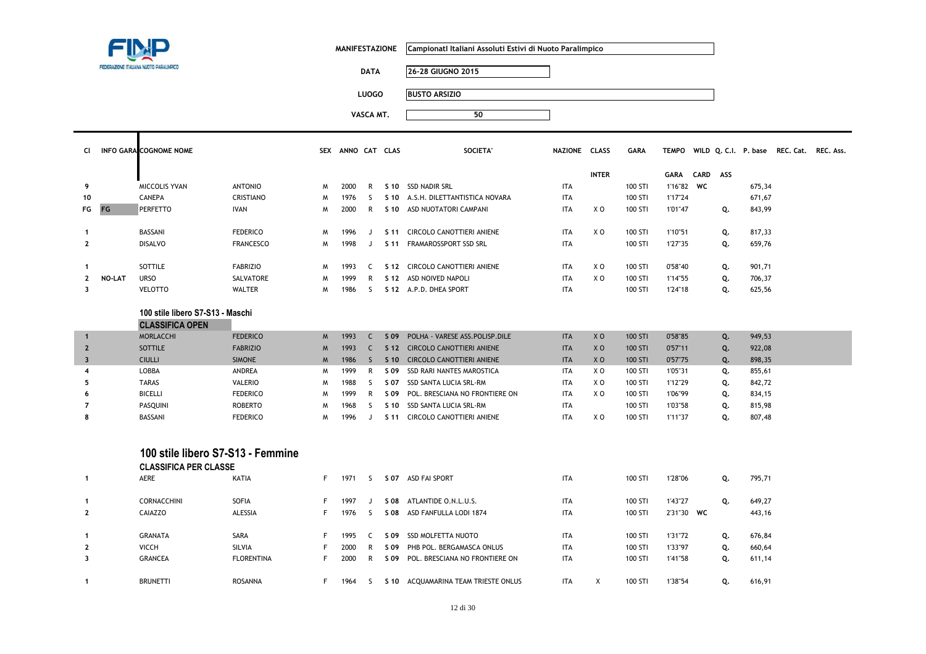|                         |        |                                                                   |                   |   | <b>MANIFESTAZIONE</b> |              |      | Campionati Italiani Assoluti Estivi di Nuoto Paralimpico |               |                |             |              |             |     |        |                                          |  |
|-------------------------|--------|-------------------------------------------------------------------|-------------------|---|-----------------------|--------------|------|----------------------------------------------------------|---------------|----------------|-------------|--------------|-------------|-----|--------|------------------------------------------|--|
|                         |        | FEDERAZIONE ITALIANA NUOTO PARALIMPICI                            |                   |   |                       | <b>DATA</b>  |      | 26-28 GIUGNO 2015                                        |               |                |             |              |             |     |        |                                          |  |
|                         |        |                                                                   |                   |   |                       | <b>LUOGO</b> |      | <b>BUSTO ARSIZIO</b>                                     |               |                |             |              |             |     |        |                                          |  |
|                         |        |                                                                   |                   |   |                       | VASCA MT.    |      | 50                                                       |               |                |             |              |             |     |        |                                          |  |
|                         |        |                                                                   |                   |   |                       |              |      |                                                          |               |                |             |              |             |     |        |                                          |  |
| CI                      |        | <b>INFO GARA COGNOME NOME</b>                                     |                   |   | SEX ANNO CAT CLAS     |              |      | <b>SOCIETA</b>                                           | NAZIONE CLASS |                | <b>GARA</b> | <b>TEMPO</b> |             |     |        | WILD Q. C.I. P. base REC. Cat. REC. Ass. |  |
|                         |        |                                                                   |                   |   |                       |              |      |                                                          |               | <b>INTER</b>   |             | <b>GARA</b>  | <b>CARD</b> | ASS |        |                                          |  |
| 9                       |        | MICCOLIS YVAN                                                     | <b>ANTONIO</b>    | M | 2000                  | $\mathsf{R}$ |      | S 10 SSD NADIR SRL                                       | <b>ITA</b>    |                | 100 STI     | 1'16"82 WC   |             |     | 675,34 |                                          |  |
| 10                      |        | <b>CANEPA</b>                                                     | <b>CRISTIANO</b>  | M | 1976                  | <sub>S</sub> | S 10 | A.S.H. DILETTANTISTICA NOVARA                            | <b>ITA</b>    |                | 100 STI     | 1'17"24      |             |     | 671,67 |                                          |  |
| FG                      | FG     | PERFETTO                                                          | <b>IVAN</b>       | M | 2000                  | R            |      | S 10 ASD NUOTATORI CAMPANI                               | <b>ITA</b>    | X <sub>0</sub> | 100 STI     | 1'01"47      |             | Q.  | 843,99 |                                          |  |
| $\mathbf{1}$            |        | BASSANI                                                           | <b>FEDERICO</b>   | M | 1996                  | J            |      | S 11 CIRCOLO CANOTTIERI ANIENE                           | <b>ITA</b>    | X <sub>0</sub> | 100 STI     | 1'10"51      |             | Q.  | 817,33 |                                          |  |
| $\mathbf{2}$            |        | <b>DISALVO</b>                                                    | <b>FRANCESCO</b>  | M | 1998                  | J            |      | S 11 FRAMAROSSPORT SSD SRL                               | <b>ITA</b>    |                | 100 STI     | 1'27"35      |             | Q.  | 659,76 |                                          |  |
| $\mathbf{1}$            |        | SOTTILE                                                           | <b>FABRIZIO</b>   | M | 1993                  | C            |      | S 12 CIRCOLO CANOTTIERI ANIENE                           | <b>ITA</b>    | XO             | 100 STI     | 0'58"40      |             | Q.  | 901,71 |                                          |  |
| $\mathbf{2}$            | NO-LAT | <b>URSO</b>                                                       | SALVATORE         | M | 1999                  | $\mathsf{R}$ |      | S 12 ASD NOIVED NAPOLI                                   | <b>ITA</b>    | XO             | 100 STI     | 1'14"55      |             | Q.  | 706,37 |                                          |  |
| $\overline{\mathbf{3}}$ |        | <b>VELOTTO</b>                                                    | <b>WALTER</b>     | M | 1986                  | S.           |      | S 12 A.P.D. DHEA SPORT                                   | <b>ITA</b>    |                | 100 STI     | 1'24"18      |             | Q.  | 625,56 |                                          |  |
|                         |        | 100 stile libero S7-S13 - Maschi<br><b>CLASSIFICA OPEN</b>        |                   |   |                       |              |      |                                                          |               |                |             |              |             |     |        |                                          |  |
| $\mathbf 1$             |        | <b>MORLACCHI</b>                                                  | <b>FEDERICO</b>   | M | 1993                  | $\mathsf{C}$ | S 09 | POLHA - VARESE ASS.POLISP.DILE                           | <b>ITA</b>    | X <sub>0</sub> | 100 STI     | 0'58"85      |             | Q.  | 949,53 |                                          |  |
| $\overline{2}$          |        | <b>SOTTILE</b>                                                    | <b>FABRIZIO</b>   | M | 1993                  | $\mathsf{C}$ |      | S 12 CIRCOLO CANOTTIERI ANIENE                           | <b>ITA</b>    | X <sub>0</sub> | 100 STI     | 0'57"11      |             | Q.  | 922,08 |                                          |  |
| $\overline{\mathbf{3}}$ |        | <b>CIULLI</b>                                                     | <b>SIMONE</b>     | M | 1986                  | S            |      | S 10 CIRCOLO CANOTTIERI ANIENE                           | <b>ITA</b>    | X <sub>0</sub> | 100 STI     | 0'57"75      |             | Q.  | 898,35 |                                          |  |
| 4                       |        | LOBBA                                                             | ANDREA            | M | 1999                  | R            | S 09 | SSD RARI NANTES MAROSTICA                                | <b>ITA</b>    | X <sub>0</sub> | 100 STI     | 1'05"31      |             | Q.  | 855,61 |                                          |  |
| 5                       |        | <b>TARAS</b>                                                      | <b>VALERIO</b>    | M | 1988                  | S.           | S 07 | SSD SANTA LUCIA SRL-RM                                   | <b>ITA</b>    | X <sub>0</sub> | 100 STI     | 1'12"29      |             | Q.  | 842,72 |                                          |  |
| 6                       |        | <b>BICELLI</b>                                                    | <b>FEDERICO</b>   | M | 1999                  | R            | S 09 | POL. BRESCIANA NO FRONTIERE ON                           | <b>ITA</b>    | X <sub>0</sub> | 100 STI     | 1'06"99      |             | Q.  | 834,15 |                                          |  |
| $\overline{7}$          |        | PASQUINI                                                          | <b>ROBERTO</b>    | M | 1968                  | S.           | S 10 | SSD SANTA LUCIA SRL-RM                                   | <b>ITA</b>    |                | 100 STI     | 1'03"58      |             | Q.  | 815,98 |                                          |  |
| 8                       |        | BASSANI                                                           | <b>FEDERICO</b>   | M | 1996                  | J            |      | S 11 CIRCOLO CANOTTIERI ANIENE                           | <b>ITA</b>    | XO             | 100 STI     | 1'11"37      |             | Q.  | 807,48 |                                          |  |
|                         |        | 100 stile libero S7-S13 - Femmine<br><b>CLASSIFICA PER CLASSE</b> |                   |   |                       |              |      |                                                          |               |                |             |              |             |     |        |                                          |  |
| -1                      |        | AERE                                                              | KATIA             | F | 1971                  | S.           |      | S 07 ASD FAI SPORT                                       | <b>ITA</b>    |                | 100 STI     | 1'28"06      |             | Q.  | 795,71 |                                          |  |
| -1                      |        | CORNACCHINI                                                       | SOFIA             | F | 1997                  | J            |      | S 08 ATLANTIDE O.N.L.U.S.                                | <b>ITA</b>    |                | 100 STI     | 1'43"27      |             | Q.  | 649,27 |                                          |  |
| $\overline{2}$          |        | CAIAZZO                                                           | ALESSIA           | F | 1976                  | S.           |      | S 08 ASD FANFULLA LODI 1874                              | <b>ITA</b>    |                | 100 STI     | 2'31"30 WC   |             |     | 443,16 |                                          |  |
| -1                      |        | <b>GRANATA</b>                                                    | SARA              | F | 1995                  | C            |      | S 09 SSD MOLFETTA NUOTO                                  | <b>ITA</b>    |                | 100 STI     | 1'31"72      |             | Q.  | 676,84 |                                          |  |
| $\mathbf{2}$            |        | VICCH                                                             | <b>SILVIA</b>     | F | 2000                  | R            | S 09 | PHB POL. BERGAMASCA ONLUS                                | <b>ITA</b>    |                | 100 STI     | 1'33"97      |             | Q.  | 660,64 |                                          |  |
| $\overline{\mathbf{3}}$ |        | <b>GRANCEA</b>                                                    | <b>FLORENTINA</b> | F | 2000                  | R            |      | S 09 POL. BRESCIANA NO FRONTIERE ON                      | <b>ITA</b>    |                | 100 STI     | 1'41"58      |             | Q.  | 611,14 |                                          |  |
| $\mathbf{1}$            |        | <b>BRUNETTI</b>                                                   | <b>ROSANNA</b>    | F | 1964                  | S.           |      | S 10 ACQUAMARINA TEAM TRIESTE ONLUS                      | <b>ITA</b>    | Χ              | 100 STI     | 1'38"54      |             | Q.  | 616,91 |                                          |  |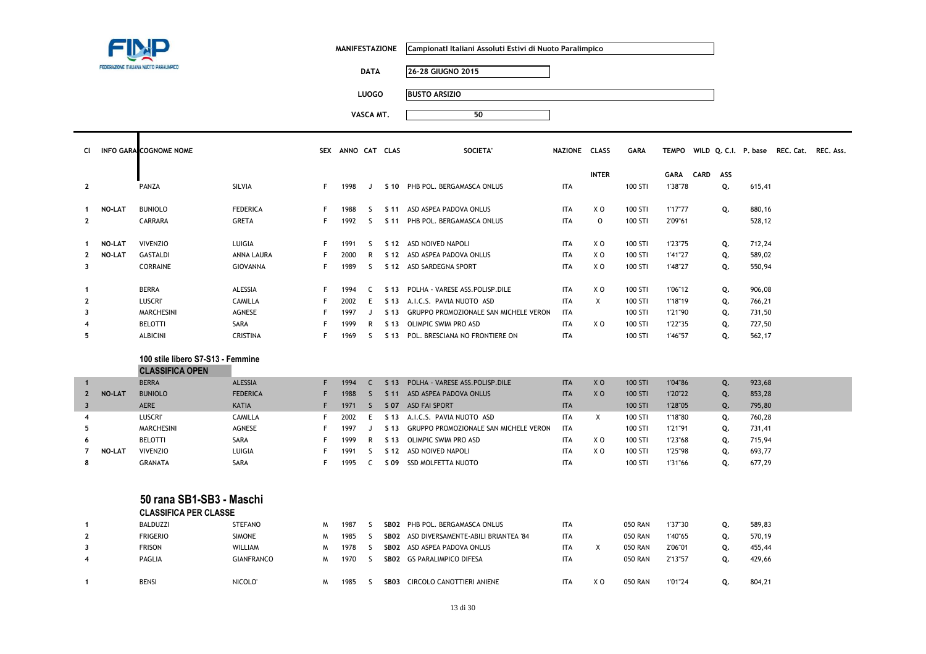

 $\mathbf \mathsf T$ 

**MANIFESTAZIONE CampionatI Italiani Assoluti Estivi di Nuoto Paralimpico**

**DATA 26-28 GIUGNO 2015**

**LUOGO BUSTO ARSIZIO**

| CI.                     |               | <b>INFO GARA COGNOME NOME</b>     |                     |    | SEX ANNO CAT CLAS |              |                 | <b>SOCIETA</b>                           | NAZIONE CLASS |                | <b>GARA</b>    |             |             |     |        | TEMPO WILD Q. C.I. P. base REC. Cat. REC. Ass. |  |
|-------------------------|---------------|-----------------------------------|---------------------|----|-------------------|--------------|-----------------|------------------------------------------|---------------|----------------|----------------|-------------|-------------|-----|--------|------------------------------------------------|--|
|                         |               |                                   |                     |    |                   |              |                 |                                          |               | <b>INTER</b>   |                | <b>GARA</b> | <b>CARD</b> | ASS |        |                                                |  |
| $\mathbf{2}$            |               | PANZA                             | SILVIA              | F. | 1998              | J            |                 | S 10 PHB POL. BERGAMASCA ONLUS           | <b>ITA</b>    |                | 100 STI        | 1'38"78     |             | Q.  | 615,41 |                                                |  |
|                         | <b>NO-LAT</b> | <b>BUNIOLO</b>                    | <b>FEDERICA</b>     | F  | 1988              | -S           |                 | S 11 ASD ASPEA PADOVA ONLUS              | ITA           | XO             | 100 STI        | 1'17"77     |             |     | 880,16 |                                                |  |
| $\mathbf{1}$            |               | CARRARA                           | <b>GRETA</b>        | F  | 1992              | -S           |                 |                                          | <b>ITA</b>    | $\mathsf{o}$   | 100 STI        |             |             | Q.  | 528,12 |                                                |  |
| $\mathbf{2}$            |               |                                   |                     |    |                   |              | S 11            | PHB POL. BERGAMASCA ONLUS                |               |                |                | 2'09"61     |             |     |        |                                                |  |
| 1                       | <b>NO-LAT</b> | <b>VIVENZIO</b>                   | LUIGIA              | F  | 1991              | -S           |                 | S 12 ASD NOIVED NAPOLI                   | <b>ITA</b>    | XO             | 100 STI        | 1'23"75     |             | Q.  | 712,24 |                                                |  |
| $\mathbf{2}$            | NO-LAT        | <b>GASTALDI</b>                   | ANNA LAURA          |    | 2000              | R            |                 | S 12 ASD ASPEA PADOVA ONLUS              | <b>ITA</b>    | XO             | 100 STI        | 1'41"27     |             | Q.  | 589,02 |                                                |  |
| $\overline{\mathbf{3}}$ |               | <b>CORRAINE</b>                   | GIOVANNA            | F  | 1989              | -S           |                 | S 12 ASD SARDEGNA SPORT                  | <b>ITA</b>    | X <sub>0</sub> | 100 STI        | 1'48"27     |             | Q.  | 550,94 |                                                |  |
| $\mathbf{1}$            |               | <b>BERRA</b>                      | <b>ALESSIA</b>      | F  | 1994              | C            | S 13            | POLHA - VARESE ASS.POLISP.DILE           | <b>ITA</b>    | X <sub>0</sub> | 100 STI        | 1'06"12     |             | Q.  | 906,08 |                                                |  |
| $\overline{2}$          |               | <b>LUSCRI</b>                     | <b>CAMILLA</b>      |    | 2002              | E            | S 13            | A.I.C.S. PAVIA NUOTO ASD                 | <b>ITA</b>    | $\times$       | 100 STI        | 1'18"19     |             | Q.  | 766,21 |                                                |  |
| 3                       |               | <b>MARCHESINI</b>                 | AGNESE              |    | 1997              | J            | S 13            | GRUPPO PROMOZIONALE SAN MICHELE VERON    | ITA           |                | 100 STI        | 1'21"90     |             | Q.  | 731,50 |                                                |  |
| 4                       |               | <b>BELOTTI</b>                    | SARA                |    | 1999              | R            | S 13            | <b>OLIMPIC SWIM PRO ASD</b>              | <b>ITA</b>    | X <sub>0</sub> | 100 STI        | 1'22"35     |             | Q.  | 727,50 |                                                |  |
| 5                       |               | ALBICINI                          | <b>CRISTINA</b>     | F  | 1969              | -S           | S 13            | POL. BRESCIANA NO FRONTIERE ON           | <b>ITA</b>    |                | 100 STI        | 1'46"57     |             | Q.  | 562,17 |                                                |  |
|                         |               | 100 stile libero S7-S13 - Femmine |                     |    |                   |              |                 |                                          |               |                |                |             |             |     |        |                                                |  |
|                         |               | <b>CLASSIFICA OPEN</b>            |                     |    |                   |              |                 |                                          |               |                |                |             |             |     |        |                                                |  |
| $\mathbf{1}$            |               | <b>BERRA</b>                      | ALESSIA             | F  | 1994              | C            | S <sub>13</sub> | POLHA - VARESE ASS.POLISP.DILE           | <b>ITA</b>    | X <sub>O</sub> | 100 STI        | 1'04"86     |             | Q.  | 923,68 |                                                |  |
| $\mathbf{2}$            | <b>NO-LAT</b> | <b>BUNIOLO</b>                    | <b>FEDERICA</b>     | F  | 1988              | <sub>S</sub> | S <sub>11</sub> | ASD ASPEA PADOVA ONLUS                   | <b>ITA</b>    | X <sub>O</sub> | 100 STI        | 1'20"22     |             | Q.  | 853,28 |                                                |  |
| $\overline{\mathbf{3}}$ |               | AERE                              | <b>KATIA</b>        | F  | 1971              | <sub>S</sub> |                 | S 07 ASD FAI SPORT                       | <b>ITA</b>    |                | 100 STI        | 1'28"05     |             | Q.  | 795,80 |                                                |  |
| $\overline{4}$          |               | <b>LUSCRI</b>                     | <b>CAMILLA</b>      |    | 2002              | E            | S <sub>13</sub> | A.I.C.S. PAVIA NUOTO ASD                 | <b>ITA</b>    | X              | 100 STI        | 1'18"80     |             | Q.  | 760,28 |                                                |  |
| 5                       |               | <b>MARCHESINI</b>                 | <b>AGNESE</b>       |    | 1997              | J.           | S <sub>13</sub> | GRUPPO PROMOZIONALE SAN MICHELE VERON    | <b>ITA</b>    |                | 100 STI        | 1'21"91     |             | Q.  | 731,41 |                                                |  |
| 6                       |               | <b>BELOTTI</b>                    | SARA                |    | 1999              | R            | S 13            | OLIMPIC SWIM PRO ASD                     | <b>ITA</b>    | X O            | 100 STI        | 1'23"68     |             | Q.  | 715,94 |                                                |  |
| 7                       | <b>NO-LAT</b> | <b>VIVENZIO</b>                   | LUIGIA              |    | 1991              | -S           | S 12            | ASD NOIVED NAPOLI                        | <b>ITA</b>    | X O            | 100 STI        | 1'25"98     |             | Q.  | 693,77 |                                                |  |
| 8                       |               | <b>GRANATA</b>                    | SARA                |    | 1995              | C            |                 | S 09 SSD MOLFETTA NUOTO                  | <b>ITA</b>    |                | 100 STI        | 1'31"66     |             | Q.  | 677,29 |                                                |  |
|                         |               |                                   |                     |    |                   |              |                 |                                          |               |                |                |             |             |     |        |                                                |  |
|                         |               | 50 rana SB1-SB3 - Maschi          |                     |    |                   |              |                 |                                          |               |                |                |             |             |     |        |                                                |  |
|                         |               | <b>CLASSIFICA PER CLASSE</b>      |                     |    |                   |              |                 |                                          |               |                |                |             |             |     |        |                                                |  |
| $\mathbf{1}$            |               | BALDUZZI                          | <b>STEFANO</b>      | M  | 1987              | -S           |                 | SB02 PHB POL. BERGAMASCA ONLUS           | ITA           |                | 050 RAN        | 1'37"30     |             | Q.  | 589,83 |                                                |  |
| $\overline{2}$          |               | <b>FRIGERIO</b>                   | <b>SIMONE</b>       | M  | 1985              | -S           |                 | SBO2 ASD DIVERSAMENTE-ABILI BRIANTEA '84 | <b>ITA</b>    |                | <b>050 RAN</b> | 1'40"65     |             | Q.  | 570,19 |                                                |  |
| 3                       |               | <b>FRISON</b>                     | <b>WILLIAM</b>      | M  | 1978              | -S           |                 | SB02 ASD ASPEA PADOVA ONLUS              | ITA           | X              | <b>050 RAN</b> | 2'06"01     |             | Q.  | 455,44 |                                                |  |
| 4                       |               | PAGLIA                            | <b>GIANFRANCO</b>   | M  | 1970              | -S           |                 | SB02 GS PARALIMPICO DIFESA               | ITA           |                | 050 RAN        | 2'13"57     |             | Q.  | 429,66 |                                                |  |
| $\mathbf{1}$            |               | <b>BENSI</b>                      | NICOLO <sup>®</sup> | M  | 1985              | S.           |                 | SB03 CIRCOLO CANOTTIERI ANIENE           | <b>ITA</b>    | X <sub>0</sub> | <b>050 RAN</b> | 1'01"24     |             | Q.  | 804,21 |                                                |  |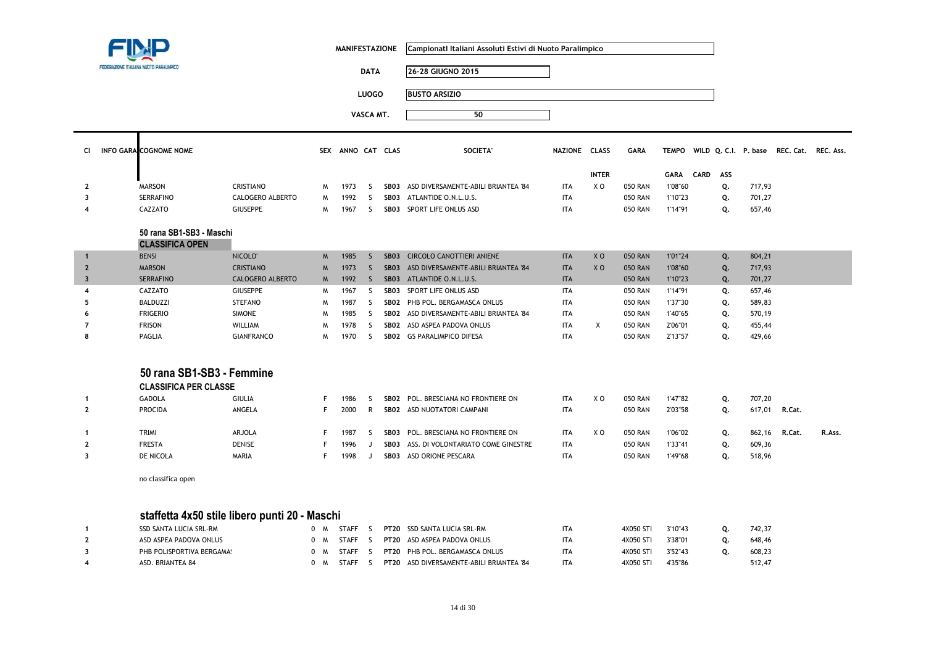|                         | FEDERAZIONE ITALIANA NUOTO PARALIMPICO                    |                         |             | <b>MANIFESTAZIONE</b> | <b>DATA</b>  |      | Campionati Italiani Assoluti Estivi di Nuoto Paralimpico<br>26-28 GIUGNO 2015 |               |                |                |              |             |     |        |                                          |        |
|-------------------------|-----------------------------------------------------------|-------------------------|-------------|-----------------------|--------------|------|-------------------------------------------------------------------------------|---------------|----------------|----------------|--------------|-------------|-----|--------|------------------------------------------|--------|
|                         |                                                           |                         |             |                       |              |      |                                                                               |               |                |                |              |             |     |        |                                          |        |
|                         |                                                           |                         |             |                       | <b>LUOGO</b> |      | <b>BUSTO ARSIZIO</b>                                                          |               |                |                |              |             |     |        |                                          |        |
|                         |                                                           |                         |             |                       | VASCA MT.    |      | 50                                                                            |               |                |                |              |             |     |        |                                          |        |
|                         |                                                           |                         |             |                       |              |      |                                                                               |               |                |                |              |             |     |        |                                          |        |
| <b>CI</b>               | <b>INFO GARA COGNOME NOME</b>                             |                         |             | SEX ANNO CAT CLAS     |              |      | SOCIETA'                                                                      | NAZIONE CLASS |                | <b>GARA</b>    | <b>TEMPO</b> |             |     |        | WILD Q. C.I. P. base REC. Cat. REC. Ass. |        |
|                         |                                                           |                         |             |                       |              |      |                                                                               |               | <b>INTER</b>   |                | GARA         | <b>CARD</b> | ASS |        |                                          |        |
| $\mathbf{2}$            | <b>MARSON</b>                                             | <b>CRISTIANO</b>        | M           | 1973                  | S            |      | SB03 ASD DIVERSAMENTE-ABILI BRIANTEA '84                                      | <b>ITA</b>    | X O            | <b>050 RAN</b> | 1'08"60      |             | Q.  | 717,93 |                                          |        |
| $\overline{\mathbf{3}}$ | <b>SERRAFINO</b>                                          | CALOGERO ALBERTO        | M           | 1992                  | S.           | SB03 | ATLANTIDE O.N.L.U.S.                                                          | <b>ITA</b>    |                | <b>050 RAN</b> | 1'10"23      |             | Q.  | 701,27 |                                          |        |
| $\overline{4}$          | CAZZATO                                                   | <b>GIUSEPPE</b>         | M           | 1967                  | S.           |      | SB03 SPORT LIFE ONLUS ASD                                                     | <b>ITA</b>    |                | <b>050 RAN</b> | 1'14"91      |             | Q.  | 657,46 |                                          |        |
|                         |                                                           |                         |             |                       |              |      |                                                                               |               |                |                |              |             |     |        |                                          |        |
|                         | 50 rana SB1-SB3 - Maschi                                  |                         |             |                       |              |      |                                                                               |               |                |                |              |             |     |        |                                          |        |
| $\mathbf{1}$            | <b>CLASSIFICA OPEN</b><br><b>BENSI</b>                    | NICOLO <sup>®</sup>     | $M_{\odot}$ | 1985                  | <sub>S</sub> | SB03 | <b>CIRCOLO CANOTTIERI ANIENE</b>                                              | <b>ITA</b>    | X <sub>O</sub> | <b>050 RAN</b> | 1'01"24      |             | Q.  | 804,21 |                                          |        |
| $\overline{2}$          | <b>MARSON</b>                                             | <b>CRISTIANO</b>        | M           | 1973                  | $\mathsf{S}$ |      | SB03 ASD DIVERSAMENTE-ABILI BRIANTEA '84                                      | <b>ITA</b>    | XO             | <b>050 RAN</b> | 1'08"60      |             | Q.  | 717,93 |                                          |        |
| $\overline{\mathbf{3}}$ | <b>SERRAFINO</b>                                          | <b>CALOGERO ALBERTO</b> | $M_{\odot}$ | 1992                  | $\mathsf{S}$ |      | SB03 ATLANTIDE O.N.L.U.S.                                                     | <b>ITA</b>    |                | <b>050 RAN</b> | 1'10"23      |             | Q.  | 701,27 |                                          |        |
| $\overline{4}$          | CAZZATO                                                   | <b>GIUSEPPE</b>         | M           | 1967                  | S            | SB03 | SPORT LIFE ONLUS ASD                                                          | <b>ITA</b>    |                | <b>050 RAN</b> | 1'14"91      |             | Q.  | 657,46 |                                          |        |
| 5                       | <b>BALDUZZI</b>                                           | <b>STEFANO</b>          | M           | 1987                  | S.           |      | SB02 PHB POL. BERGAMASCA ONLUS                                                | <b>ITA</b>    |                | <b>050 RAN</b> | 1'37"30      |             | Q.  | 589,83 |                                          |        |
| 6                       | <b>FRIGERIO</b>                                           | <b>SIMONE</b>           | M           | 1985                  | -S           |      | SB02 ASD DIVERSAMENTE-ABILI BRIANTEA '84                                      | <b>ITA</b>    |                | <b>050 RAN</b> | 1'40"65      |             | Q.  | 570,19 |                                          |        |
| $\overline{7}$          | <b>FRISON</b>                                             | WILLIAM                 | M           | 1978                  | S.           |      | SB02 ASD ASPEA PADOVA ONLUS                                                   | <b>ITA</b>    | Χ              | <b>050 RAN</b> | 2'06"01      |             | Q.  | 455,44 |                                          |        |
| 8                       | <b>PAGLIA</b>                                             | <b>GIANFRANCO</b>       | M           | 1970                  | <sub>S</sub> |      | SB02 GS PARALIMPICO DIFESA                                                    | <b>ITA</b>    |                | <b>050 RAN</b> | 2'13"57      |             | Q.  | 429,66 |                                          |        |
|                         | 50 rana SB1-SB3 - Femmine<br><b>CLASSIFICA PER CLASSE</b> |                         |             |                       |              |      |                                                                               |               |                |                |              |             |     |        |                                          |        |
| $\mathbf 1$             | <b>GADOLA</b>                                             | <b>GIULIA</b>           | F           | 1986                  | S            |      | SB02 POL. BRESCIANA NO FRONTIERE ON                                           | <b>ITA</b>    | X <sub>0</sub> | <b>050 RAN</b> | 1'47"82      |             | Q.  | 707,20 |                                          |        |
| $\mathbf{2}$            | <b>PROCIDA</b>                                            | ANGELA                  | F           | 2000                  | R            |      | SB02 ASD NUOTATORI CAMPANI                                                    | <b>ITA</b>    |                | <b>050 RAN</b> | 2'03"58      |             | Q.  | 617,01 | R.Cat.                                   |        |
|                         |                                                           |                         |             |                       |              |      |                                                                               |               |                |                |              |             |     |        |                                          |        |
| -1                      | TRIMI                                                     | ARJOLA                  | F           | 1987                  | S            | SB03 | POL. BRESCIANA NO FRONTIERE ON                                                | <b>ITA</b>    | X <sub>0</sub> | <b>050 RAN</b> | 1'06"02      |             | Q.  | 862,16 | R.Cat.                                   | R.Ass. |
| $\mathbf{2}$            | <b>FRESTA</b>                                             | <b>DENISE</b>           |             | 1996                  | J            | SB03 | ASS. DI VOLONTARIATO COME GINESTRE                                            | <b>ITA</b>    |                | <b>050 RAN</b> | 1'33"41      |             | Q.  | 609,36 |                                          |        |
| $\overline{\mathbf{3}}$ | DE NICOLA                                                 | MARIA                   | F           | 1998                  | J            |      | SB03 ASD ORIONE PESCARA                                                       | <b>ITA</b>    |                | <b>050 RAN</b> | 1'49"68      |             | Q.  | 518,96 |                                          |        |
|                         | no classifica open                                        |                         |             |                       |              |      |                                                                               |               |                |                |              |             |     |        |                                          |        |
|                         | staffetta 4x50 stile libero punti 20 - Maschi             |                         |             |                       |              |      |                                                                               |               |                |                |              |             |     |        |                                          |        |
| -1                      | SSD SANTA LUCIA SRL-RM                                    |                         | 0 M         | <b>STAFF</b>          | S            |      | PT20 SSD SANTA LUCIA SRL-RM                                                   | <b>ITA</b>    |                | 4X050 STI      | 3'10"43      |             | Q.  | 742,37 |                                          |        |
| $\mathbf{2}$            | ASD ASPEA PADOVA ONLUS                                    |                         | 0 M         | <b>STAFF</b>          | S            |      | PT20 ASD ASPEA PADOVA ONLUS                                                   | <b>ITA</b>    |                | 4X050 STI      | 3'38"01      |             | Q.  | 648,46 |                                          |        |
| 3                       | PHB POLISPORTIVA BERGAMA!                                 |                         | 0 M         | <b>STAFF</b>          | S.           |      | PT20 PHB POL. BERGAMASCA ONLUS                                                | <b>ITA</b>    |                | 4X050 STI      | 3'52"43      |             | Q.  | 608,23 |                                          |        |
| $\overline{4}$          | ASD. BRIANTEA 84                                          |                         | 0 M         | <b>STAFF</b>          | S.           |      | PT20 ASD DIVERSAMENTE-ABILI BRIANTEA '84                                      | <b>ITA</b>    |                | 4X050 STI      | 4'35"86      |             |     | 512,47 |                                          |        |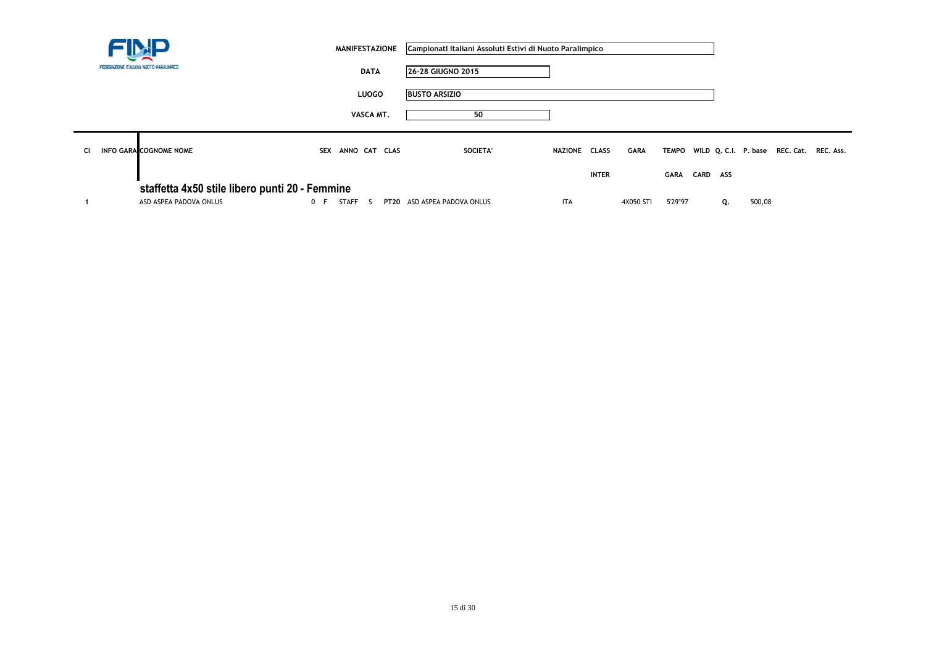|           |                                                                          | <b>MANIFESTAZIONE</b> | Campionati Italiani Assoluti Estivi di Nuoto Paralimpico |                |              |             |          |    |        |                                                |  |
|-----------|--------------------------------------------------------------------------|-----------------------|----------------------------------------------------------|----------------|--------------|-------------|----------|----|--------|------------------------------------------------|--|
|           | FEDERAZIONE ITALIANA NUOTO PARALIMPICO                                   | <b>DATA</b>           | 26-28 GIUGNO 2015                                        |                |              |             |          |    |        |                                                |  |
|           |                                                                          | <b>LUOGO</b>          | <b>BUSTO ARSIZIO</b>                                     |                |              |             |          |    |        |                                                |  |
|           |                                                                          | VASCA MT.             | 50                                                       |                |              |             |          |    |        |                                                |  |
| <b>CI</b> | <b>INFO GARA COGNOME NOME</b>                                            | ANNO CAT CLAS<br>SEX  | SOCIETA'                                                 | <b>NAZIONE</b> | <b>CLASS</b> | <b>GARA</b> |          |    |        | TEMPO WILD Q. C.I. P. base REC. Cat. REC. Ass. |  |
|           |                                                                          |                       |                                                          |                | <b>INTER</b> | GARA        | CARD ASS |    |        |                                                |  |
|           | staffetta 4x50 stile libero punti 20 - Femmine<br>ASD ASPEA PADOVA ONLUS | STAFF S<br>0 F        | PT20 ASD ASPEA PADOVA ONLUS                              | <b>ITA</b>     | 4X050 STI    | 5'29"97     |          | Q. | 500,08 |                                                |  |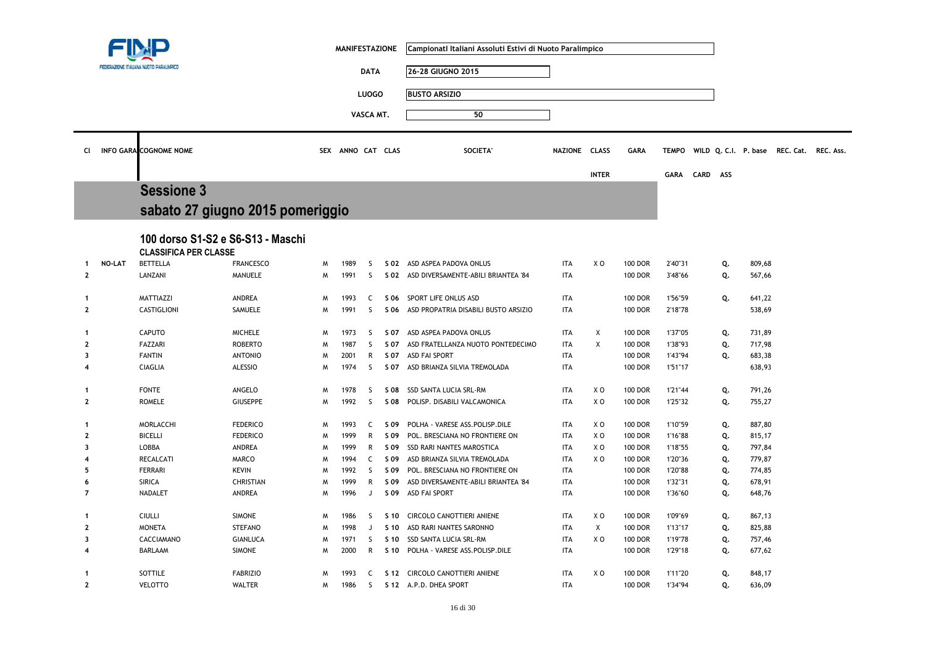|                         |               |                                                 |                  |   | <b>MANIFESTAZIONE</b> |              |                 | Campionati Italiani Assoluti Estivi di Nuoto Paralimpico |               |              |                |              |      |     |                      |                     |  |
|-------------------------|---------------|-------------------------------------------------|------------------|---|-----------------------|--------------|-----------------|----------------------------------------------------------|---------------|--------------|----------------|--------------|------|-----|----------------------|---------------------|--|
|                         |               | FEDERAZIONE ITALIANA NUOTO PARALIMPICO          |                  |   |                       | <b>DATA</b>  |                 | 26-28 GIUGNO 2015                                        |               |              |                |              |      |     |                      |                     |  |
|                         |               |                                                 |                  |   |                       |              |                 |                                                          |               |              |                |              |      |     |                      |                     |  |
|                         |               |                                                 |                  |   |                       | <b>LUOGO</b> |                 | <b>BUSTO ARSIZIO</b>                                     |               |              |                |              |      |     |                      |                     |  |
|                         |               |                                                 |                  |   |                       | VASCA MT.    |                 | 50                                                       |               |              |                |              |      |     |                      |                     |  |
|                         |               |                                                 |                  |   |                       |              |                 |                                                          |               |              |                |              |      |     |                      |                     |  |
|                         |               | <b>INFO GARA COGNOME NOME</b>                   |                  |   | SEX ANNO CAT CLAS     |              |                 | <b>SOCIETA</b>                                           | NAZIONE CLASS |              |                |              |      |     |                      |                     |  |
| CI                      |               |                                                 |                  |   |                       |              |                 |                                                          |               |              | <b>GARA</b>    | <b>TEMPO</b> |      |     | WILD Q. C.I. P. base | REC. Cat. REC. Ass. |  |
|                         |               |                                                 |                  |   |                       |              |                 |                                                          |               | <b>INTER</b> |                | GARA         | CARD | ASS |                      |                     |  |
|                         |               | <b>Sessione 3</b>                               |                  |   |                       |              |                 |                                                          |               |              |                |              |      |     |                      |                     |  |
|                         |               | sabato 27 giugno 2015 pomeriggio                |                  |   |                       |              |                 |                                                          |               |              |                |              |      |     |                      |                     |  |
|                         |               |                                                 |                  |   |                       |              |                 |                                                          |               |              |                |              |      |     |                      |                     |  |
|                         |               | 100 dorso S1-S2 e S6-S13 - Maschi               |                  |   |                       |              |                 |                                                          |               |              |                |              |      |     |                      |                     |  |
|                         |               |                                                 |                  |   |                       |              |                 |                                                          |               |              |                |              |      |     |                      |                     |  |
|                         | <b>NO-LAT</b> | <b>CLASSIFICA PER CLASSE</b><br><b>BETTELLA</b> | <b>FRANCESCO</b> | м | 1989                  | S            |                 | S 02 ASD ASPEA PADOVA ONLUS                              | <b>ITA</b>    | X O          | <b>100 DOR</b> | 2'40"31      |      | Q.  | 809,68               |                     |  |
| $\mathbf{2}$            |               | LANZANI                                         | MANUELE          | W | 1991                  | S            | S 02            | ASD DIVERSAMENTE-ABILI BRIANTEA '84                      | <b>ITA</b>    |              | <b>100 DOR</b> | 3'48"66      |      | Q.  | 567,66               |                     |  |
|                         |               |                                                 |                  |   |                       |              |                 |                                                          |               |              |                |              |      |     |                      |                     |  |
| -1                      |               | MATTIAZZI                                       | ANDREA           | M | 1993                  | C            | S 06            | SPORT LIFE ONLUS ASD                                     | <b>ITA</b>    |              | <b>100 DOR</b> | 1'56"59      |      | Q.  | 641,22               |                     |  |
| $\mathbf{2}$            |               | <b>CASTIGLIONI</b>                              | SAMUELE          | M | 1991                  | <sub>S</sub> | S 06            | ASD PROPATRIA DISABILI BUSTO ARSIZIO                     | <b>ITA</b>    |              | <b>100 DOR</b> | 2'18"78      |      |     | 538,69               |                     |  |
| -1                      |               | CAPUTO                                          | <b>MICHELE</b>   | M | 1973                  | S            | S 07            | ASD ASPEA PADOVA ONLUS                                   | <b>ITA</b>    | X            | <b>100 DOR</b> | 1'37"05      |      | Q.  | 731,89               |                     |  |
| $\mathbf{2}$            |               | FAZZARI                                         | <b>ROBERTO</b>   | W | 1987                  | S            | S 07            | ASD FRATELLANZA NUOTO PONTEDECIMO                        | <b>ITA</b>    | X            | <b>100 DOR</b> | 1'38"93      |      | Q.  | 717,98               |                     |  |
| $\overline{\mathbf{3}}$ |               | <b>FANTIN</b>                                   | <b>ANTONIO</b>   | м | 2001                  | R            | S 07            | <b>ASD FAI SPORT</b>                                     | <b>ITA</b>    |              | <b>100 DOR</b> | 1'43"94      |      | Q.  | 683,38               |                     |  |
| 4                       |               | <b>CIAGLIA</b>                                  | <b>ALESSIO</b>   | M | 1974                  | S            | S 07            | ASD BRIANZA SILVIA TREMOLADA                             | <b>ITA</b>    |              | <b>100 DOR</b> | 1'51"17      |      |     | 638,93               |                     |  |
|                         |               |                                                 |                  |   |                       |              |                 |                                                          |               |              |                |              |      |     |                      |                     |  |
| -1                      |               | <b>FONTE</b>                                    | ANGELO           | M | 1978                  | S            | S 08            | SSD SANTA LUCIA SRL-RM                                   | <b>ITA</b>    | X O          | <b>100 DOR</b> | 1'21"44      |      | Q.  | 791,26               |                     |  |
| $\mathbf{2}$            |               | <b>ROMELE</b>                                   | <b>GIUSEPPE</b>  | M | 1992                  | S            | S 08            | POLISP. DISABILI VALCAMONICA                             | <b>ITA</b>    | X O          | <b>100 DOR</b> | 1'25"32      |      | Q.  | 755,27               |                     |  |
| -1                      |               | MORLACCHI                                       | <b>FEDERICO</b>  | M | 1993                  | C            | S 09            | POLHA - VARESE ASS.POLISP.DILE                           | <b>ITA</b>    | X O          | <b>100 DOR</b> | 1'10"59      |      | Q.  | 887,80               |                     |  |
| 2                       |               | <b>BICELLI</b>                                  | <b>FEDERICO</b>  | M | 1999                  | R            | S 09            | POL. BRESCIANA NO FRONTIERE ON                           | <b>ITA</b>    | X O          | <b>100 DOR</b> | 1'16"88      |      | Q.  | 815,17               |                     |  |
| 3                       |               | <b>LOBBA</b>                                    | <b>ANDREA</b>    | M | 1999                  | R            | S 09            | <b>SSD RARI NANTES MAROSTICA</b>                         | <b>ITA</b>    | X O          | <b>100 DOR</b> | 1'18"55      |      | Q.  | 797,84               |                     |  |
| $\boldsymbol{4}$        |               | <b>RECALCATI</b>                                | <b>MARCO</b>     | м | 1994                  | C            | S 09            | ASD BRIANZA SILVIA TREMOLADA                             | <b>ITA</b>    | X O          | <b>100 DOR</b> | 1'20"36      |      | Q.  | 779,87               |                     |  |
| 5                       |               | <b>FERRARI</b>                                  | <b>KEVIN</b>     | W | 1992                  | S            | S 09            | POL. BRESCIANA NO FRONTIERE ON                           | <b>ITA</b>    |              | <b>100 DOR</b> | 1'20"88      |      | Q.  | 774,85               |                     |  |
| 6                       |               | <b>SIRICA</b>                                   | <b>CHRISTIAN</b> | W | 1999                  | R            | S 09            | ASD DIVERSAMENTE-ABILI BRIANTEA '84                      | <b>ITA</b>    |              | <b>100 DOR</b> | 1'32"31      |      | Q.  | 678,91               |                     |  |
| $\overline{7}$          |               | NADALET                                         | ANDREA           | M | 1996                  | J            | S 09            | ASD FAI SPORT                                            | <b>ITA</b>    |              | <b>100 DOR</b> | 1'36"60      |      | Q.  | 648,76               |                     |  |
| -1                      |               | <b>CIULLI</b>                                   | <b>SIMONE</b>    | м | 1986                  | S            | S 10            | CIRCOLO CANOTTIERI ANIENE                                | <b>ITA</b>    | X O          | <b>100 DOR</b> | 1'09"69      |      | Q.  | 867,13               |                     |  |
| $\mathbf{2}$            |               | <b>MONETA</b>                                   | <b>STEFANO</b>   | M | 1998                  | J            | S 10            | ASD RARI NANTES SARONNO                                  | <b>ITA</b>    | X            | <b>100 DOR</b> | 1'13"17      |      | Q.  | 825,88               |                     |  |
| 3                       |               | CACCIAMANO                                      | <b>GIANLUCA</b>  | M | 1971                  | S            | S <sub>10</sub> | SSD SANTA LUCIA SRL-RM                                   | <b>ITA</b>    | X O          | <b>100 DOR</b> | 1'19"78      |      | Q.  | 757,46               |                     |  |
| 4                       |               | <b>BARLAAM</b>                                  | <b>SIMONE</b>    | M | 2000                  | $\mathsf{R}$ | S 10            | POLHA - VARESE ASS.POLISP.DILE                           | <b>ITA</b>    |              | <b>100 DOR</b> | 1'29"18      |      | Q.  | 677,62               |                     |  |
|                         |               |                                                 |                  |   |                       |              |                 |                                                          |               |              |                |              |      |     |                      |                     |  |
| -1                      |               | SOTTILE                                         | <b>FABRIZIO</b>  | M | 1993                  | C            |                 | S 12 CIRCOLO CANOTTIERI ANIENE                           | <b>ITA</b>    | X O          | <b>100 DOR</b> | 1'11"20      |      | Q.  | 848,17               |                     |  |
| $\mathbf{2}$            |               | <b>VELOTTO</b>                                  | <b>WALTER</b>    | M | 1986                  | S            |                 | S 12 A.P.D. DHEA SPORT                                   | <b>ITA</b>    |              | <b>100 DOR</b> | 1'34"94      |      | Q.  | 636,09               |                     |  |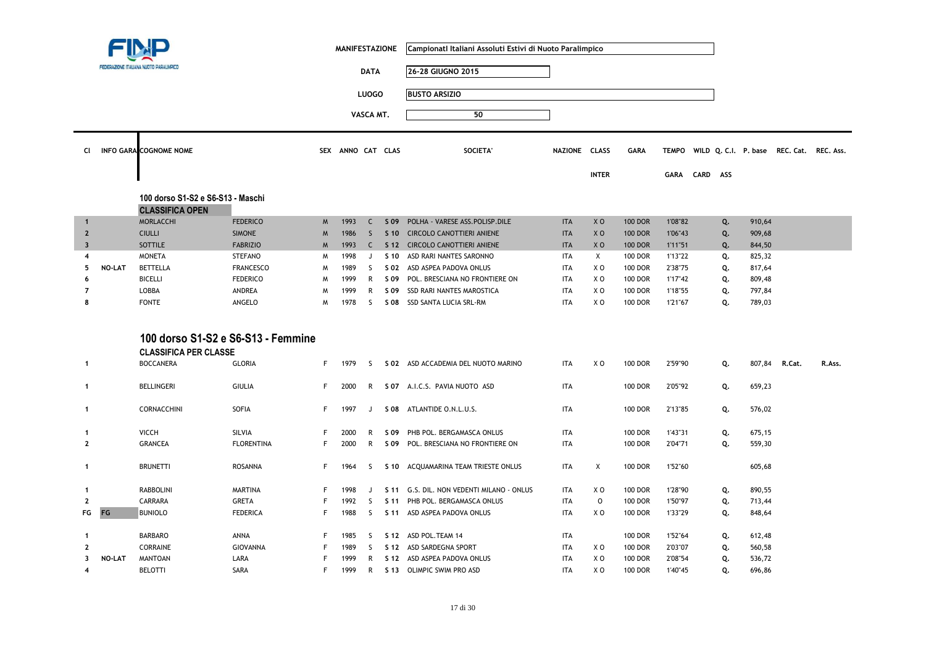|                         |               |                                                                    |                   |    | <b>MANIFESTAZIONE</b> |              |                 | Campionati Italiani Assoluti Estivi di Nuoto Paralimpico |               |                |                |              |          |    |        |                                          |        |
|-------------------------|---------------|--------------------------------------------------------------------|-------------------|----|-----------------------|--------------|-----------------|----------------------------------------------------------|---------------|----------------|----------------|--------------|----------|----|--------|------------------------------------------|--------|
|                         |               | FEDERAZIONE ITALIANA NUOTO PARALIMPICO                             |                   |    |                       | <b>DATA</b>  |                 | 26-28 GIUGNO 2015                                        |               |                |                |              |          |    |        |                                          |        |
|                         |               |                                                                    |                   |    |                       | <b>LUOGO</b> |                 | <b>BUSTO ARSIZIO</b>                                     |               |                |                |              |          |    |        |                                          |        |
|                         |               |                                                                    |                   |    |                       | VASCA MT.    |                 | 50                                                       |               |                |                |              |          |    |        |                                          |        |
|                         |               |                                                                    |                   |    |                       |              |                 |                                                          |               |                |                |              |          |    |        |                                          |        |
| Cl.                     |               | <b>INFO GARA COGNOME NOME</b>                                      |                   |    | SEX ANNO CAT CLAS     |              |                 | <b>SOCIETA</b>                                           | NAZIONE CLASS |                | <b>GARA</b>    | <b>TEMPO</b> |          |    |        | WILD Q. C.I. P. base REC. Cat. REC. Ass. |        |
|                         |               |                                                                    |                   |    |                       |              |                 |                                                          |               | <b>INTER</b>   |                | GARA         | CARD ASS |    |        |                                          |        |
|                         |               |                                                                    |                   |    |                       |              |                 |                                                          |               |                |                |              |          |    |        |                                          |        |
|                         |               | 100 dorso S1-S2 e S6-S13 - Maschi<br><b>CLASSIFICA OPEN</b>        |                   |    |                       |              |                 |                                                          |               |                |                |              |          |    |        |                                          |        |
| $\overline{1}$          |               | MORLACCHI                                                          | <b>FEDERICO</b>   | M  | 1993                  | $\mathsf{C}$ | S 09            | POLHA - VARESE ASS.POLISP.DILE                           | <b>ITA</b>    | X <sub>0</sub> | <b>100 DOR</b> | 1'08"82      |          | Q. | 910,64 |                                          |        |
| $\overline{2}$          |               | <b>CIULLI</b>                                                      | <b>SIMONE</b>     | M  | 1986                  | $\mathsf{S}$ | $S$ 10          | <b>CIRCOLO CANOTTIERI ANIENE</b>                         | <b>ITA</b>    | X <sub>0</sub> | <b>100 DOR</b> | 1'06"43      |          | Q. | 909,68 |                                          |        |
| $\overline{\mathbf{3}}$ |               | <b>SOTTILE</b>                                                     | <b>FABRIZIO</b>   | M  | 1993                  | $\mathsf{C}$ |                 | S 12 CIRCOLO CANOTTIERI ANIENE                           | <b>ITA</b>    | X <sub>0</sub> | <b>100 DOR</b> | 1'11"51      |          | Q. | 844,50 |                                          |        |
| $\overline{4}$          |               | <b>MONETA</b>                                                      | <b>STEFANO</b>    | M  | 1998                  | J            | S 10            | ASD RARI NANTES SARONNO                                  | <b>ITA</b>    | X              | <b>100 DOR</b> | 1'13"22      |          | Q. | 825,32 |                                          |        |
| 5                       | NO-LAT        | <b>BETTELLA</b>                                                    | <b>FRANCESCO</b>  | M  | 1989                  | <sub>S</sub> | S 02            | ASD ASPEA PADOVA ONLUS                                   | <b>ITA</b>    | X O            | <b>100 DOR</b> | 2'38"75      |          | Q. | 817,64 |                                          |        |
| 6                       |               | <b>BICELLI</b>                                                     | <b>FEDERICO</b>   | M  | 1999                  | $\mathsf{R}$ | S 09            | POL. BRESCIANA NO FRONTIERE ON                           | <b>ITA</b>    | X O            | <b>100 DOR</b> | 1'17"42      |          | Q. | 809,48 |                                          |        |
| $\overline{7}$          |               | LOBBA                                                              | ANDREA            | M  | 1999                  | R            | S 09            | SSD RARI NANTES MAROSTICA                                | <b>ITA</b>    | XO             | <b>100 DOR</b> | 1'18"55      |          | Q. | 797,84 |                                          |        |
| 8                       |               | <b>FONTE</b>                                                       | ANGELO            | M  | 1978                  | -S           |                 | S 08 SSD SANTA LUCIA SRL-RM                              | <b>ITA</b>    | X O            | 100 DOR        | 1'21"67      |          | Q. | 789,03 |                                          |        |
|                         |               | 100 dorso S1-S2 e S6-S13 - Femmine<br><b>CLASSIFICA PER CLASSE</b> |                   |    |                       |              |                 |                                                          |               |                |                |              |          |    |        |                                          |        |
| $\mathbf{1}$            |               | <b>BOCCANERA</b>                                                   | <b>GLORIA</b>     | F  | 1979                  | -S           |                 | S 02 ASD ACCADEMIA DEL NUOTO MARINO                      | <b>ITA</b>    | X O            | <b>100 DOR</b> | 2'59"90      |          | Q. | 807,84 | R.Cat.                                   | R.Ass. |
| 1                       |               | <b>BELLINGERI</b>                                                  | <b>GIULIA</b>     | F. | 2000                  | R            |                 | S 07 A.I.C.S. PAVIA NUOTO ASD                            | <b>ITA</b>    |                | <b>100 DOR</b> | 2'05"92      |          | Q. | 659,23 |                                          |        |
| $\mathbf{1}$            |               | CORNACCHINI                                                        | SOFIA             | F. | 1997                  | J            | S 08            | ATLANTIDE O.N.L.U.S.                                     | <b>ITA</b>    |                | <b>100 DOR</b> | 2'13"85      |          | Q. | 576,02 |                                          |        |
| $\mathbf{1}$            |               | <b>VICCH</b>                                                       | SILVIA            | F  | 2000                  | R            | S 09            | PHB POL. BERGAMASCA ONLUS                                | <b>ITA</b>    |                | 100 DOR        | 1'43"31      |          | Q. | 675,15 |                                          |        |
| $\mathbf{2}$            |               | <b>GRANCEA</b>                                                     | <b>FLORENTINA</b> | F. | 2000                  | $\mathsf{R}$ |                 | S 09 POL. BRESCIANA NO FRONTIERE ON                      | <b>ITA</b>    |                | <b>100 DOR</b> | 2'04"71      |          | Q. | 559,30 |                                          |        |
|                         |               |                                                                    |                   |    |                       |              |                 |                                                          |               |                |                |              |          |    |        |                                          |        |
| $\mathbf{1}$            |               | <b>BRUNETTI</b>                                                    | <b>ROSANNA</b>    | F  | 1964                  | S            | S 10            | ACQUAMARINA TEAM TRIESTE ONLUS                           | <b>ITA</b>    | Χ              | <b>100 DOR</b> | 1'52"60      |          |    | 605,68 |                                          |        |
|                         |               |                                                                    |                   |    |                       |              |                 |                                                          |               |                |                |              |          |    |        |                                          |        |
| $\mathbf{1}$            |               | <b>RABBOLINI</b>                                                   | <b>MARTINA</b>    | F  | 1998                  | J            |                 | S 11 G.S. DIL. NON VEDENTI MILANO - ONLUS                | <b>ITA</b>    | X O            | <b>100 DOR</b> | 1'28"90      |          | Q. | 890,55 |                                          |        |
| $\mathbf{2}$            |               | CARRARA                                                            | <b>GRETA</b>      | F  | 1992                  | S            | S 11            | PHB POL. BERGAMASCA ONLUS                                | <b>ITA</b>    | $\mathsf O$    | <b>100 DOR</b> | 1'50"97      |          | Q. | 713,44 |                                          |        |
| FG                      | FG            | <b>BUNIOLO</b>                                                     | <b>FEDERICA</b>   | F  | 1988                  | <sub>S</sub> | S <sub>11</sub> | ASD ASPEA PADOVA ONLUS                                   | <b>ITA</b>    | XO             | <b>100 DOR</b> | 1'33"29      |          | Q. | 848,64 |                                          |        |
| $\mathbf{1}$            |               | <b>BARBARO</b>                                                     | ANNA              | F  | 1985                  | -S           |                 | S 12 ASD POL. TEAM 14                                    | <b>ITA</b>    |                | 100 DOR        | 1'52"64      |          | Q. | 612,48 |                                          |        |
| $\mathbf{2}$            |               | CORRAINE                                                           | GIOVANNA          | F  | 1989                  | S            |                 | S 12 ASD SARDEGNA SPORT                                  | <b>ITA</b>    | X O            | <b>100 DOR</b> | 2'03"07      |          | Q. | 560,58 |                                          |        |
| 3                       | <b>NO-LAT</b> | <b>MANTOAN</b>                                                     | LARA              | F  | 1999                  | R            | S 12            | ASD ASPEA PADOVA ONLUS                                   | <b>ITA</b>    | ΧO             | <b>100 DOR</b> | 2'08"54      |          | Q. | 536,72 |                                          |        |
| $\overline{\mathbf{4}}$ |               | BELOTTI                                                            | SARA              | F  | 1999                  | $\mathsf{R}$ |                 | S 13 OLIMPIC SWIM PRO ASD                                | <b>ITA</b>    | XO             | <b>100 DOR</b> | 1'40"45      |          | Q. | 696,86 |                                          |        |
|                         |               |                                                                    |                   |    |                       |              |                 |                                                          |               |                |                |              |          |    |        |                                          |        |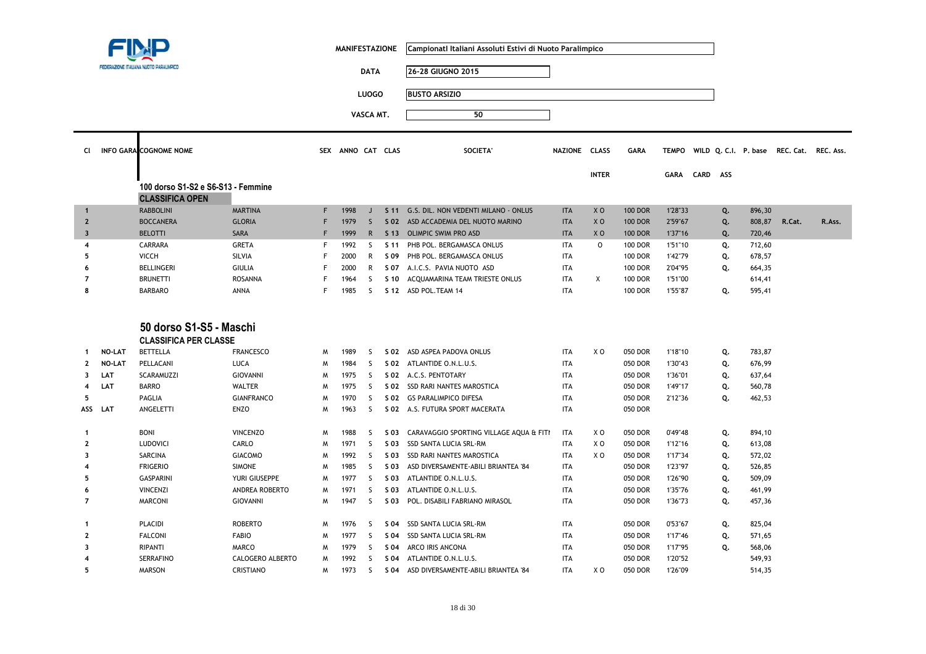|                         |               |                                                              |                   |    | <b>MANIFESTAZIONE</b> |              |                 | Campionatl Italiani Assoluti Estivi di Nuoto Paralimpico |               |                |                |              |          |    |        |                                          |        |
|-------------------------|---------------|--------------------------------------------------------------|-------------------|----|-----------------------|--------------|-----------------|----------------------------------------------------------|---------------|----------------|----------------|--------------|----------|----|--------|------------------------------------------|--------|
|                         |               | FEDERAZIONE ITALIANA NUOTO PARALIMPICO                       |                   |    |                       | <b>DATA</b>  |                 | 26-28 GIUGNO 2015                                        |               |                |                |              |          |    |        |                                          |        |
|                         |               |                                                              |                   |    |                       | <b>LUOGO</b> |                 | <b>BUSTO ARSIZIO</b>                                     |               |                |                |              |          |    |        |                                          |        |
|                         |               |                                                              |                   |    |                       | VASCA MT.    |                 | 50                                                       |               |                |                |              |          |    |        |                                          |        |
|                         |               |                                                              |                   |    |                       |              |                 |                                                          |               |                |                |              |          |    |        |                                          |        |
| <b>CI</b>               |               | <b>INFO GARA COGNOME NOME</b>                                |                   |    | SEX ANNO CAT CLAS     |              |                 | <b>SOCIETA</b>                                           | NAZIONE CLASS |                | <b>GARA</b>    | <b>TEMPO</b> |          |    |        | WILD Q. C.I. P. base REC. Cat. REC. Ass. |        |
|                         |               |                                                              |                   |    |                       |              |                 |                                                          |               | <b>INTER</b>   |                | <b>GARA</b>  | CARD ASS |    |        |                                          |        |
|                         |               | 100 dorso S1-S2 e S6-S13 - Femmine<br><b>CLASSIFICA OPEN</b> |                   |    |                       |              |                 |                                                          |               |                |                |              |          |    |        |                                          |        |
| $\mathbf{1}$            |               | <b>RABBOLINI</b>                                             | <b>MARTINA</b>    | F. | 1998                  | J            | S <sub>11</sub> | G.S. DIL. NON VEDENTI MILANO - ONLUS                     | <b>ITA</b>    | X <sub>0</sub> | <b>100 DOR</b> | 1'28"33      |          | Q. | 896,30 |                                          |        |
| $\overline{2}$          |               | <b>BOCCANERA</b>                                             | <b>GLORIA</b>     | F  | 1979                  | $\mathsf{S}$ | S 02            | ASD ACCADEMIA DEL NUOTO MARINO                           | <b>ITA</b>    | X <sub>0</sub> | <b>100 DOR</b> | 2'59"67      |          | Q. | 808,87 | R.Cat.                                   | R.Ass. |
| $\overline{\mathbf{3}}$ |               | <b>BELOTTI</b>                                               | <b>SARA</b>       | F  | 1999                  | $\mathsf{R}$ | S <sub>13</sub> | <b>OLIMPIC SWIM PRO ASD</b>                              | <b>ITA</b>    | X <sub>0</sub> | <b>100 DOR</b> | 1'37"16      |          | Q. | 720,46 |                                          |        |
| 4                       |               | CARRARA                                                      | <b>GRETA</b>      | F  | 1992                  | S.           | S 11            | PHB POL. BERGAMASCA ONLUS                                | <b>ITA</b>    | $\circ$        | <b>100 DOR</b> | 1'51"10      |          | Q. | 712,60 |                                          |        |
| 5                       |               | <b>VICCH</b>                                                 | SILVIA            | F  | 2000                  | R            | S 09            | PHB POL. BERGAMASCA ONLUS                                | <b>ITA</b>    |                | <b>100 DOR</b> | 1'42"79      |          | Q. | 678,57 |                                          |        |
| 6                       |               | <b>BELLINGERI</b>                                            | <b>GIULIA</b>     | F  | 2000                  | R            | S 07            | A.I.C.S. PAVIA NUOTO ASD                                 | <b>ITA</b>    |                | <b>100 DOR</b> | 2'04"95      |          | Q. | 664,35 |                                          |        |
| $\overline{7}$          |               | <b>BRUNETTI</b>                                              | <b>ROSANNA</b>    | F  | 1964                  | S            | S 10            | ACQUAMARINA TEAM TRIESTE ONLUS                           | <b>ITA</b>    | X              | <b>100 DOR</b> | 1'51"00      |          |    | 614,41 |                                          |        |
| 8                       |               | <b>BARBARO</b>                                               | ANNA              | F  | 1985                  | S.           |                 | S 12 ASD POL. TEAM 14                                    | <b>ITA</b>    |                | <b>100 DOR</b> | 1'55"87      |          | Q. | 595,41 |                                          |        |
|                         |               | 50 dorso S1-S5 - Maschi<br><b>CLASSIFICA PER CLASSE</b>      |                   |    |                       |              |                 |                                                          |               |                |                |              |          |    |        |                                          |        |
| 1                       | <b>NO-LAT</b> | <b>BETTELLA</b>                                              | <b>FRANCESCO</b>  | M  | 1989                  | <sub>S</sub> | S 02            | ASD ASPEA PADOVA ONLUS                                   | <b>ITA</b>    | X <sub>0</sub> | 050 DOR        | 1'18"10      |          | Q. | 783,87 |                                          |        |
| $\mathbf{2}$            | <b>NO-LAT</b> | PELLACANI                                                    | <b>LUCA</b>       | W  | 1984                  | S            |                 | S 02 ATLANTIDE O.N.L.U.S.                                | <b>ITA</b>    |                | 050 DOR        | 1'30"43      |          | Q. | 676,99 |                                          |        |
| 3                       | LAT           | <b>SCARAMUZZI</b>                                            | <b>GIOVANNI</b>   | M  | 1975                  | <sub>S</sub> | S 02            | A.C.S. PENTOTARY                                         | <b>ITA</b>    |                | 050 DOR        | 1'36"01      |          | Q. | 637,64 |                                          |        |
| 4                       | LAT           | <b>BARRO</b>                                                 | <b>WALTER</b>     | W  | 1975                  | <sub>S</sub> | S 02            | SSD RARI NANTES MAROSTICA                                | <b>ITA</b>    |                | 050 DOR        | 1'49"17      |          | Q. | 560,78 |                                          |        |
| 5                       |               | PAGLIA                                                       | <b>GIANFRANCO</b> | M  | 1970                  | S            | S 02            | <b>GS PARALIMPICO DIFESA</b>                             | <b>ITA</b>    |                | 050 DOR        | 2'12"36      |          | Q. | 462,53 |                                          |        |
|                         | ASS LAT       | ANGELETTI                                                    | <b>ENZO</b>       | M  | 1963                  | S            | S 02            | A.S. FUTURA SPORT MACERATA                               | <b>ITA</b>    |                | 050 DOR        |              |          |    |        |                                          |        |
| $\mathbf{1}$            |               | <b>BONI</b>                                                  | <b>VINCENZO</b>   | M  | 1988                  | S            | S 03            | CARAVAGGIO SPORTING VILLAGE AQUA & FITI                  | <b>ITA</b>    | X O            | 050 DOR        | 0'49"48      |          | Q. | 894,10 |                                          |        |
| $\mathbf{2}$            |               | LUDOVICI                                                     | CARLO             | M  | 1971                  | S            | S 03            | SSD SANTA LUCIA SRL-RM                                   | <b>ITA</b>    | X O            | 050 DOR        | 1'12"16      |          | Q. | 613,08 |                                          |        |
| 3                       |               | SARCINA                                                      | <b>GIACOMO</b>    | M  | 1992                  | <sub>S</sub> | S 03            | SSD RARI NANTES MAROSTICA                                | <b>ITA</b>    | X <sub>0</sub> | 050 DOR        | 1'17"34      |          | Q. | 572,02 |                                          |        |
| 4                       |               | <b>FRIGERIO</b>                                              | <b>SIMONE</b>     | M  | 1985                  | $\mathsf{S}$ | S 03            | ASD DIVERSAMENTE-ABILI BRIANTEA '84                      | <b>ITA</b>    |                | 050 DOR        | 1'23"97      |          | Q. | 526,85 |                                          |        |
| 5                       |               | <b>GASPARINI</b>                                             | YURI GIUSEPPE     | M  | 1977                  | <sub>S</sub> | S 03            | ATLANTIDE O.N.L.U.S.                                     | <b>ITA</b>    |                | 050 DOR        | 1'26"90      |          | Q. | 509,09 |                                          |        |
| 6                       |               | <b>VINCENZI</b>                                              | ANDREA ROBERTO    | M  | 1971                  | S            | S 03            | ATLANTIDE O.N.L.U.S.                                     | <b>ITA</b>    |                | 050 DOR        | 1'35"76      |          | Q. | 461,99 |                                          |        |
| $\overline{7}$          |               | <b>MARCONI</b>                                               | <b>GIOVANNI</b>   | W  | 1947                  | S.           | S 03            | POL. DISABILI FABRIANO MIRASOL                           | <b>ITA</b>    |                | 050 DOR        | 1'36"73      |          | Q. | 457,36 |                                          |        |
| 1                       |               | <b>PLACIDI</b>                                               | <b>ROBERTO</b>    | M  | 1976                  | S.           | S 04            | SSD SANTA LUCIA SRL-RM                                   | <b>ITA</b>    |                | 050 DOR        | 0'53"67      |          | Q. | 825,04 |                                          |        |
| $\mathbf{2}$            |               | <b>FALCONI</b>                                               | <b>FABIO</b>      | W  | 1977                  | S            | S 04            | SSD SANTA LUCIA SRL-RM                                   | <b>ITA</b>    |                | 050 DOR        | 1'17"46      |          | Q. | 571,65 |                                          |        |
| 3                       |               | <b>RIPANTI</b>                                               | <b>MARCO</b>      | M  | 1979                  | <sub>S</sub> | S 04            | ARCO IRIS ANCONA                                         | <b>ITA</b>    |                | 050 DOR        | 1'17"95      |          | Q. | 568,06 |                                          |        |
| 4                       |               | <b>SERRAFINO</b>                                             | CALOGERO ALBERTO  | W  | 1992                  | -S           | S 04            | ATLANTIDE O.N.L.U.S.                                     | <b>ITA</b>    |                | 050 DOR        | 1'20"52      |          |    | 549,93 |                                          |        |
| 5                       |               | <b>MARSON</b>                                                | <b>CRISTIANO</b>  | W  | 1973                  | S            | S 04            | ASD DIVERSAMENTE-ABILI BRIANTEA '84                      | <b>ITA</b>    | X <sub>0</sub> | 050 DOR        | 1'26"09      |          |    | 514,35 |                                          |        |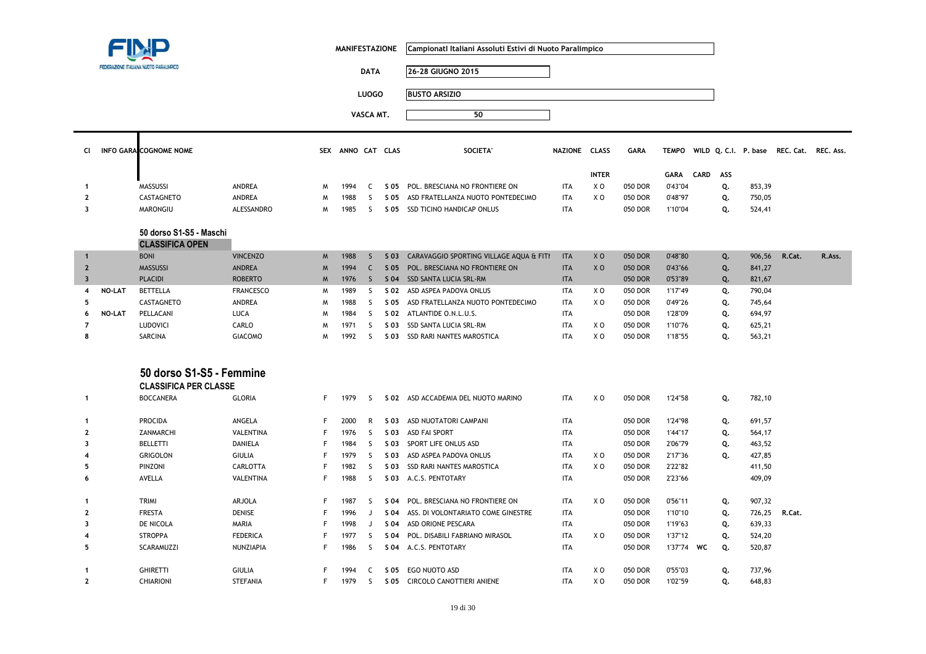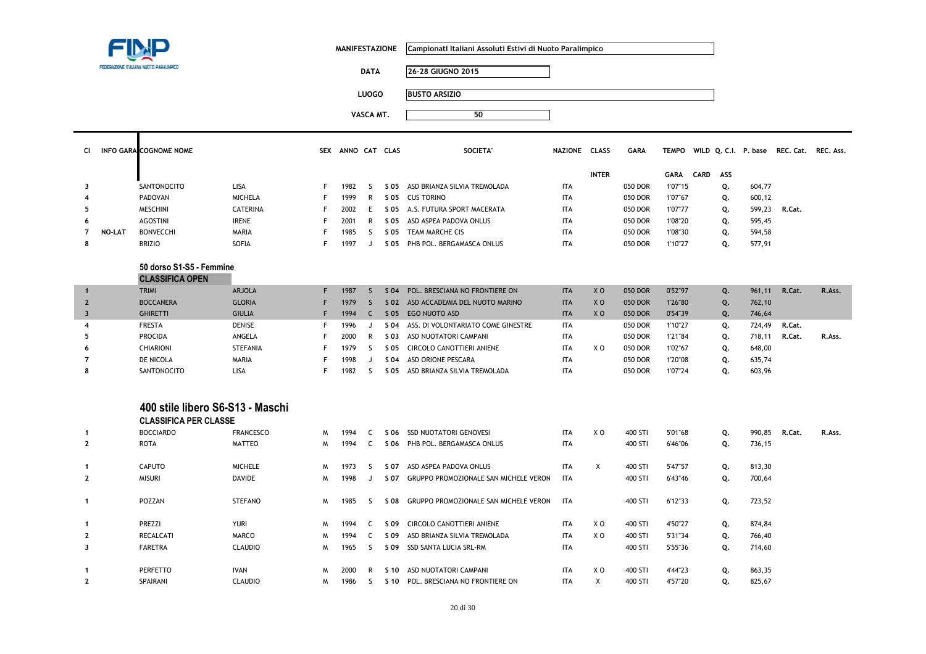|                         |               |                                                                  |                  | <b>MANIFESTAZIONE</b> |                   |              | Campionati Italiani Assoluti Estivi di Nuoto Paralimpico |                                            |               |                |             |              |      |     |        |                                          |        |
|-------------------------|---------------|------------------------------------------------------------------|------------------|-----------------------|-------------------|--------------|----------------------------------------------------------|--------------------------------------------|---------------|----------------|-------------|--------------|------|-----|--------|------------------------------------------|--------|
|                         |               | FEDERAZIONE ITALIANA NUOTO PARALIMPICO                           |                  |                       |                   | <b>DATA</b>  |                                                          | 26-28 GIUGNO 2015                          |               |                |             |              |      |     |        |                                          |        |
|                         |               |                                                                  |                  |                       |                   | <b>LUOGO</b> |                                                          | <b>BUSTO ARSIZIO</b>                       |               |                |             |              |      |     |        |                                          |        |
|                         |               |                                                                  |                  |                       |                   |              |                                                          |                                            |               |                |             |              |      |     |        |                                          |        |
|                         |               |                                                                  |                  |                       |                   | VASCA MT.    |                                                          | 50                                         |               |                |             |              |      |     |        |                                          |        |
| CI.                     |               | INFO GARA COGNOME NOME                                           |                  |                       | SEX ANNO CAT CLAS |              |                                                          | <b>SOCIETA</b>                             | NAZIONE CLASS |                | <b>GARA</b> | <b>TEMPO</b> |      |     |        | WILD Q. C.I. P. base REC. Cat. REC. Ass. |        |
|                         |               |                                                                  |                  |                       |                   |              |                                                          |                                            |               | <b>INTER</b>   |             | GARA         | CARD | ASS |        |                                          |        |
| 3                       |               | SANTONOCITO                                                      | LISA             | F.                    | 1982              | -S           |                                                          | S 05 ASD BRIANZA SILVIA TREMOLADA          | <b>ITA</b>    |                | 050 DOR     | 1'07"15      |      | Q.  | 604,77 |                                          |        |
|                         |               | PADOVAN                                                          | <b>MICHELA</b>   | F                     | 1999              | R            | S 05                                                     | <b>CUS TORINO</b>                          | <b>ITA</b>    |                | 050 DOR     | 1'07"67      |      | Q.  | 600,12 |                                          |        |
| 5                       |               | <b>MESCHINI</b>                                                  | <b>CATERINA</b>  | F                     | 2002              | E            |                                                          | S 05 A.S. FUTURA SPORT MACERATA            | ITA           |                | 050 DOR     | 1'07"77      |      | Q.  | 599,23 | R.Cat.                                   |        |
| 6                       |               | <b>AGOSTINI</b>                                                  | <b>IRENE</b>     | F                     | 2001              | R            |                                                          | S 05 ASD ASPEA PADOVA ONLUS                | <b>ITA</b>    |                | 050 DOR     | 1'08"20      |      | Q.  | 595,45 |                                          |        |
| $\overline{7}$          | <b>NO-LAT</b> | <b>BONVECCHI</b>                                                 | MARIA            | F                     | 1985              | S.           |                                                          | S 05 TEAM MARCHE CIS                       | <b>ITA</b>    |                | 050 DOR     | 1'08"30      |      | Q.  | 594,58 |                                          |        |
| 8                       |               | <b>BRIZIO</b>                                                    | <b>SOFIA</b>     | F                     | 1997              | J            |                                                          | S 05 PHB POL. BERGAMASCA ONLUS             | <b>ITA</b>    |                | 050 DOR     | 1'10"27      |      | Q.  | 577,91 |                                          |        |
|                         |               | 50 dorso S1-S5 - Femmine<br><b>CLASSIFICA OPEN</b>               |                  |                       |                   |              |                                                          |                                            |               |                |             |              |      |     |        |                                          |        |
| $\overline{1}$          |               | <b>TRIMI</b>                                                     | <b>ARJOLA</b>    | F.                    | 1987              | $\mathsf{S}$ | S <sub>04</sub>                                          | POL. BRESCIANA NO FRONTIERE ON             | <b>ITA</b>    | X <sub>0</sub> | 050 DOR     | 0'52"97      |      | Q.  | 961,11 | R.Cat.                                   | R.Ass. |
| $\overline{2}$          |               | <b>BOCCANERA</b>                                                 | <b>GLORIA</b>    | F                     | 1979              | S.           |                                                          | S 02 ASD ACCADEMIA DEL NUOTO MARINO        | <b>ITA</b>    | X <sub>O</sub> | 050 DOR     | 1'26"80      |      | Q.  | 762,10 |                                          |        |
| $\overline{\mathbf{3}}$ |               | <b>GHIRETTI</b>                                                  | <b>GIULIA</b>    | F                     | 1994              | $\mathsf{C}$ |                                                          | S 05 EGO NUOTO ASD                         | <b>ITA</b>    | X <sub>0</sub> | 050 DOR     | 0'54"39      |      | Q.  | 746,64 |                                          |        |
| 4                       |               | <b>FRESTA</b>                                                    | DENISE           | F                     | 1996              | J            | S 04                                                     | ASS. DI VOLONTARIATO COME GINESTRE         | <b>ITA</b>    |                | 050 DOR     | 1'10"27      |      | Q.  | 724,49 | R.Cat.                                   |        |
| 5                       |               | <b>PROCIDA</b>                                                   | ANGELA           | F                     | 2000              | R            | S 03                                                     | ASD NUOTATORI CAMPANI                      | <b>ITA</b>    |                | 050 DOR     | 1'21"84      |      | Q.  | 718,11 | R.Cat.                                   | R.Ass. |
| 6                       |               | <b>CHIARIONI</b>                                                 | <b>STEFANIA</b>  | F                     | 1979              | S.           | S 05                                                     | CIRCOLO CANOTTIERI ANIENE                  | <b>ITA</b>    | X <sub>0</sub> | 050 DOR     | 1'02"67      |      | Q.  | 648,00 |                                          |        |
| 7                       |               | DE NICOLA                                                        | MARIA            | F                     | 1998              | J            | S 04                                                     | ASD ORIONE PESCARA                         | <b>ITA</b>    |                | 050 DOR     | 1'20"08      |      | Q.  | 635,74 |                                          |        |
| 8                       |               | SANTONOCITO                                                      | <b>LISA</b>      | F                     | 1982              | S.           |                                                          | S 05 ASD BRIANZA SILVIA TREMOLADA          | <b>ITA</b>    |                | 050 DOR     | 1'07"24      |      | Q.  | 603,96 |                                          |        |
|                         |               | 400 stile libero S6-S13 - Maschi<br><b>CLASSIFICA PER CLASSE</b> |                  |                       |                   |              |                                                          |                                            |               |                |             |              |      |     |        |                                          |        |
| $\mathbf{1}$            |               | <b>BOCCIARDO</b>                                                 | <b>FRANCESCO</b> | M                     | 1994              | C            |                                                          | S 06 SSD NUOTATORI GENOVESI                | <b>ITA</b>    | X <sub>0</sub> | 400 STI     | 5'01"68      |      | Q.  | 990,85 | R.Cat.                                   | R.Ass. |
| $\overline{2}$          |               | <b>ROTA</b>                                                      | <b>MATTEO</b>    | M                     | 1994              | C            |                                                          | S 06 PHB POL. BERGAMASCA ONLUS             | <b>ITA</b>    |                | 400 STI     | 6'46"06      |      | Q.  | 736,15 |                                          |        |
| -1                      |               | <b>CAPUTO</b>                                                    | <b>MICHELE</b>   | M                     | 1973              | S.           | S 07                                                     | ASD ASPEA PADOVA ONLUS                     | <b>ITA</b>    | $\mathsf{X}$   | 400 STI     | 5'47"57      |      | Q.  | 813,30 |                                          |        |
| $\mathbf{2}$            |               | <b>MISURI</b>                                                    | <b>DAVIDE</b>    | M                     | 1998              | J            |                                                          | S 07 GRUPPO PROMOZIONALE SAN MICHELE VERON | <b>ITA</b>    |                | 400 STI     | 6'43"46      |      | Q.  | 700,64 |                                          |        |
| $\mathbf{1}$            |               | POZZAN                                                           | <b>STEFANO</b>   | M                     | 1985              | -S           |                                                          | S 08 GRUPPO PROMOZIONALE SAN MICHELE VERON | <b>ITA</b>    |                | 400 STI     | 6'12"33      |      | Q.  | 723,52 |                                          |        |

PERFETTO IVAN <sup>M</sup> <sup>2000</sup> <sup>R</sup> **S 10** ASD NUOTATORI CAMPANI ITA X O 400 STI 4'44"23 **Q.** 863,35

1986 S S 10 POL. BRESCIANA NO FRONTIERE ON

**S 09** CIRCOLO CANOTTIERI ANIENE ITA X O 400 STI 4'50"27 **Q.** 874,84

**S 09** ASD BRIANZA SILVIA TREMOLADA ITA X O 400 STI 5'31"34 **Q.** 766,40

**1**

**2**

**3**

**1**

**2**

1 **PREZZI** YURI M 1994 C

2 RECALCATI MARCO M 1994 C

FARETRA CLAUDIO M 1965 S S 09 SSD SANTA LUCIA SRL-RM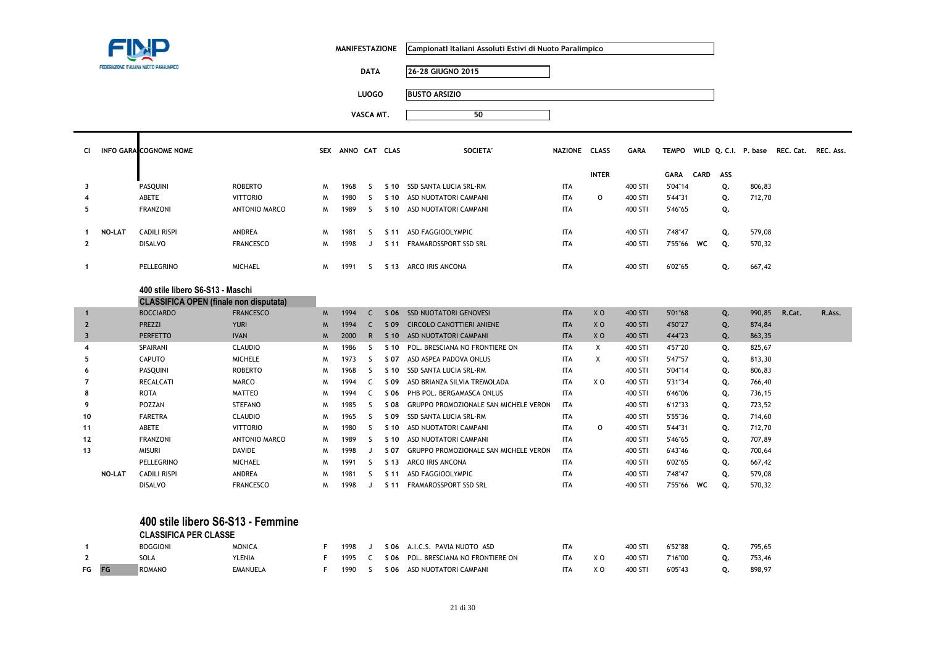|                         | FEDERAZIONE ITALIANA NUOTO PARALIMPICO |                                               |                  |          | <b>MANIFESTAZIONE</b> |              |                 | Campionatl Italiani Assoluti Estivi di Nuoto Paralimpico |               |                |             |              |             |     |        |                                          |        |
|-------------------------|----------------------------------------|-----------------------------------------------|------------------|----------|-----------------------|--------------|-----------------|----------------------------------------------------------|---------------|----------------|-------------|--------------|-------------|-----|--------|------------------------------------------|--------|
|                         |                                        |                                               |                  |          |                       | <b>DATA</b>  |                 | 26-28 GIUGNO 2015                                        |               |                |             |              |             |     |        |                                          |        |
|                         |                                        |                                               |                  |          |                       | <b>LUOGO</b> |                 | <b>BUSTO ARSIZIO</b>                                     |               |                |             |              |             |     |        |                                          |        |
|                         |                                        |                                               |                  |          |                       | VASCA MT.    |                 | 50                                                       |               |                |             |              |             |     |        |                                          |        |
|                         |                                        |                                               |                  |          |                       |              |                 |                                                          |               |                |             |              |             |     |        |                                          |        |
| <b>CI</b>               |                                        | <b>INFO GARA COGNOME NOME</b>                 |                  |          | SEX ANNO CAT CLAS     |              |                 | <b>SOCIETA'</b>                                          | NAZIONE CLASS |                | <b>GARA</b> | <b>TEMPO</b> |             |     |        | WILD Q. C.I. P. base REC. Cat. REC. Ass. |        |
|                         |                                        |                                               |                  |          |                       |              |                 |                                                          |               |                |             |              |             |     |        |                                          |        |
|                         |                                        |                                               |                  |          |                       |              |                 |                                                          |               | <b>INTER</b>   |             | GARA         | <b>CARD</b> | ASS |        |                                          |        |
| 3                       |                                        | PASQUINI                                      | <b>ROBERTO</b>   | M        | 1968                  | -S           | S 10            | SSD SANTA LUCIA SRL-RM                                   | <b>ITA</b>    |                | 400 STI     | 5'04"14      |             | Q.  | 806,83 |                                          |        |
| 4                       |                                        | ABETE                                         | <b>VITTORIO</b>  | M        | 1980                  | <sub>S</sub> | S 10            | ASD NUOTATORI CAMPANI                                    | <b>ITA</b>    | $\circ$        | 400 STI     | 5'44"31      |             | Q.  | 712,70 |                                          |        |
| 5                       |                                        | <b>FRANZONI</b>                               | ANTONIO MARCO    | W        | 1989                  | S            | S <sub>10</sub> | ASD NUOTATORI CAMPANI                                    | <b>ITA</b>    |                | 400 STI     | 5'46"65      |             | Q.  |        |                                          |        |
| $\mathbf{1}$            | <b>NO-LAT</b>                          | <b>CADILI RISPI</b>                           | ANDREA           | W        | 1981                  | S            |                 | S 11 ASD FAGGIOOLYMPIC                                   | <b>ITA</b>    |                | 400 STI     | 7'48"47      |             | Q.  | 579,08 |                                          |        |
| $\mathbf{2}$            |                                        | <b>DISALVO</b>                                | <b>FRANCESCO</b> | M        | 1998                  | J            | S <sub>11</sub> | FRAMAROSSPORT SSD SRL                                    | <b>ITA</b>    |                | 400 STI     | 7'55"66      | WC          | Q.  | 570,32 |                                          |        |
|                         |                                        |                                               |                  |          |                       |              |                 |                                                          |               |                |             |              |             |     |        |                                          |        |
| $\mathbf{1}$            |                                        | PELLEGRINO                                    | MICHAEL          | W        | 1991                  | S.           |                 | S 13 ARCO IRIS ANCONA                                    | <b>ITA</b>    |                | 400 STI     | 6'02"65      |             | Q.  | 667,42 |                                          |        |
|                         |                                        | 400 stile libero S6-S13 - Maschi              |                  |          |                       |              |                 |                                                          |               |                |             |              |             |     |        |                                          |        |
|                         |                                        | <b>CLASSIFICA OPEN (finale non disputata)</b> |                  |          |                       |              |                 |                                                          |               |                |             |              |             |     |        |                                          |        |
| $\mathbf{1}$            |                                        | <b>BOCCIARDO</b>                              | <b>FRANCESCO</b> | <b>M</b> | 1994                  | C            | S 06            | <b>SSD NUOTATORI GENOVESI</b>                            | <b>ITA</b>    | X <sub>0</sub> | 400 STI     | 5'01"68      |             | Q.  | 990,85 | R.Cat.                                   | R.Ass. |
| $\overline{2}$          |                                        | <b>PREZZI</b>                                 | <b>YURI</b>      | M        | 1994                  | $\mathsf{C}$ | S 09            | <b>CIRCOLO CANOTTIERI ANIENE</b>                         | <b>ITA</b>    | X <sub>O</sub> | 400 STI     | 4'50"27      |             | Q.  | 874,84 |                                          |        |
| $\overline{\mathbf{3}}$ |                                        | <b>PERFETTO</b>                               | <b>IVAN</b>      | M        | 2000                  | $\mathsf{R}$ |                 | S 10 ASD NUOTATORI CAMPANI                               | <b>ITA</b>    | X <sub>0</sub> | 400 STI     | 4'44"23      |             | Q.  | 863,35 |                                          |        |
| 4                       |                                        | <b>SPAIRANI</b>                               | <b>CLAUDIO</b>   | M        | 1986                  | S            | S 10            | POL. BRESCIANA NO FRONTIERE ON                           | <b>ITA</b>    | Χ              | 400 STI     | 4'57"20      |             | Q.  | 825,67 |                                          |        |
| 5                       |                                        | <b>CAPUTO</b>                                 | <b>MICHELE</b>   | W        | 1973                  | S            | S 07            | ASD ASPEA PADOVA ONLUS                                   | <b>ITA</b>    | X              | 400 STI     | 5'47"57      |             | Q.  | 813,30 |                                          |        |
| 6                       |                                        | PASQUINI                                      | <b>ROBERTO</b>   | M        | 1968                  | S            | S 10            | SSD SANTA LUCIA SRL-RM                                   | <b>ITA</b>    |                | 400 STI     | 5'04"14      |             | Q.  | 806,83 |                                          |        |
| $\overline{7}$          |                                        | <b>RECALCATI</b>                              | <b>MARCO</b>     | M        | 1994                  | C            | S 09            | ASD BRIANZA SILVIA TREMOLADA                             | <b>ITA</b>    | XO             | 400 STI     | 5'31"34      |             | Q.  | 766,40 |                                          |        |
| 8                       |                                        | <b>ROTA</b>                                   | <b>MATTEO</b>    | M        | 1994                  | C            | S 06            | PHB POL. BERGAMASCA ONLUS                                | <b>ITA</b>    |                | 400 STI     | 6'46"06      |             | Q.  | 736,15 |                                          |        |
| 9                       |                                        | POZZAN                                        | <b>STEFANO</b>   | M        | 1985                  | <sub>S</sub> | S 08            | GRUPPO PROMOZIONALE SAN MICHELE VERON                    | <b>ITA</b>    |                | 400 STI     | 6'12"33      |             | Q.  | 723,52 |                                          |        |
| 10                      |                                        | <b>FARETRA</b>                                | <b>CLAUDIO</b>   | W        | 1965                  | S            | S 09            | SSD SANTA LUCIA SRL-RM                                   | <b>ITA</b>    |                | 400 STI     | 5'55"36      |             | Q.  | 714,60 |                                          |        |
| 11                      |                                        | ABETE                                         | <b>VITTORIO</b>  | M        | 1980                  | S            | S <sub>10</sub> | ASD NUOTATORI CAMPANI                                    | <b>ITA</b>    | $\Omega$       | 400 STI     | 5'44"31      |             | Q.  | 712,70 |                                          |        |
| 12                      |                                        | <b>FRANZONI</b>                               | ANTONIO MARCO    | W        | 1989                  | S            | S 10            | ASD NUOTATORI CAMPANI                                    | <b>ITA</b>    |                | 400 STI     | 5'46"65      |             | Q.  | 707,89 |                                          |        |
| 13                      |                                        | <b>MISURI</b>                                 | <b>DAVIDE</b>    | M        | 1998                  | J            | S 07            | GRUPPO PROMOZIONALE SAN MICHELE VERON                    | <b>ITA</b>    |                | 400 STI     | 6'43"46      |             | Q.  | 700,64 |                                          |        |
|                         |                                        | PELLEGRINO                                    | MICHAEL          | M        | 1991                  | S            | S 13            | ARCO IRIS ANCONA                                         | <b>ITA</b>    |                | 400 STI     | 6'02"65      |             | Q.  | 667,42 |                                          |        |
|                         | NO-LAT                                 | <b>CADILI RISPI</b>                           | ANDREA           | M        | 1981                  | S            | S <sub>11</sub> | ASD FAGGIOOLYMPIC                                        | <b>ITA</b>    |                | 400 STI     | 7'48"47      |             | Q.  | 579,08 |                                          |        |
|                         |                                        | <b>DISALVO</b>                                | <b>FRANCESCO</b> | W        | 1998                  | J            | S <sub>11</sub> | FRAMAROSSPORT SSD SRL                                    | <b>ITA</b>    |                | 400 STI     | 7'55"66      | WC          | Q.  | 570,32 |                                          |        |
|                         |                                        |                                               |                  |          |                       |              |                 |                                                          |               |                |             |              |             |     |        |                                          |        |
|                         |                                        | 400 stile libero S6-S13 - Femmine             |                  |          |                       |              |                 |                                                          |               |                |             |              |             |     |        |                                          |        |
|                         |                                        | <b>CLASSIFICA PER CLASSE</b>                  |                  |          |                       |              |                 |                                                          |               |                |             |              |             |     |        |                                          |        |
| $\mathbf{1}$            |                                        | <b>BOGGIONI</b>                               | <b>MONICA</b>    | F.       | 1998                  | J            |                 | S 06 A.I.C.S. PAVIA NUOTO ASD                            | <b>ITA</b>    |                | 400 STI     | 6'52"88      |             | Q.  | 795,65 |                                          |        |
| $\mathbf{2}$            |                                        | SOLA                                          | <b>YLENIA</b>    | F        | 1995                  | C            | S 06            | POL. BRESCIANA NO FRONTIERE ON                           | <b>ITA</b>    | X O            | 400 STI     | 7'16"00      |             | Q.  | 753,46 |                                          |        |
| FG                      | FG                                     | <b>ROMANO</b>                                 | <b>EMANUELA</b>  | F        | 1990                  | S            | S 06            | ASD NUOTATORI CAMPANI                                    | <b>ITA</b>    | X <sub>0</sub> | 400 STI     | 6'05"43      |             | Q.  | 898,97 |                                          |        |
|                         |                                        |                                               |                  |          |                       |              |                 |                                                          |               |                |             |              |             |     |        |                                          |        |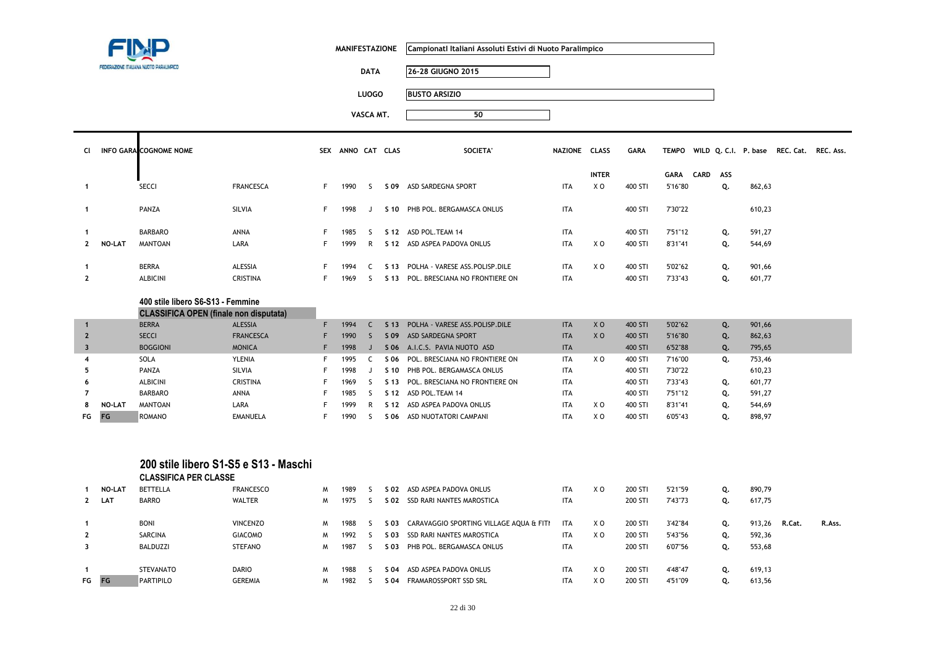|                         |        |                                                                                    |                                                           |   |                   |              | <b>MANIFESTAZIONE</b> | Campionati Italiani Assoluti Estivi di Nuoto Paralimpico |               |                |             |              |      |     |        |                                          |        |
|-------------------------|--------|------------------------------------------------------------------------------------|-----------------------------------------------------------|---|-------------------|--------------|-----------------------|----------------------------------------------------------|---------------|----------------|-------------|--------------|------|-----|--------|------------------------------------------|--------|
|                         |        | FEDERAZIONE ITALIANA NUOTO PARALIMPICO                                             |                                                           |   |                   | <b>DATA</b>  |                       | 26-28 GIUGNO 2015                                        |               |                |             |              |      |     |        |                                          |        |
|                         |        |                                                                                    |                                                           |   |                   | <b>LUOGO</b> |                       | <b>BUSTO ARSIZIO</b>                                     |               |                |             |              |      |     |        |                                          |        |
|                         |        |                                                                                    |                                                           |   |                   |              |                       |                                                          |               |                |             |              |      |     |        |                                          |        |
|                         |        |                                                                                    |                                                           |   |                   | VASCA MT.    |                       | 50                                                       |               |                |             |              |      |     |        |                                          |        |
| CI                      |        | INFO GARA COGNOME NOME                                                             |                                                           |   | SEX ANNO CAT CLAS |              |                       | <b>SOCIETA'</b>                                          | NAZIONE CLASS |                | <b>GARA</b> | <b>TEMPO</b> |      |     |        | WILD Q. C.I. P. base REC. Cat. REC. Ass. |        |
|                         |        |                                                                                    |                                                           |   |                   |              |                       |                                                          |               |                |             |              |      |     |        |                                          |        |
|                         |        |                                                                                    |                                                           |   |                   |              |                       |                                                          |               | <b>INTER</b>   |             | <b>GARA</b>  | CARD | ASS |        |                                          |        |
| $\mathbf{1}$            |        | <b>SECCI</b>                                                                       | <b>FRANCESCA</b>                                          | F | 1990              | S.           |                       | S 09 ASD SARDEGNA SPORT                                  | <b>ITA</b>    | X O            | 400 STI     | 5'16"80      |      | Q.  | 862,63 |                                          |        |
| $\mathbf{1}$            |        | PANZA                                                                              | SILVIA                                                    | F | 1998              | J            |                       | S 10 PHB POL. BERGAMASCA ONLUS                           | <b>ITA</b>    |                | 400 STI     | 7'30"22      |      |     | 610,23 |                                          |        |
| $\mathbf{1}$            |        | <b>BARBARO</b>                                                                     | ANNA                                                      | F | 1985              | S.           |                       | S 12 ASD POL. TEAM 14                                    | <b>ITA</b>    |                | 400 STI     | 7'51"12      |      | Q.  | 591,27 |                                          |        |
| $\mathbf{2}$            | NO-LAT | <b>MANTOAN</b>                                                                     | LARA                                                      | F | 1999              | $\mathsf{R}$ |                       | S 12 ASD ASPEA PADOVA ONLUS                              | <b>ITA</b>    | X O            | 400 STI     | 8'31"41      |      | Q.  | 544,69 |                                          |        |
|                         |        |                                                                                    |                                                           |   |                   |              |                       |                                                          |               |                |             |              |      |     |        |                                          |        |
| $\mathbf{1}$            |        | <b>BERRA</b>                                                                       | ALESSIA                                                   | F | 1994              | C            |                       | S 13 POLHA - VARESE ASS. POLISP. DILE                    | <b>ITA</b>    | X O            | 400 STI     | 5'02"62      |      | Q.  | 901,66 |                                          |        |
| $\overline{2}$          |        | <b>ALBICINI</b>                                                                    | <b>CRISTINA</b>                                           | F | 1969              | S.           |                       | S 13 POL. BRESCIANA NO FRONTIERE ON                      | <b>ITA</b>    |                | 400 STI     | 7'33"43      |      | Q.  | 601,77 |                                          |        |
|                         |        | 400 stile libero S6-S13 - Femmine<br><b>CLASSIFICA OPEN (finale non disputata)</b> |                                                           |   |                   |              |                       |                                                          |               |                |             |              |      |     |        |                                          |        |
| $\mathbf{1}$            |        | <b>BERRA</b>                                                                       | ALESSIA                                                   | F | 1994              | $\mathsf{C}$ | S <sub>13</sub>       | POLHA - VARESE ASS.POLISP.DILE                           | <b>ITA</b>    | XO             | 400 STI     | 5'02"62      |      | Q.  | 901,66 |                                          |        |
| $\overline{2}$          |        | <b>SECCI</b>                                                                       | <b>FRANCESCA</b>                                          | F | 1990              | S            | S 09                  | ASD SARDEGNA SPORT                                       | <b>ITA</b>    | X <sub>O</sub> | 400 STI     | 5'16"80      |      | Q.  | 862,63 |                                          |        |
| $\overline{\mathbf{3}}$ |        | <b>BOGGIONI</b>                                                                    | <b>MONICA</b>                                             | F | 1998              | $\mathsf{J}$ |                       | S 06 A.I.C.S. PAVIA NUOTO ASD                            | <b>ITA</b>    |                | 400 STI     | 6'52"88      |      | Q.  | 795,65 |                                          |        |
| 4                       |        | SOLA                                                                               | YLENIA                                                    | F | 1995              | C            | S 06                  | POL. BRESCIANA NO FRONTIERE ON                           | <b>ITA</b>    | X O            | 400 STI     | 7'16"00      |      | Q.  | 753,46 |                                          |        |
| 5                       |        | PANZA                                                                              | SILVIA                                                    | F | 1998              | J            | S 10                  | PHB POL. BERGAMASCA ONLUS                                | ITA           |                | 400 STI     | 7'30"22      |      |     | 610,23 |                                          |        |
| 6                       |        | <b>ALBICINI</b>                                                                    | <b>CRISTINA</b>                                           | F | 1969              | S.           | S <sub>13</sub>       | POL. BRESCIANA NO FRONTIERE ON                           | <b>ITA</b>    |                | 400 STI     | 7'33"43      |      | Q.  | 601,77 |                                          |        |
| $\overline{7}$          |        | <b>BARBARO</b>                                                                     | <b>ANNA</b>                                               | F | 1985              | <sub>S</sub> | S 12                  | ASD POL. TEAM 14                                         | <b>ITA</b>    |                | 400 STI     | 7'51"12      |      | Q.  | 591,27 |                                          |        |
| 8                       | NO-LAT | <b>MANTOAN</b>                                                                     | LARA                                                      | F | 1999              | R            | S 12                  | ASD ASPEA PADOVA ONLUS                                   | <b>ITA</b>    | X O            | 400 STI     | 8'31"41      |      | Q.  | 544,69 |                                          |        |
| FG                      | FG     | ROMANO                                                                             | <b>EMANUELA</b>                                           | F | 1990              | S            |                       | S 06 ASD NUOTATORI CAMPANI                               | <b>ITA</b>    | X O            | 400 STI     | 6'05"43      |      | Q.  | 898,97 |                                          |        |
| 1                       | NO-LAT | <b>CLASSIFICA PER CLASSE</b><br><b>BETTELLA</b>                                    | 200 stile libero S1-S5 e S13 - Maschi<br><b>FRANCESCO</b> | M | 1989              | <sub>S</sub> | S 02                  | ASD ASPEA PADOVA ONLUS                                   | <b>ITA</b>    | X O            | 200 STI     | 5'21"59      |      | Q.  | 890,79 |                                          |        |
| $\mathbf{2}$            | LAT    | <b>BARRO</b>                                                                       | <b>WALTER</b>                                             | W | 1975              | S.           |                       | S 02 SSD RARI NANTES MAROSTICA                           | ITA           |                | 200 STI     | 7'43"73      |      | Q.  | 617,75 |                                          |        |
|                         |        |                                                                                    |                                                           |   |                   |              |                       |                                                          |               |                |             |              |      |     |        |                                          |        |
| $\mathbf{1}$            |        | <b>BONI</b>                                                                        | <b>VINCENZO</b>                                           | M | 1988              | -S           | S 03                  | CARAVAGGIO SPORTING VILLAGE AQUA & FITI                  | <b>ITA</b>    | x o            | 200 STI     | 3'42"84      |      | Q.  | 913,26 | R.Cat.                                   | R.Ass. |
| $\mathbf{2}$            |        | SARCINA                                                                            | <b>GIACOMO</b>                                            | M | 1992              | -S           | S 03                  | SSD RARI NANTES MAROSTICA                                | <b>ITA</b>    | X O            | 200 STI     | 5'43"56      |      | Q.  | 592,36 |                                          |        |
| 3                       |        | <b>BALDUZZI</b>                                                                    | <b>STEFANO</b>                                            | M | 1987              | <sub>S</sub> | S 03                  | PHB POL. BERGAMASCA ONLUS                                | <b>ITA</b>    |                | 200 STI     | 6'07"56      |      | Q.  | 553,68 |                                          |        |

STEVANATO DARIO <sup>M</sup> <sup>1988</sup> <sup>S</sup> **S 04** ASD ASPEA PADOVA ONLUS ITA X O 200 STI 4'48"47 **Q.** 619,13

M 1982 S S 04 FRAMAROSSPORT SSD SRL

**1**

**FG FG**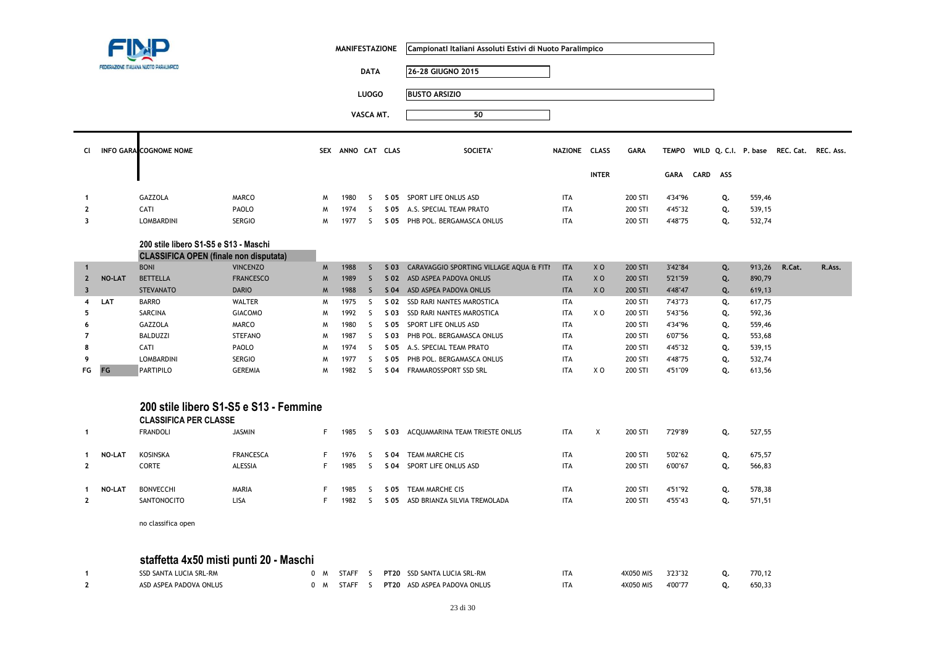

Т

**MANIFESTAZIONE CampionatI Italiani Assoluti Estivi di Nuoto Paralimpico**

**DATA 26-28 GIUGNO 2015LUOGO BUSTO ARSIZIO**

**VASCA MT. <sup>50</sup>**

| -CI            | INFO GARA COGNOME NOME |               |   | SEX ANNO CAT CLAS |  | SOCIETA'                       | NAZIONE    | <b>CLASS</b> | GARA    |             |          |    | TEMPO WILD Q. C.I. P. base | REC. Cat. REC. Ass. |  |
|----------------|------------------------|---------------|---|-------------------|--|--------------------------------|------------|--------------|---------|-------------|----------|----|----------------------------|---------------------|--|
|                |                        |               |   |                   |  |                                |            | <b>INTER</b> |         | <b>GARA</b> | CARD ASS |    |                            |                     |  |
|                | <b>GAZZOLA</b>         | MARCO         | M | 1980              |  | S 05 SPORT LIFE ONLUS ASD      | ITA        |              | 200 STI | 4'34"96     |          | Q. | 559,46                     |                     |  |
| $\overline{2}$ | CATI                   | PAOLO         | M | 1974              |  | S 05 A.S. SPECIAL TEAM PRATO   | <b>ITA</b> |              | 200 STI | 4'45"32     |          | Q. | 539,15                     |                     |  |
| 3              | <b>LOMBARDINI</b>      | <b>SERGIO</b> | M | 1977              |  | S 05 PHB POL. BERGAMASCA ONLUS | <b>ITA</b> |              | 200 STI | 4'48"75     |          | Q. | 532,74                     |                     |  |
|                |                        |               |   |                   |  |                                |            |              |         |             |          |    |                            |                     |  |

### **200 stile libero S1-S5 e S13 - MaschiCLASSIFICA OPEN (finale non disputata)**

|             |               | <b>THE REPORT OF A SET LATER IN A SET AND A SET OF A SET OF A SET OF A SET OF A SET OF A SET OF A SET OF A SET OF</b> |                  |             |      |      |                                              |            |                |         |         |    |        |        |        |
|-------------|---------------|-----------------------------------------------------------------------------------------------------------------------|------------------|-------------|------|------|----------------------------------------------|------------|----------------|---------|---------|----|--------|--------|--------|
|             |               | <b>BONI</b>                                                                                                           | <b>VINCENZO</b>  | <b>M</b>    | 1988 |      | S 03 CARAVAGGIO SPORTING VILLAGE AQUA & FITI | <b>ITA</b> | X <sub>O</sub> | 200 STI | 3'42"84 | Q. | 913,26 | R.Cat. | R.Ass. |
| $2^{\circ}$ | <b>NO-LAT</b> | <b>BETTELLA</b>                                                                                                       | <b>FRANCESCO</b> | M           | 1989 |      | S 02 ASD ASPEA PADOVA ONLUS                  | <b>ITA</b> | X <sub>O</sub> | 200 STI | 5'21"59 | Q. | 890,79 |        |        |
|             |               | <b>STEVANATO</b>                                                                                                      | <b>DARIO</b>     | $M_{\odot}$ | 1988 |      | S 04 ASD ASPEA PADOVA ONLUS                  | <b>ITA</b> | <b>XO</b>      | 200 STI | 4'48"47 | Q. | 619,13 |        |        |
| 4           | <b>LAT</b>    | <b>BARRO</b>                                                                                                          | WALTER           | M           | 1975 |      | S 02 SSD RARI NANTES MAROSTICA               | <b>ITA</b> |                | 200 STI | 7'43"73 | Q. | 617,75 |        |        |
|             |               | SARCINA                                                                                                               | <b>GIACOMO</b>   | M           | 1992 |      | S 03 SSD RARI NANTES MAROSTICA               | <b>ITA</b> | X O            | 200 STI | 5'43"56 | Q. | 592,36 |        |        |
| 6           |               | GAZZOLA                                                                                                               | <b>MARCO</b>     | M           | 1980 | S 05 | SPORT LIFE ONLUS ASD                         | <b>ITA</b> |                | 200 STI | 4'34"96 | Q. | 559,46 |        |        |
|             |               | BALDUZZI                                                                                                              | <b>STEFANO</b>   | M           | 1987 | S 03 | PHB POL. BERGAMASCA ONLUS                    | <b>ITA</b> |                | 200 STI | 6'07"56 | Q. | 553,68 |        |        |
| 8           |               | CATI                                                                                                                  | PAOLO            | M           | 1974 |      | S 05 A.S. SPECIAL TEAM PRATO                 | <b>ITA</b> |                | 200 STI | 4'45"32 | Q. | 539,15 |        |        |
| ۰           |               | <b>LOMBARDINI</b>                                                                                                     | <b>SERGIO</b>    | M           | 1977 | S 05 | PHB POL. BERGAMASCA ONLUS                    | <b>ITA</b> |                | 200 STI | 4'48"75 | Q. | 532,74 |        |        |
| FG FG       |               | <b>PARTIPILO</b>                                                                                                      | <b>GEREMIA</b>   | M           | 1982 | S 04 | FRAMAROSSPORT SSD SRL                        | <b>ITA</b> | X O            | 200 STI | 4'51"09 | Q. | 613,56 |        |        |
|             |               |                                                                                                                       |                  |             |      |      |                                              |            |                |         |         |    |        |        |        |

#### **200 stile libero S1-S5 e S13 - FemmineCLASSIFICA PER CLASSE**

|               | ULAƏƏIFILA PER ULAƏƏE<br>FRANDOLI | JASMIN                      | 1985         |              | S 03 ACQUAMARINA TEAM TRIESTE ONLUS             | <b>ITA</b>               | X | 200 STI            | 7'29"89            | Q.       | 527,55           |
|---------------|-----------------------------------|-----------------------------|--------------|--------------|-------------------------------------------------|--------------------------|---|--------------------|--------------------|----------|------------------|
| <b>NO-LAT</b> | KOSINSKA<br>CORTE                 | <b>FRANCESCA</b><br>ALESSIA | 1976<br>1985 | S 04<br>S 04 | TEAM MARCHE CIS<br>SPORT LIFE ONLUS ASD         | <b>ITA</b><br><b>ITA</b> |   | 200 STI<br>200 STI | 5'02"62<br>6'00"67 | Ο.<br>ο. | 675,57<br>566,83 |
| <b>NO-LAT</b> | <b>BONVECCHI</b><br>SANTONOCITO   | <b>MARIA</b><br><b>LISA</b> | 1985<br>1982 | S 05<br>S 05 | TEAM MARCHE CIS<br>ASD BRIANZA SILVIA TREMOLADA | <b>ITA</b><br><b>ITA</b> |   | 200 STI<br>200 STI | 4'51"92<br>4'55"43 | Ο.<br>Ο. | 578,38<br>571,51 |

no classifica open

# **staffetta 4x50 misti punti 20 - Maschi**

| SSD SANTA LUCIA SRL-RM | <b>STAFF</b> |  | <b>PT20 SSD SANTA LUCIA SRL-RM</b> | <b>ITA</b> | 1X050 MIS | 3'23"32 | 770.12 |
|------------------------|--------------|--|------------------------------------|------------|-----------|---------|--------|
| ASD ASPEA PADOVA ONLUS | <b>STAFF</b> |  | PT20 ASD ASPEA PADOVA ONLUS        | <b>ITA</b> | 4X050 MIS | 4'00"7. | 650,33 |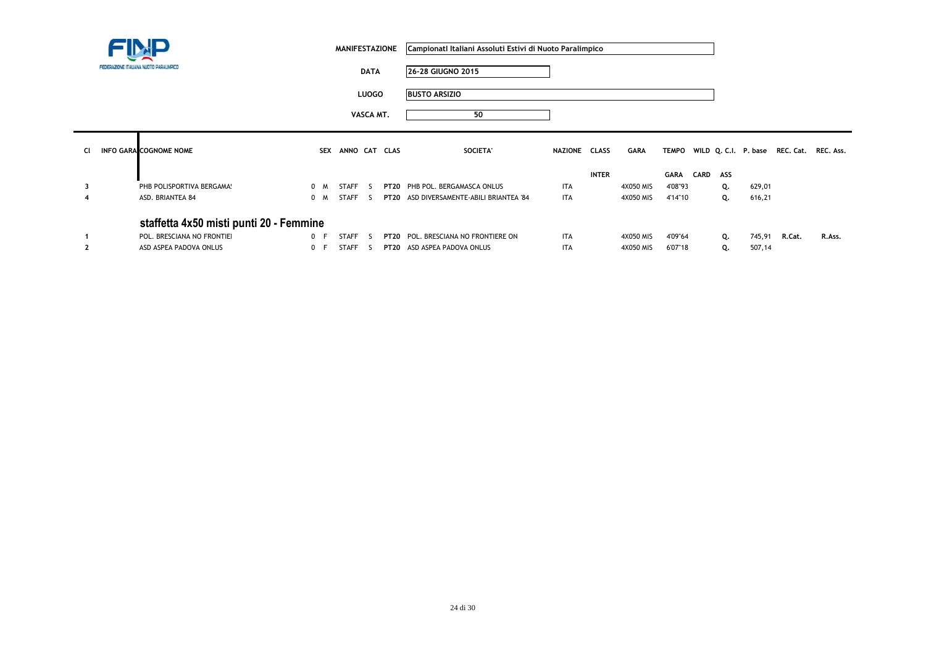|           |  |                                         | <b>MANIFESTAZIONE</b> |         |              | Campionati Italiani Assoluti Estivi di Nuoto Paralimpico |                                          |               |              |           |              |             |     |        |                                          |        |
|-----------|--|-----------------------------------------|-----------------------|---------|--------------|----------------------------------------------------------|------------------------------------------|---------------|--------------|-----------|--------------|-------------|-----|--------|------------------------------------------|--------|
|           |  | FEDERAZIONE ITALIANA NUOTO PARALIMPICO  |                       |         | <b>DATA</b>  |                                                          | 26-28 GIUGNO 2015                        |               |              |           |              |             |     |        |                                          |        |
|           |  |                                         |                       |         | <b>LUOGO</b> |                                                          | <b>BUSTO ARSIZIO</b>                     |               |              |           |              |             |     |        |                                          |        |
|           |  |                                         |                       |         | VASCA MT.    |                                                          | 50                                       |               |              |           |              |             |     |        |                                          |        |
| <b>CI</b> |  | <b>INFO GARA COGNOME NOME</b>           |                       |         |              | SEX ANNO CAT CLAS                                        | SOCIETA'                                 | NAZIONE CLASS |              | GARA      | <b>TEMPO</b> |             |     |        | WILD Q. C.I. P. base REC. Cat. REC. Ass. |        |
|           |  |                                         |                       |         |              |                                                          |                                          |               | <b>INTER</b> |           | <b>GARA</b>  | <b>CARD</b> | ASS |        |                                          |        |
| 3         |  | PHB POLISPORTIVA BERGAMA:               | 0 M                   | STAFF   | S.           |                                                          | PT20 PHB POL. BERGAMASCA ONLUS           | <b>ITA</b>    |              | 4X050 MIS | 4'08"93      |             | Q.  | 629,01 |                                          |        |
| 4         |  | ASD. BRIANTEA 84                        | 0 M                   | STAFF   | -5           |                                                          | PT20 ASD DIVERSAMENTE-ABILI BRIANTEA '84 | <b>ITA</b>    |              | 4X050 MIS | 4'14"10      |             | Q.  | 616,21 |                                          |        |
|           |  | staffetta 4x50 misti punti 20 - Femmine |                       |         |              |                                                          |                                          |               |              |           |              |             |     |        |                                          |        |
|           |  | POL. BRESCIANA NO FRONTIEI              | 0 F                   | STAFF   | S.           |                                                          | PT20 POL. BRESCIANA NO FRONTIERE ON      | <b>ITA</b>    |              | 4X050 MIS | 4'09"64      |             | Q.  | 745,91 | R.Cat.                                   | R.Ass. |
|           |  | ASD ASPEA PADOVA ONLUS                  | 0 F                   | STAFF S |              |                                                          | PT20 ASD ASPEA PADOVA ONLUS              | <b>ITA</b>    |              | 4X050 MIS | 6'07"18      |             | Q.  | 507,14 |                                          |        |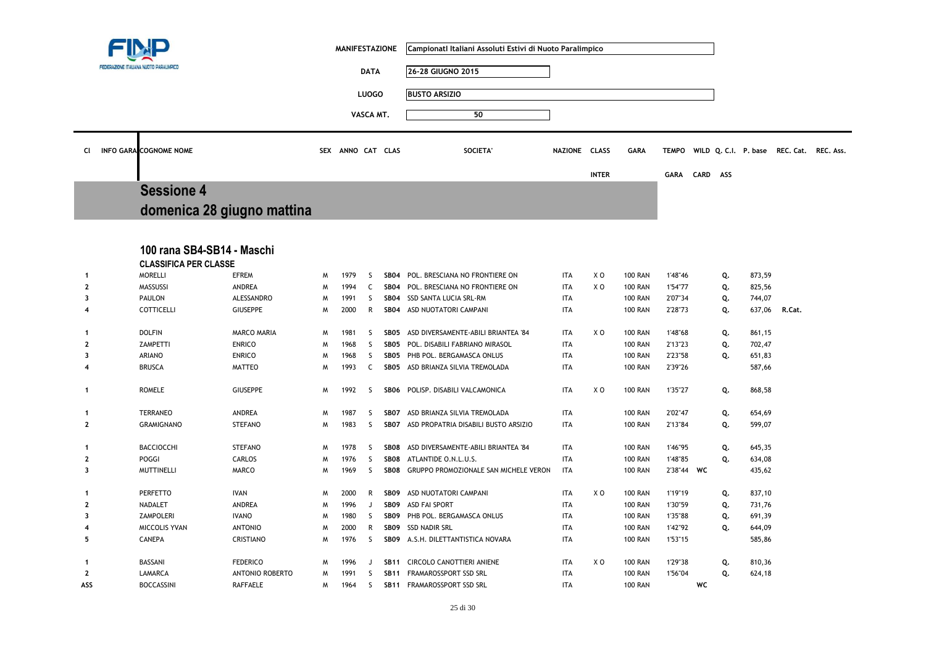|                         |  |                                                            |                        |   | <b>MANIFESTAZIONE</b> |              |                  | Campionatl Italiani Assoluti Estivi di Nuoto Paralimpico |               |                |                |              |             |          |                  |                                          |  |
|-------------------------|--|------------------------------------------------------------|------------------------|---|-----------------------|--------------|------------------|----------------------------------------------------------|---------------|----------------|----------------|--------------|-------------|----------|------------------|------------------------------------------|--|
|                         |  | FEDERAZIONE ITALIANA NUOTO PARALIMPICI                     |                        |   |                       | <b>DATA</b>  |                  | 26-28 GIUGNO 2015                                        |               |                |                |              |             |          |                  |                                          |  |
|                         |  |                                                            |                        |   |                       | <b>LUOGO</b> |                  | <b>BUSTO ARSIZIO</b>                                     |               |                |                |              |             |          |                  |                                          |  |
|                         |  |                                                            |                        |   |                       |              |                  |                                                          |               |                |                |              |             |          |                  |                                          |  |
|                         |  |                                                            |                        |   |                       | VASCA MT.    |                  | 50                                                       |               |                |                |              |             |          |                  |                                          |  |
| CI                      |  | INFO GARA COGNOME NOME                                     |                        |   | SEX ANNO CAT CLAS     |              |                  | <b>SOCIETA</b>                                           | NAZIONE CLASS |                | <b>GARA</b>    | <b>TEMPO</b> |             |          |                  | WILD Q. C.I. P. base REC. Cat. REC. Ass. |  |
|                         |  |                                                            |                        |   |                       |              |                  |                                                          |               | <b>INTER</b>   |                | <b>GARA</b>  | <b>CARD</b> | ASS      |                  |                                          |  |
|                         |  | <b>Sessione 4</b>                                          |                        |   |                       |              |                  |                                                          |               |                |                |              |             |          |                  |                                          |  |
|                         |  | domenica 28 giugno mattina                                 |                        |   |                       |              |                  |                                                          |               |                |                |              |             |          |                  |                                          |  |
|                         |  |                                                            |                        |   |                       |              |                  |                                                          |               |                |                |              |             |          |                  |                                          |  |
|                         |  | 100 rana SB4-SB14 - Maschi<br><b>CLASSIFICA PER CLASSE</b> |                        |   |                       |              |                  |                                                          |               |                |                |              |             |          |                  |                                          |  |
| -1                      |  | <b>MORELLI</b>                                             | <b>EFREM</b>           | M | 1979                  | <sub>S</sub> |                  | SB04 POL. BRESCIANA NO FRONTIERE ON                      | <b>ITA</b>    | XO             | <b>100 RAN</b> | 1'48"46      |             | Q.       | 873,59           |                                          |  |
| $\overline{2}$          |  | <b>MASSUSSI</b>                                            | ANDREA                 | M | 1994                  | C            | <b>SB04</b>      | POL. BRESCIANA NO FRONTIERE ON                           | <b>ITA</b>    | XO             | <b>100 RAN</b> | 1'54"77      |             | Q.       | 825,56           |                                          |  |
| 3                       |  | PAULON                                                     | ALESSANDRO             | M | 1991                  | S            | <b>SB04</b>      | SSD SANTA LUCIA SRL-RM                                   | <b>ITA</b>    |                | <b>100 RAN</b> | 2'07"34      |             | Q.       | 744,07           |                                          |  |
| $\boldsymbol{4}$        |  | <b>COTTICELLI</b>                                          | <b>GIUSEPPE</b>        | M | 2000                  | R            | <b>SB04</b>      | ASD NUOTATORI CAMPANI                                    | <b>ITA</b>    |                | <b>100 RAN</b> | 2'28"73      |             | Q.       | 637,06           | R.Cat.                                   |  |
| -1                      |  | <b>DOLFIN</b>                                              | <b>MARCO MARIA</b>     | W | 1981                  | S            | SB05             | ASD DIVERSAMENTE-ABILI BRIANTEA '84                      | <b>ITA</b>    | X <sub>0</sub> | <b>100 RAN</b> | 1'48"68      |             | Q.       | 861,15           |                                          |  |
| $\mathbf{2}$            |  | ZAMPETTI                                                   | <b>ENRICO</b>          | W | 1968                  | S            | SB05             | POL. DISABILI FABRIANO MIRASOL                           | <b>ITA</b>    |                | <b>100 RAN</b> | 2'13"23      |             | Q.       | 702,47           |                                          |  |
| $\overline{\mathbf{3}}$ |  | <b>ARIANO</b>                                              | <b>ENRICO</b>          | W | 1968                  | S.           | <b>SB05</b>      | PHB POL. BERGAMASCA ONLUS                                | <b>ITA</b>    |                | <b>100 RAN</b> | 2'23"58      |             | Q.       | 651,83           |                                          |  |
| 4                       |  | <b>BRUSCA</b>                                              | <b>MATTEO</b>          | M | 1993                  | C            | SB05             | ASD BRIANZA SILVIA TREMOLADA                             | <b>ITA</b>    |                | <b>100 RAN</b> | 2'39"26      |             |          | 587,66           |                                          |  |
| -1                      |  | <b>ROMELE</b>                                              | <b>GIUSEPPE</b>        | M | 1992                  | -S           |                  | SB06 POLISP. DISABILI VALCAMONICA                        | <b>ITA</b>    | X O            | <b>100 RAN</b> | 1'35"27      |             | Q.       | 868,58           |                                          |  |
| $\mathbf{1}$            |  | <b>TERRANEO</b>                                            | ANDREA                 | W | 1987                  | S            | SB07             | ASD BRIANZA SILVIA TREMOLADA                             | <b>ITA</b>    |                | <b>100 RAN</b> | 2'02"47      |             | Q.       | 654,69           |                                          |  |
| $\mathbf{2}$            |  | <b>GRAMIGNANO</b>                                          | <b>STEFANO</b>         | M | 1983                  | S            | <b>SB07</b>      | ASD PROPATRIA DISABILI BUSTO ARSIZIO                     | <b>ITA</b>    |                | <b>100 RAN</b> | 2'13"84      |             | Q.       | 599,07           |                                          |  |
| -1                      |  | <b>BACCIOCCHI</b>                                          | <b>STEFANO</b>         | M | 1978                  | S            | SB08             | ASD DIVERSAMENTE-ABILI BRIANTEA '84                      | <b>ITA</b>    |                | <b>100 RAN</b> | 1'46"95      |             |          | 645,35           |                                          |  |
| $\mathbf{2}$            |  | POGGI                                                      | <b>CARLOS</b>          | W | 1976                  | S.           | SB08             | ATLANTIDE O.N.L.U.S.                                     | <b>ITA</b>    |                | <b>100 RAN</b> | 1'48"85      |             | Q.<br>Q. |                  |                                          |  |
| 3                       |  | <b>MUTTINELLI</b>                                          | MARCO                  | M | 1969                  | -S           | SB08             | GRUPPO PROMOZIONALE SAN MICHELE VERON                    | <b>ITA</b>    |                | <b>100 RAN</b> | 2'38"44 WC   |             |          | 634,08<br>435,62 |                                          |  |
|                         |  |                                                            |                        |   |                       |              |                  |                                                          |               |                |                |              |             |          |                  |                                          |  |
| -1                      |  | <b>PERFETTO</b>                                            | <b>IVAN</b>            | W | 2000                  | R            | SB09             | ASD NUOTATORI CAMPANI                                    | <b>ITA</b>    | X O            | <b>100 RAN</b> | 1'19"19      |             | Q.       | 837,10           |                                          |  |
| $\mathbf{2}$            |  | NADALET                                                    | ANDREA                 | M | 1996                  | J            | <b>SB09</b>      | <b>ASD FAI SPORT</b>                                     | <b>ITA</b>    |                | <b>100 RAN</b> | 1'30"59      |             | Q.       | 731,76           |                                          |  |
| $\overline{\mathbf{3}}$ |  | <b>ZAMPOLERI</b>                                           | <b>IVANO</b>           | W | 1980                  | S            | SB <sub>09</sub> | PHB POL. BERGAMASCA ONLUS                                | <b>ITA</b>    |                | <b>100 RAN</b> | 1'35"88      |             | Q.       | 691,39           |                                          |  |
| 4                       |  | MICCOLIS YVAN                                              | <b>ANTONIO</b>         | W | 2000                  | R            | <b>SB09</b>      | SSD NADIR SRL                                            | <b>ITA</b>    |                | <b>100 RAN</b> | 1'42"92      |             | Q.       | 644,09           |                                          |  |
| 5                       |  | <b>CANEPA</b>                                              | CRISTIANO              | M | 1976                  | S            | SB09             | A.S.H. DILETTANTISTICA NOVARA                            | <b>ITA</b>    |                | <b>100 RAN</b> | 1'53"15      |             |          | 585,86           |                                          |  |
| $\mathbf 1$             |  | BASSANI                                                    | <b>FEDERICO</b>        | M | 1996                  | J            | <b>SB11</b>      | CIRCOLO CANOTTIERI ANIENE                                | <b>ITA</b>    | X O            | <b>100 RAN</b> | 1'29"38      |             | Q.       | 810,36           |                                          |  |
| $\mathbf{2}$            |  | LAMARCA                                                    | <b>ANTONIO ROBERTO</b> | M | 1991                  | S            | <b>SB11</b>      | FRAMAROSSPORT SSD SRL                                    | <b>ITA</b>    |                | <b>100 RAN</b> | 1'56"04      |             | Q.       | 624,18           |                                          |  |
| ASS                     |  | <b>BOCCASSINI</b>                                          | <b>RAFFAELE</b>        | W | 1964                  | S            |                  | SB11 FRAMAROSSPORT SSD SRL                               | <b>ITA</b>    |                | <b>100 RAN</b> |              | WC          |          |                  |                                          |  |
|                         |  |                                                            |                        |   |                       |              |                  |                                                          |               |                |                |              |             |          |                  |                                          |  |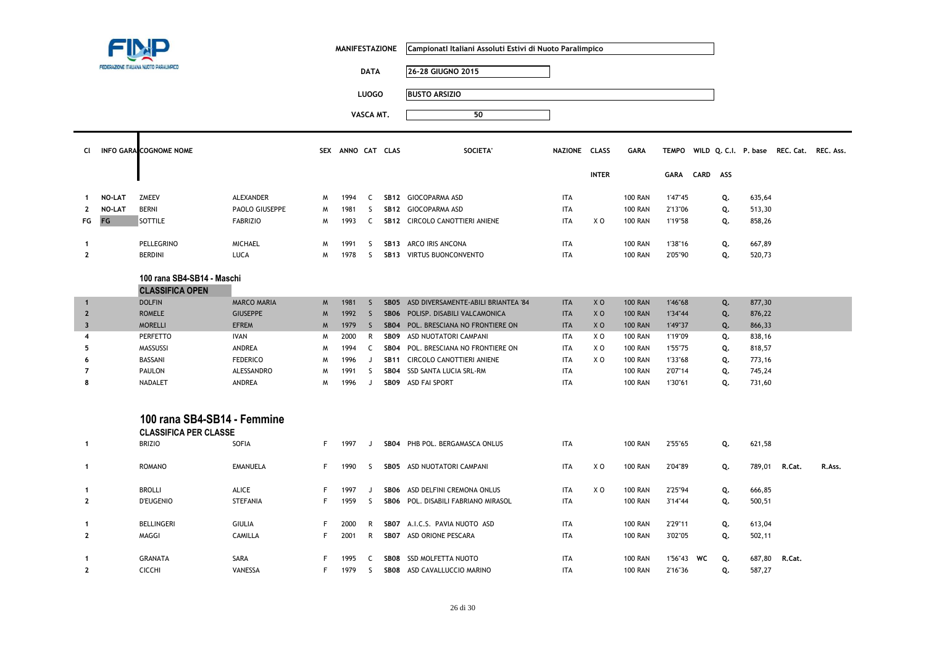|                         |               |                                                                                             | <b>MANIFESTAZIONE</b> |             |                   | Campionatl Italiani Assoluti Estivi di Nuoto Paralimpico |                  |                                     |               |                |                |               |    |    |        |                                                |        |
|-------------------------|---------------|---------------------------------------------------------------------------------------------|-----------------------|-------------|-------------------|----------------------------------------------------------|------------------|-------------------------------------|---------------|----------------|----------------|---------------|----|----|--------|------------------------------------------------|--------|
|                         |               | FEDERAZIONE ITALIANA NUOTO PARALIMPICO                                                      |                       |             |                   | <b>DATA</b>                                              |                  | 26-28 GIUGNO 2015                   |               |                |                |               |    |    |        |                                                |        |
|                         |               |                                                                                             |                       |             |                   | <b>LUOGO</b>                                             |                  | <b>BUSTO ARSIZIO</b>                |               |                |                |               |    |    |        |                                                |        |
|                         |               |                                                                                             |                       |             |                   |                                                          |                  | 50                                  |               |                |                |               |    |    |        |                                                |        |
|                         |               |                                                                                             |                       |             |                   | VASCA MT.                                                |                  |                                     |               |                |                |               |    |    |        |                                                |        |
| <b>CI</b>               |               | <b>INFO GARA COGNOME NOME</b>                                                               |                       |             | SEX ANNO CAT CLAS |                                                          |                  | <b>SOCIETA'</b>                     | NAZIONE CLASS |                | <b>GARA</b>    |               |    |    |        | TEMPO WILD Q. C.I. P. base REC. Cat. REC. Ass. |        |
|                         |               |                                                                                             |                       |             |                   |                                                          |                  |                                     |               | <b>INTER</b>   |                | GARA CARD ASS |    |    |        |                                                |        |
| $\mathbf{1}$            | <b>NO-LAT</b> | <b>ZMEEV</b>                                                                                | ALEXANDER             | M           | 1994              | C                                                        |                  | SB12 GIOCOPARMA ASD                 | <b>ITA</b>    |                | <b>100 RAN</b> | 1'47"45       |    | Q. | 635,64 |                                                |        |
| $\mathbf{2}$            | NO-LAT        | <b>BERNI</b>                                                                                | PAOLO GIUSEPPE        | W           | 1981              | <sub>S</sub>                                             |                  | SB12 GIOCOPARMA ASD                 | <b>ITA</b>    |                | <b>100 RAN</b> | 2'13"06       |    | Q. | 513,30 |                                                |        |
| FG                      | FG            | SOTTILE                                                                                     | <b>FABRIZIO</b>       | W           | 1993              | C                                                        |                  | SB12 CIRCOLO CANOTTIERI ANIENE      | <b>ITA</b>    | X O            | <b>100 RAN</b> | 1'19"58       |    | Q. | 858,26 |                                                |        |
|                         |               |                                                                                             |                       |             |                   |                                                          |                  |                                     |               |                |                |               |    |    |        |                                                |        |
| $\mathbf{1}$            |               | PELLEGRINO                                                                                  | <b>MICHAEL</b>        | M           | 1991              | <sub>S</sub>                                             |                  | SB13 ARCO IRIS ANCONA               | <b>ITA</b>    |                | <b>100 RAN</b> | 1'38"16       |    | Q. | 667,89 |                                                |        |
| $\mathbf{2}$            |               | <b>BERDINI</b>                                                                              | LUCA                  | M           | 1978              | <sub>S</sub>                                             |                  | SB13 VIRTUS BUONCONVENTO            | <b>ITA</b>    |                | <b>100 RAN</b> | 2'05"90       |    | Q. | 520,73 |                                                |        |
|                         |               | 100 rana SB4-SB14 - Maschi<br><b>CLASSIFICA OPEN</b><br><b>DOLFIN</b><br><b>MARCO MARIA</b> |                       |             |                   |                                                          |                  |                                     |               |                |                |               |    |    |        |                                                |        |
| $\mathbf{1}$            |               |                                                                                             |                       | $M_{\odot}$ | 1981              | <sub>S</sub>                                             | SB <sub>05</sub> | ASD DIVERSAMENTE-ABILI BRIANTEA '84 | <b>ITA</b>    | X <sub>0</sub> | <b>100 RAN</b> | 1'46"68       |    | Q. | 877,30 |                                                |        |
| $\mathbf{2}$            |               | <b>ROMELE</b>                                                                               | <b>GIUSEPPE</b>       | M           | 1992              | $\mathsf{S}$                                             | <b>SB06</b>      | POLISP. DISABILI VALCAMONICA        | <b>ITA</b>    | X <sub>0</sub> | <b>100 RAN</b> | 1'34"44       |    | Q. | 876,22 |                                                |        |
| $\overline{\mathbf{3}}$ |               | <b>MORELLI</b>                                                                              | <b>EFREM</b>          | M           | 1979              | <sub>S</sub>                                             | SB04             | POL. BRESCIANA NO FRONTIERE ON      | <b>ITA</b>    | X <sub>0</sub> | <b>100 RAN</b> | 1'49"37       |    | Q. | 866,33 |                                                |        |
| 4                       |               | <b>PERFETTO</b>                                                                             | <b>IVAN</b>           | M           | 2000              | R                                                        | SB <sub>09</sub> | ASD NUOTATORI CAMPANI               | <b>ITA</b>    | X <sub>0</sub> | <b>100 RAN</b> | 1'19"09       |    | Q. | 838,16 |                                                |        |
| 5                       |               | MASSUSSI                                                                                    | ANDREA                | M           | 1994              | C                                                        | <b>SB04</b>      | POL. BRESCIANA NO FRONTIERE ON      | <b>ITA</b>    | X O            | <b>100 RAN</b> | 1'55"75       |    | Q. | 818,57 |                                                |        |
| 6                       |               | BASSANI                                                                                     | <b>FEDERICO</b>       | M           | 1996              | J                                                        | <b>SB11</b>      | CIRCOLO CANOTTIERI ANIENE           | <b>ITA</b>    | X <sub>0</sub> | <b>100 RAN</b> | 1'33"68       |    | Q. | 773,16 |                                                |        |
| $\overline{7}$          |               | PAULON                                                                                      | ALESSANDRO            | M           | 1991              | <sub>S</sub>                                             | <b>SB04</b>      | SSD SANTA LUCIA SRL-RM              | <b>ITA</b>    |                | <b>100 RAN</b> | 2'07"14       |    | Q. | 745,24 |                                                |        |
| 8                       |               | <b>NADALET</b>                                                                              | ANDREA                | M           | 1996              | J                                                        | SB09             | <b>ASD FAI SPORT</b>                | <b>ITA</b>    |                | <b>100 RAN</b> | 1'30"61       |    | Q. | 731,60 |                                                |        |
|                         |               | 100 rana SB4-SB14 - Femmine<br><b>CLASSIFICA PER CLASSE</b>                                 |                       |             |                   |                                                          |                  |                                     |               |                |                |               |    |    |        |                                                |        |
| $\mathbf{1}$            |               | <b>BRIZIO</b>                                                                               | SOFIA                 | F           | 1997              | J                                                        |                  | SB04 PHB POL. BERGAMASCA ONLUS      | <b>ITA</b>    |                | <b>100 RAN</b> | 2'55"65       |    | Q. | 621,58 |                                                |        |
| $\mathbf{1}$            |               | <b>ROMANO</b>                                                                               | <b>EMANUELA</b>       | F.          | 1990              | S                                                        |                  | SB05 ASD NUOTATORI CAMPANI          | <b>ITA</b>    | X <sub>0</sub> | <b>100 RAN</b> | 2'04"89       |    | Q. | 789,01 | R.Cat.                                         | R.Ass. |
| $\mathbf{1}$            |               | <b>BROLLI</b>                                                                               | ALICE                 | F.          | 1997              | J                                                        | SB06             | ASD DELFINI CREMONA ONLUS           | <b>ITA</b>    | X <sub>0</sub> | <b>100 RAN</b> | 2'25"94       |    | Q. | 666,85 |                                                |        |
| $\mathbf{2}$            |               | <b>D'EUGENIO</b>                                                                            | STEFANIA              | F           | 1959              | S                                                        |                  | SB06 POL. DISABILI FABRIANO MIRASOL | <b>ITA</b>    |                | <b>100 RAN</b> | 3'14"44       |    | Q. | 500,51 |                                                |        |
| $\mathbf{1}$            |               | <b>BELLINGERI</b>                                                                           | <b>GIULIA</b>         | F           | 2000              | R                                                        |                  | SB07 A.I.C.S. PAVIA NUOTO ASD       | <b>ITA</b>    |                | <b>100 RAN</b> | 2'29"11       |    | Q. | 613,04 |                                                |        |
| $\mathbf{2}$            |               | MAGGI                                                                                       | CAMILLA               | F           | 2001              | R                                                        |                  | SB07 ASD ORIONE PESCARA             | <b>ITA</b>    |                | <b>100 RAN</b> | 3'02"05       |    | Q. | 502,11 |                                                |        |
|                         |               |                                                                                             |                       |             |                   |                                                          |                  |                                     |               |                |                |               |    |    |        |                                                |        |
| $\mathbf{1}$            |               | <b>GRANATA</b>                                                                              | SARA                  | F           | 1995              | C                                                        |                  | SB08 SSD MOLFETTA NUOTO             | <b>ITA</b>    |                | <b>100 RAN</b> | 1'56"43       | WC | Q. | 687,80 | R.Cat.                                         |        |
| $\overline{2}$          |               | <b>CICCHI</b>                                                                               | VANESSA               | F.          | 1979              | S                                                        |                  | SB08 ASD CAVALLUCCIO MARINO         | <b>ITA</b>    |                | <b>100 RAN</b> | 2'16"36       |    | Q. | 587,27 |                                                |        |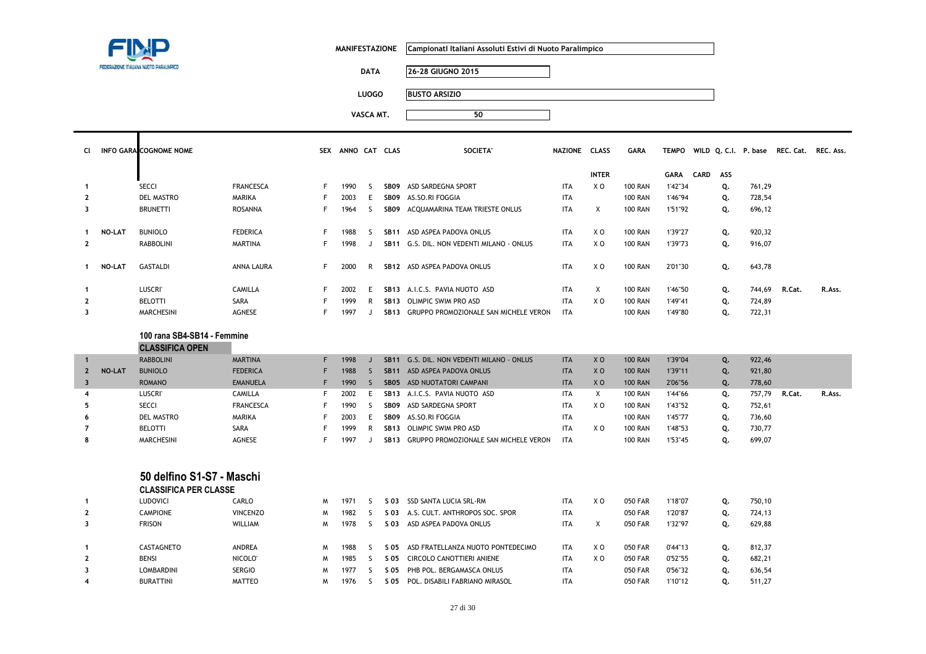| FEDERAZIONE ITALIANA NUOTO PARALIMPICO |
|----------------------------------------|

5

**MANIFESTAZIONE CampionatI Italiani Assoluti Estivi di Nuoto Paralimpico**

**DATA 26-28 GIUGNO 2015**

**LUOGO BUSTO ARSIZIO**

| CI.                     |               | <b>INFO GARA COGNOME NOME</b> |                     |    | SEX ANNO CAT CLAS |              |                  | SOCIETA'                                   | NAZIONE CLASS |                | <b>GARA</b>    |             |      |     |        | TEMPO WILD Q. C.I. P. base REC. Cat. | REC. Ass. |
|-------------------------|---------------|-------------------------------|---------------------|----|-------------------|--------------|------------------|--------------------------------------------|---------------|----------------|----------------|-------------|------|-----|--------|--------------------------------------|-----------|
|                         |               |                               |                     |    |                   |              |                  |                                            |               | <b>INTER</b>   |                | <b>GARA</b> | CARD | ASS |        |                                      |           |
| $\mathbf{1}$            |               | <b>SECCI</b>                  | <b>FRANCESCA</b>    | F  | 1990              | -S           | SB09             | ASD SARDEGNA SPORT                         | <b>ITA</b>    | X O            | <b>100 RAN</b> | 1'42"34     |      | Q.  | 761,29 |                                      |           |
| $\mathbf{2}$            |               | <b>DEL MASTRO</b>             | MARIKA              | F  | 2003              | E            | SB <sub>09</sub> | AS.SO.RI FOGGIA                            | <b>ITA</b>    |                | <b>100 RAN</b> | 1'46"94     |      | Q.  | 728,54 |                                      |           |
| 3                       |               | <b>BRUNETTI</b>               | <b>ROSANNA</b>      | F. | 1964              | S.           | SB09             | ACQUAMARINA TEAM TRIESTE ONLUS             | <b>ITA</b>    | $\times$       | <b>100 RAN</b> | 1'51"92     |      | Q.  | 696,12 |                                      |           |
|                         |               |                               |                     |    |                   |              |                  |                                            |               |                |                |             |      |     |        |                                      |           |
| $\mathbf{1}$            | <b>NO-LAT</b> | <b>BUNIOLO</b>                | <b>FEDERICA</b>     | F  | 1988              | <sub>S</sub> |                  | SB11 ASD ASPEA PADOVA ONLUS                | <b>ITA</b>    | X <sub>0</sub> | <b>100 RAN</b> | 1'39"27     |      | Q.  | 920,32 |                                      |           |
| $\mathbf{2}$            |               | <b>RABBOLINI</b>              | <b>MARTINA</b>      | F. | 1998              | $\cdot$      |                  | SB11 G.S. DIL. NON VEDENTI MILANO - ONLUS  | <b>ITA</b>    | X <sub>0</sub> | <b>100 RAN</b> | 1'39"73     |      | Q.  | 916,07 |                                      |           |
|                         |               |                               |                     |    |                   |              |                  |                                            |               |                |                |             |      |     |        |                                      |           |
| $\mathbf{1}$            | <b>NO-LAT</b> | GASTALDI                      | ANNA LAURA          | F. | 2000              | R            |                  | SB12 ASD ASPEA PADOVA ONLUS                | <b>ITA</b>    | XO             | <b>100 RAN</b> | 2'01"30     |      | Q.  | 643,78 |                                      |           |
|                         |               |                               |                     |    |                   |              |                  |                                            |               |                |                |             |      |     |        |                                      |           |
| -1                      |               | <b>LUSCRI</b>                 | <b>CAMILLA</b>      | F  | 2002              | E            |                  | SB13 A.I.C.S. PAVIA NUOTO ASD              | <b>ITA</b>    | X              | <b>100 RAN</b> | 1'46"50     |      | Q.  | 744,69 | R.Cat.                               | R.Ass.    |
| $\mathbf{2}$            |               | <b>BELOTTI</b>                | SARA                |    | 1999              | R            | <b>SB13</b>      | <b>OLIMPIC SWIM PRO ASD</b>                | <b>ITA</b>    | X <sub>0</sub> | <b>100 RAN</b> | 1'49"41     |      | Q.  | 724,89 |                                      |           |
| 3                       |               | <b>MARCHESINI</b>             | <b>AGNESE</b>       | F  | 1997              | $\cdot$      |                  | SB13 GRUPPO PROMOZIONALE SAN MICHELE VERON | <b>ITA</b>    |                | <b>100 RAN</b> | 1'49"80     |      | Q.  | 722,31 |                                      |           |
|                         |               |                               |                     |    |                   |              |                  |                                            |               |                |                |             |      |     |        |                                      |           |
|                         |               | 100 rana SB4-SB14 - Femmine   |                     |    |                   |              |                  |                                            |               |                |                |             |      |     |        |                                      |           |
|                         |               | <b>CLASSIFICA OPEN</b>        |                     |    |                   |              |                  |                                            |               |                |                |             |      |     |        |                                      |           |
| $\mathbf{1}$            |               | <b>RABBOLINI</b>              | <b>MARTINA</b>      | F. | 1998              | $\mathsf{J}$ | <b>SB11</b>      | G.S. DIL. NON VEDENTI MILANO - ONLUS       | <b>ITA</b>    | X <sub>0</sub> | <b>100 RAN</b> | 1'39"04     |      | Q.  | 922,46 |                                      |           |
| $\mathbf{2}$            | <b>NO-LAT</b> | <b>BUNIOLO</b>                | <b>FEDERICA</b>     | F  | 1988              | S.           | <b>SB11</b>      | ASD ASPEA PADOVA ONLUS                     | <b>ITA</b>    | X <sub>0</sub> | <b>100 RAN</b> | 1'39"11     |      | Q.  | 921,80 |                                      |           |
| $\overline{\mathbf{3}}$ |               | <b>ROMANO</b>                 | <b>EMANUELA</b>     | F  | 1990              | S.           | SB <sub>05</sub> | ASD NUOTATORI CAMPANI                      | <b>ITA</b>    | X <sub>0</sub> | <b>100 RAN</b> | 2'06"56     |      | Q.  | 778,60 |                                      |           |
| $\overline{\bf{4}}$     |               | <b>LUSCRI</b>                 | <b>CAMILLA</b>      | F  | 2002              | E            | <b>SB13</b>      | A.I.C.S. PAVIA NUOTO ASD                   | <b>ITA</b>    | $\mathsf{X}$   | <b>100 RAN</b> | 1'44"66     |      | Q.  | 757,79 | R.Cat.                               | R.Ass.    |
| 5                       |               | <b>SECCI</b>                  | <b>FRANCESCA</b>    | F  | 1990              | -S           | SB <sub>09</sub> | ASD SARDEGNA SPORT                         | <b>ITA</b>    | X O            | <b>100 RAN</b> | 1'43"52     |      | Q.  | 752,61 |                                      |           |
| 6                       |               | <b>DEL MASTRO</b>             | <b>MARIKA</b>       | F  | 2003              | E.           | <b>SB09</b>      | AS.SO.RI FOGGIA                            | <b>ITA</b>    |                | <b>100 RAN</b> | 1'45"77     |      | Q.  | 736,60 |                                      |           |
| $\overline{7}$          |               | <b>BELOTTI</b>                | SARA                | F  | 1999              | R            | <b>SB13</b>      | <b>OLIMPIC SWIM PRO ASD</b>                | <b>ITA</b>    | X O            | <b>100 RAN</b> | 1'48"53     |      | Q.  | 730,77 |                                      |           |
| 8                       |               | <b>MARCHESINI</b>             | AGNESE              | F  | 1997              | J.           |                  | SB13 GRUPPO PROMOZIONALE SAN MICHELE VERON | <b>ITA</b>    |                | <b>100 RAN</b> | 1'53"45     |      | Q.  | 699,07 |                                      |           |
|                         |               |                               |                     |    |                   |              |                  |                                            |               |                |                |             |      |     |        |                                      |           |
|                         |               |                               |                     |    |                   |              |                  |                                            |               |                |                |             |      |     |        |                                      |           |
|                         |               | 50 delfino S1-S7 - Maschi     |                     |    |                   |              |                  |                                            |               |                |                |             |      |     |        |                                      |           |
|                         |               | <b>CLASSIFICA PER CLASSE</b>  |                     |    |                   |              |                  |                                            |               |                |                |             |      |     |        |                                      |           |
| $\mathbf{1}$            |               | LUDOVICI                      | CARLO               | M  | 1971              | -S           | S 03             | SSD SANTA LUCIA SRL-RM                     | <b>ITA</b>    | X O            | <b>050 FAR</b> | 1'18"07     |      | Q.  | 750,10 |                                      |           |
| $\overline{2}$          |               | <b>CAMPIONE</b>               | <b>VINCENZO</b>     | M  | 1982              | S.           | S 03             | A.S. CULT. ANTHROPOS SOC. SPOR             | <b>ITA</b>    |                | <b>050 FAR</b> | 1'20"87     |      | Q.  | 724,13 |                                      |           |
| 3                       |               | <b>FRISON</b>                 | WILLIAM             | M  | 1978              | S            |                  | S 03 ASD ASPEA PADOVA ONLUS                | <b>ITA</b>    | Χ              | <b>050 FAR</b> | 1'32"97     |      | Q.  | 629,88 |                                      |           |
| -1                      |               | CASTAGNETO                    | ANDREA              | M  | 1988              | S.           | S 05             | ASD FRATELLANZA NUOTO PONTEDECIMO          | <b>ITA</b>    | X <sub>0</sub> | 050 FAR        | 0'44"13     |      | Q.  | 812,37 |                                      |           |
| $\overline{2}$          |               | <b>BENSI</b>                  | NICOLO <sup>®</sup> | M  | 1985              | -S           | S 05             | CIRCOLO CANOTTIERI ANIENE                  | <b>ITA</b>    | X O            | 050 FAR        | 0'52"55     |      | Q.  | 682,21 |                                      |           |
| 3                       |               | LOMBARDINI                    | <b>SERGIO</b>       | M  | 1977              | S            | S 05             | PHB POL. BERGAMASCA ONLUS                  | <b>ITA</b>    |                | <b>050 FAR</b> | 0'56"32     |      | Q.  | 636,54 |                                      |           |
| 4                       |               | <b>BURATTINI</b>              | <b>MATTEO</b>       | M  | 1976              | S.           |                  | S 05 POL. DISABILI FABRIANO MIRASOL        | <b>ITA</b>    |                | <b>050 FAR</b> | 1'10"12     |      | Q.  | 511,27 |                                      |           |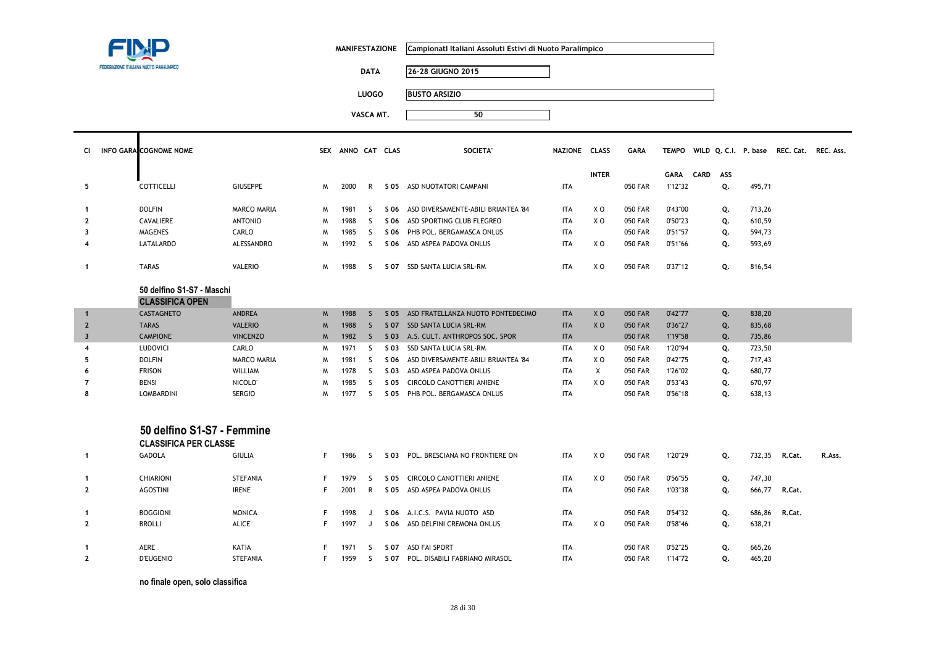

H.

**MANIFESTAZIONE CampionatI Italiani Assoluti Estivi di Nuoto Paralimpico**

**DATA 26-28 GIUGNO 2015**

**LUOGO BUSTO ARSIZIO**

**VASCA MT. <sup>50</sup>**

| . |  |  |
|---|--|--|
|   |  |  |
|   |  |  |
|   |  |  |
|   |  |  |

|                | CI INFO GARA COGNOME NOME |                    | <b>SEX</b> | ANNO CAT CLAS |               |      | SOCIETA'                            | NAZIONE CLASS |              | <b>GARA</b> |             |             |     |        | TEMPO WILD Q.C.I. P. base REC. Cat. REC. Ass. |  |
|----------------|---------------------------|--------------------|------------|---------------|---------------|------|-------------------------------------|---------------|--------------|-------------|-------------|-------------|-----|--------|-----------------------------------------------|--|
|                |                           |                    |            |               |               |      |                                     |               | <b>INTER</b> |             | <b>GARA</b> | <b>CARD</b> | ASS |        |                                               |  |
| 5              | <b>COTTICELLI</b>         | <b>GIUSEPPE</b>    | M          | 2000          | R             | S 05 | ASD NUOTATORI CAMPANI               | <b>ITA</b>    |              | 050 FAR     | 1'12"32     |             | Q.  | 495,71 |                                               |  |
|                | <b>DOLFIN</b>             | <b>MARCO MARIA</b> | M          | 1981          |               | S 06 | ASD DIVERSAMENTE-ABILI BRIANTEA '84 | <b>ITA</b>    | X O          | 050 FAR     | 0'43"00     |             | Q.  | 713,26 |                                               |  |
| $\overline{2}$ | CAVALIERE                 | <b>ANTONIO</b>     | M          | 1988          |               | S 06 | ASD SPORTING CLUB FLEGREO           | <b>ITA</b>    | X O          | 050 FAR     | 0'50"23     |             | Q.  | 610,59 |                                               |  |
| 3              | MAGENES                   | CARLO              | M          | 1985          | $\mathcal{L}$ | S 06 | PHB POL. BERGAMASCA ONLUS           | <b>ITA</b>    |              | 050 FAR     | 0'51"57     |             | Q.  | 594,73 |                                               |  |
| $\overline{4}$ | LATALARDO                 | ALESSANDRO         | M          | 1992          |               |      | S 06 ASD ASPEA PADOVA ONLUS         | <b>ITA</b>    | X O          | 050 FAR     | 0'51"66     |             | Q.  | 593,69 |                                               |  |
|                | <b>TARAS</b>              | <b>VALERIO</b>     | M          | 1988          |               | S 07 | SSD SANTA LUCIA SRL-RM              | <b>ITA</b>    | X O          | 050 FAR     | 0'37"12     |             | Q.  | 816,54 |                                               |  |

# **50 delfino S1-S7 - Maschi**

| <b>CLASSIFICA OPEN</b> |  |
|------------------------|--|
|------------------------|--|

|   | <b>CASTAGNETO</b> | <b>ANDREA</b>   | M | 1988 | S 05  | ASD FRATELLANZA NUOTO PONTEDECIMO   | <b>ITA</b> | X <sub>0</sub> | <b>050 FAR</b> | 0'42"77 | Q. | 838,20 |
|---|-------------------|-----------------|---|------|-------|-------------------------------------|------------|----------------|----------------|---------|----|--------|
|   | <b>TARAS</b>      | <b>VALERIO</b>  | M | 1988 | S 07  | SSD SANTA LUCIA SRL-RM              | <b>ITA</b> | X <sub>O</sub> | 050 FAR        | 0'36"27 | Q. | 835,68 |
|   | <b>CAMPIONE</b>   | <b>VINCENZO</b> | M | 1982 |       | S.03 A.S. CULT. ANTHROPOS SOC. SPOR | <b>ITA</b> |                | <b>050 FAR</b> | 1'19"58 | Q. | 735,86 |
|   | LUDOVICI          | CARLO           | м | 1971 | S 03  | SSD SANTA LUCIA SRL-RM              | <b>ITA</b> | X O            | 050 FAR        | 1'20"94 |    | 723,50 |
|   | <b>DOLFIN</b>     | MARCO MARIA     | м | 1981 | S 06. | ASD DIVERSAMENTE-ABILI BRIANTEA '84 | <b>ITA</b> | X O            | 050 FAR        | 0'42"75 |    | 717.43 |
| O | <b>FRISON</b>     | WILLIAM         | м | 1978 | S 03  | ASD ASPEA PADOVA ONLUS              | ITA        |                | 050 FAR        | 1'26"02 | Q. | 680,77 |
|   | <b>BENSI</b>      | NICOLO'         | м | 1985 | S 05  | CIRCOLO CANOTTIERI ANIENE           | <b>ITA</b> | X O            | 050 FAR        | 0'53"43 | Q. | 670,97 |
|   | <b>LOMBARDINI</b> | <b>SERGIO</b>   | м | 1977 | S 05  | PHB POL. BERGAMASCA ONLUS           | <b>ITA</b> |                | 050 FAR        | 0'56"18 | 0. | 638,13 |

### **50 delfino S1-S7 - Femmine**

| <b>CLASSIFICA PER CLASSE</b> |  |  |  |  |  |  |
|------------------------------|--|--|--|--|--|--|
|------------------------------|--|--|--|--|--|--|

|                | <b>GADOLA</b>    | <b>GIULIA</b>   | 1986 |   | S 03 | POL. BRESCIANA NO FRONTIERE ON | <b>ITA</b> | X O | 050 FAR | 1'20"29 | Q. | 732,35 | R.Cat. | R.Ass. |
|----------------|------------------|-----------------|------|---|------|--------------------------------|------------|-----|---------|---------|----|--------|--------|--------|
|                | <b>CHIARIONI</b> | <b>STEFANIA</b> | 1979 |   | S 05 | CIRCOLO CANOTTIERI ANIENE      | <b>ITA</b> | X O | 050 FAR | 0'56"55 | Q. | 747,30 |        |        |
| $\overline{2}$ | <b>AGOSTINI</b>  | <b>IRENE</b>    | 2001 | R | S 05 | ASD ASPEA PADOVA ONLUS         | <b>ITA</b> |     | 050 FAR | 1'03"38 | Q. | 666,77 | R.Cat. |        |
|                | <b>BOGGIONI</b>  | <b>MONICA</b>   | 1998 |   | S 06 | A.I.C.S. PAVIA NUOTO ASD       | <b>ITA</b> |     | 050 FAR | 0'54"32 | Q. | 686,86 | R.Cat. |        |
|                | <b>BROLLI</b>    | ALICE           | 1997 |   | S 06 | ASD DELFINI CREMONA ONLUS      | <b>ITA</b> | X O | 050 FAR | 0'58"46 | Q. | 638,21 |        |        |
|                | <b>AERE</b>      | KATIA           | 1971 |   | S 07 | ASD FAI SPORT                  | <b>ITA</b> |     | 050 FAR | 0'52"25 | Q. | 665,26 |        |        |
|                | <b>D'EUGENIO</b> | <b>STEFANIA</b> | 1959 |   | S 07 | POL. DISABILI FABRIANO MIRASOL | <b>ITA</b> |     | 050 FAR | 1'14"72 | Q. | 465,20 |        |        |

**no finale open, solo classifica**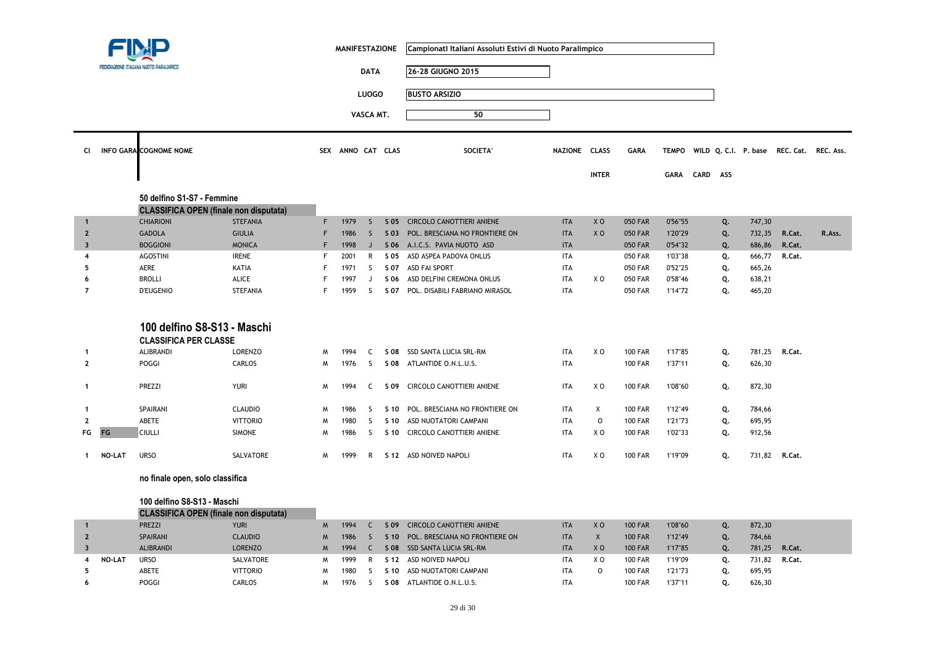|                         |               |                                                                          |                 | <b>MANIFESTAZIONE</b> |                   |              |            | Campionati Italiani Assoluti Estivi di Nuoto Paralimpico |               |                           |                |             |      |     |        |                                                |        |
|-------------------------|---------------|--------------------------------------------------------------------------|-----------------|-----------------------|-------------------|--------------|------------|----------------------------------------------------------|---------------|---------------------------|----------------|-------------|------|-----|--------|------------------------------------------------|--------|
|                         |               | FEDERAZIONE ITALIANA NUOTO PARALIMPICI                                   |                 |                       |                   | <b>DATA</b>  |            | 26-28 GIUGNO 2015                                        |               |                           |                |             |      |     |        |                                                |        |
|                         |               |                                                                          |                 |                       |                   | <b>LUOGO</b> |            | <b>BUSTO ARSIZIO</b>                                     |               |                           |                |             |      |     |        |                                                |        |
|                         |               |                                                                          |                 |                       |                   |              |            |                                                          |               |                           |                |             |      |     |        |                                                |        |
|                         |               |                                                                          |                 |                       |                   | VASCA MT.    |            | 50                                                       |               |                           |                |             |      |     |        |                                                |        |
| CI.                     |               | <b>INFO GARA COGNOME NOME</b>                                            |                 |                       | SEX ANNO CAT CLAS |              |            | <b>SOCIETA'</b>                                          | NAZIONE CLASS | <b>INTER</b>              | <b>GARA</b>    | <b>GARA</b> | CARD | ASS |        | TEMPO WILD Q. C.I. P. base REC. Cat. REC. Ass. |        |
|                         |               |                                                                          |                 |                       |                   |              |            |                                                          |               |                           |                |             |      |     |        |                                                |        |
|                         |               | 50 delfino S1-S7 - Femmine                                               |                 |                       |                   |              |            |                                                          |               |                           |                |             |      |     |        |                                                |        |
|                         |               | <b>CLASSIFICA OPEN (finale non disputata)</b>                            |                 |                       |                   |              |            |                                                          |               |                           |                |             |      |     |        |                                                |        |
| $\mathbf 1$             |               | <b>CHIARIONI</b>                                                         | <b>STEFANIA</b> | F                     | 1979              | $\mathsf{S}$ | $S$ 05     | <b>CIRCOLO CANOTTIERI ANIENE</b>                         | <b>ITA</b>    | X <sub>O</sub>            | <b>050 FAR</b> | 0'56"55     |      | Q.  | 747,30 |                                                |        |
| $\overline{2}$          |               | <b>GADOLA</b>                                                            | <b>GIULIA</b>   | F                     | 1986              | <sub>S</sub> | $S$ 03     | POL. BRESCIANA NO FRONTIERE ON                           | <b>ITA</b>    | X <sub>O</sub>            | <b>050 FAR</b> | 1'20"29     |      | Q.  | 732,35 | R.Cat.                                         | R.Ass. |
| $\overline{\mathbf{3}}$ |               | <b>BOGGIONI</b>                                                          | <b>MONICA</b>   | F                     | 1998              | J            |            | S 06 A.I.C.S. PAVIA NUOTO ASD                            | <b>ITA</b>    |                           | <b>050 FAR</b> | 0'54"32     |      | Q.  | 686,86 | R.Cat.                                         |        |
| 4                       |               | <b>AGOSTINI</b>                                                          | <b>IRENE</b>    | F                     | 2001              | R            | S 05       | ASD ASPEA PADOVA ONLUS                                   | <b>ITA</b>    |                           | <b>050 FAR</b> | 1'03"38     |      | Q.  | 666,77 | R.Cat.                                         |        |
| 5                       |               | AERE                                                                     | KATIA           | F                     | 1971              | S            |            | S 07 ASD FAI SPORT                                       | <b>ITA</b>    |                           | 050 FAR        | 0'52"25     |      | Q.  | 665,26 |                                                |        |
| 6                       |               | <b>BROLLI</b>                                                            | ALICE           | F                     | 1997              | J            | S 06       | ASD DELFINI CREMONA ONLUS                                | <b>ITA</b>    | X <sub>O</sub>            | <b>050 FAR</b> | 0'58"46     |      | Q.  | 638,21 |                                                |        |
| $\overline{7}$          |               | <b>D'EUGENIO</b>                                                         | <b>STEFANIA</b> | F                     | 1959              | <sub>S</sub> | S 07       | POL. DISABILI FABRIANO MIRASOL                           | <b>ITA</b>    |                           | <b>050 FAR</b> | 1'14"72     |      | Q.  | 465,20 |                                                |        |
| -1                      |               | 100 delfino S8-S13 - Maschi<br><b>CLASSIFICA PER CLASSE</b><br>ALIBRANDI | <b>LORENZO</b>  | W                     | 1994              | C            | S 08       | SSD SANTA LUCIA SRL-RM                                   | <b>ITA</b>    | X <sub>0</sub>            | <b>100 FAR</b> | 1'17"85     |      | Q.  | 781,25 | R.Cat.                                         |        |
| $\mathbf{2}$            |               | POGGI                                                                    | CARLOS          | M                     | 1976              | S            | S 08       | ATLANTIDE O.N.L.U.S.                                     | <b>ITA</b>    |                           | <b>100 FAR</b> | 1'37"11     |      | Q.  | 626,30 |                                                |        |
| $\mathbf 1$             |               | PREZZI                                                                   | <b>YURI</b>     | м                     | 1994              | C            | S 09       | CIRCOLO CANOTTIERI ANIENE                                | <b>ITA</b>    | X <sub>0</sub>            | <b>100 FAR</b> | 1'08"60     |      | Q.  | 872,30 |                                                |        |
| -1                      |               | SPAIRANI                                                                 | <b>CLAUDIO</b>  | W                     | 1986              | <sub>S</sub> |            | S 10 POL. BRESCIANA NO FRONTIERE ON                      | <b>ITA</b>    | $\boldsymbol{\mathsf{X}}$ | <b>100 FAR</b> | 1'12"49     |      | Q.  | 784,66 |                                                |        |
| $\overline{2}$          |               | ABETE                                                                    | <b>VITTORIO</b> | M                     | 1980              | S            | S 10       | ASD NUOTATORI CAMPANI                                    | <b>ITA</b>    | $\circ$                   | <b>100 FAR</b> | 1'21"73     |      | Q.  | 695,95 |                                                |        |
| FG                      | FG            | <b>CIULLI</b>                                                            | <b>SIMONE</b>   | M                     | 1986              | <sub>S</sub> | S 10       | <b>CIRCOLO CANOTTIERI ANIENE</b>                         | <b>ITA</b>    | X O                       | <b>100 FAR</b> | 1'02"33     |      | Q.  | 912,56 |                                                |        |
| -1                      | <b>NO-LAT</b> | <b>URSO</b>                                                              | SALVATORE       | M                     | 1999              | R            |            | S 12 ASD NOIVED NAPOLI                                   | <b>ITA</b>    | X <sub>0</sub>            | <b>100 FAR</b> | 1'19"09     |      | Q.  | 731,82 | R.Cat.                                         |        |
|                         |               | no finale open, solo classifica                                          |                 |                       |                   |              |            |                                                          |               |                           |                |             |      |     |        |                                                |        |
|                         |               | 100 delfino S8-S13 - Maschi                                              |                 |                       |                   |              |            |                                                          |               |                           |                |             |      |     |        |                                                |        |
|                         |               | <b>CLASSIFICA OPEN (finale non disputata)</b>                            |                 |                       |                   |              |            |                                                          |               |                           |                |             |      |     |        |                                                |        |
| $\mathbf{1}$            |               | PREZZI                                                                   | <b>YURI</b>     | M                     | 1994              | $\mathsf{C}$ | S 09       | <b>CIRCOLO CANOTTIERI ANIENE</b>                         | <b>ITA</b>    | X <sub>O</sub>            | <b>100 FAR</b> | 1'08"60     |      | Q.  | 872,30 |                                                |        |
| $\overline{2}$          |               | SPAIRANI                                                                 | <b>CLAUDIO</b>  | M                     | 1986              | $\mathsf{S}$ | S 10       | POL. BRESCIANA NO FRONTIERE ON                           | <b>ITA</b>    | $\mathsf X$               | <b>100 FAR</b> | 1'12"49     |      | Q.  | 784,66 |                                                |        |
| $\overline{\mathbf{3}}$ |               | <b>ALIBRANDI</b>                                                         | <b>LORENZO</b>  | M                     | 1994              | $\mathsf{C}$ |            | S 08 SSD SANTA LUCIA SRL-RM                              | <b>ITA</b>    | X <sub>0</sub>            | <b>100 FAR</b> | 1'17"85     |      | Q.  | 781,25 | R.Cat.                                         |        |
| 4                       | <b>NO-LAT</b> | <b>URSO</b>                                                              | SALVATORE       | W                     | 1999              | R            | S 12       | ASD NOIVED NAPOLI                                        | <b>ITA</b>    | X O                       | <b>100 FAR</b> | 1'19"09     |      | Q.  | 731,82 | R.Cat.                                         |        |
| 5                       |               | ABETE                                                                    | <b>VITTORIO</b> | M                     | 1980              | S            | S 10       | ASD NUOTATORI CAMPANI                                    | <b>ITA</b>    | $\circ$                   | <b>100 FAR</b> | 1'21"73     |      | Q.  | 695,95 |                                                |        |
| 6                       |               | POGGI                                                                    | CARLOS          | M                     | 1976              | S            | <b>SO8</b> | ATLANTIDE O.N.L.U.S.                                     | <b>ITA</b>    |                           | <b>100 FAR</b> | 1'37"11     |      | Q.  | 626,30 |                                                |        |
|                         |               |                                                                          |                 |                       |                   |              |            |                                                          |               |                           |                |             |      |     |        |                                                |        |